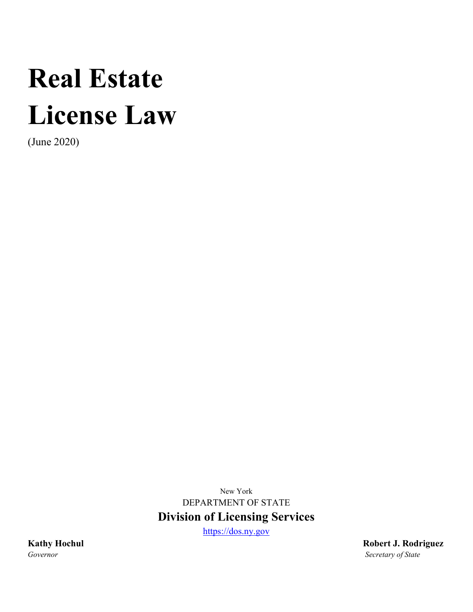# **Real Estate License Law**

(June 2020)

New York DEPARTMENT OF STATE **Division of Licensing Services**

[https://dos.ny.gov](https://dos.ny.gov/)

**Kathy Hochul Robert J. Rodriguez** *Governor Secretary of State*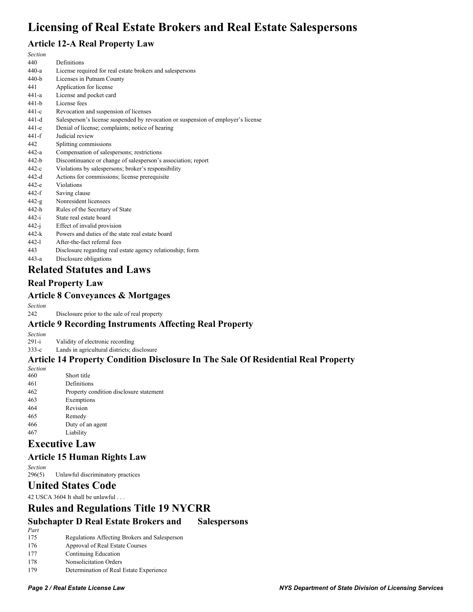## **Licensing of Real Estate Brokers and Real Estate Salespersons**

### **Article 12-A Real Property Law**

| Section |                                                                                   |
|---------|-----------------------------------------------------------------------------------|
| 440     | Definitions                                                                       |
| 440-a   | License required for real estate brokers and salespersons                         |
| 440-b   | Licenses in Putnam County                                                         |
| 441     | Application for license                                                           |
| 441-a   | License and pocket card                                                           |
| 441-b   | License fees                                                                      |
| 441-c   | Revocation and suspension of licenses                                             |
| 441-d   | Salesperson's license suspended by revocation or suspension of employer's license |
| 441-е   | Denial of license; complaints; notice of hearing                                  |
| 441-f   | Judicial review                                                                   |
| 442     | Splitting commissions                                                             |
| 442-а   | Compensation of salespersons; restrictions                                        |
| 442-b   | Discontinuance or change of salesperson's association; report                     |
| 442-с   | Violations by salespersons; broker's responsibility                               |
| 442-d   | Actions for commissions; license prerequisite                                     |
| 442-е   | Violations                                                                        |
| 442-f   | Saving clause                                                                     |
| 442-g   | Nonresident licensees                                                             |
| 442-h   | Rules of the Secretary of State                                                   |
| 442-i   | State real estate board                                                           |
| 442-i   | Effect of invalid provision                                                       |
| 442-k   | Powers and duties of the state real estate board                                  |
| 442-1   | After-the-fact referral fees                                                      |
| 443     | Disclosure regarding real estate agency relationship; form                        |
|         |                                                                                   |

443-a Disclosure obligations

### **Related Statutes and Laws**

### **Real Property Law**

### **Article 8 Conveyances & Mortgages**

*Section*

242 Disclosure prior to the sale of real property

### **Article 9 Recording Instruments Affecting Real Property**

*Section*

291-i Validity of electronic recording

333-c Lands in agricultural districts; disclosure

### **Article 14 Property Condition Disclosure In The Sale Of Residential Real Property**

| <b>Section</b> |                                         |
|----------------|-----------------------------------------|
| 460            | Short title                             |
| 461            | Definitions                             |
| 462            | Property condition disclosure statement |
| 463            | Exemptions                              |
| 464            | Revision                                |
| 465            | Remedy                                  |
| 466            | Duty of an agent                        |
| 467            | Liability                               |
|                |                                         |

### **Executive Law**

### **Article 15 Human Rights Law**

*Section*

296(5) Unlawful discriminatory practices

### **United States Code**

42 USCA 3604 It shall be unlawful . . .

### **Rules and Regulations Title 19 NYCRR**

### **Subchapter D Real Estate Brokers and Salespersons**

- *Part* 175 Regulations Affecting Brokers and Salesperson
- 176 Approval of Real Estate Courses
- 177 Continuing Education
- 178 Nonsolicitation Orders
- 179 Determination of Real Estate Experience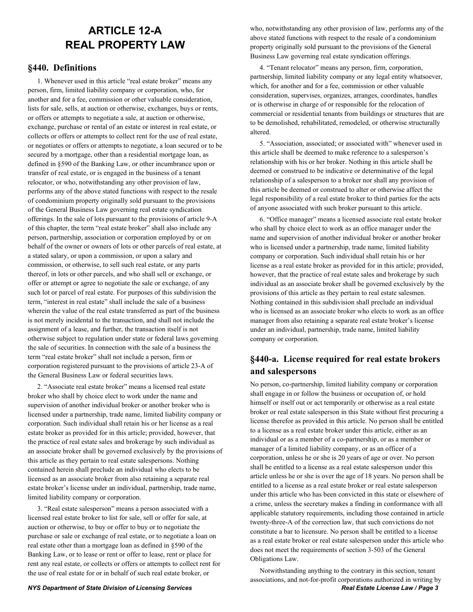### **ARTICLE 12-A REAL PROPERTY LAW**

#### **§440. Definitions**

1. Whenever used in this article "real estate broker" means any person, firm, limited liability company or corporation, who, for another and for a fee, commission or other valuable consideration, lists for sale, sells, at auction or otherwise, exchanges, buys or rents, or offers or attempts to negotiate a sale, at auction or otherwise, exchange, purchase or rental of an estate or interest in real estate, or collects or offers or attempts to collect rent for the use of real estate, or negotiates or offers or attempts to negotiate, a loan secured or to be secured by a mortgage, other than a residential mortgage loan, as defined in §590 of the Banking Law, or other incumbrance upon or transfer of real estate, or is engaged in the business of a tenant relocator, or who, notwithstanding any other provision of law, performs any of the above stated functions with respect to the resale of condominium property originally sold pursuant to the provisions of the General Business Law governing real estate syndication offerings. In the sale of lots pursuant to the provisions of article 9-A of this chapter, the term "real estate broker" shall also include any person, partnership, association or corporation employed by or on behalf of the owner or owners of lots or other parcels of real estate, at a stated salary, or upon a commission, or upon a salary and commission, or otherwise, to sell such real estate, or any parts thereof, in lots or other parcels, and who shall sell or exchange, or offer or attempt or agree to negotiate the sale or exchange, of any such lot or parcel of real estate. For purposes of this subdivision the term, "interest in real estate" shall include the sale of a business wherein the value of the real estate transferred as part of the business is not merely incidental to the transaction, and shall not include the assignment of a lease, and further, the transaction itself is not otherwise subject to regulation under state or federal laws governing the sale of securities. In connection with the sale of a business the term "real estate broker" shall not include a person, firm or corporation registered pursuant to the provisions of article 23-A of the General Business Law or federal securities laws.

2. "Associate real estate broker" means a licensed real estate broker who shall by choice elect to work under the name and supervision of another individual broker or another broker who is licensed under a partnership, trade name, limited liability company or corporation. Such individual shall retain his or her license as a real estate broker as provided for in this article; provided, however, that the practice of real estate sales and brokerage by such individual as an associate broker shall be governed exclusively by the provisions of this article as they pertain to real estate salespersons. Nothing contained herein shall preclude an individual who elects to be licensed as an associate broker from also retaining a separate real estate broker's license under an individual, partnership, trade name, limited liability company or corporation.

3. "Real estate salesperson" means a person associated with a licensed real estate broker to list for sale, sell or offer for sale, at auction or otherwise, to buy or offer to buy or to negotiate the purchase or sale or exchange of real estate, or to negotiate a loan on real estate other than a mortgage loan as defined in §590 of the Banking Law, or to lease or rent or offer to lease, rent or place for rent any real estate, or collects or offers or attempts to collect rent for the use of real estate for or in behalf of such real estate broker, or

who, notwithstanding any other provision of law, performs any of the above stated functions with respect to the resale of a condominium property originally sold pursuant to the provisions of the General Business Law governing real estate syndication offerings.

4. "Tenant relocator" means any person, firm, corporation, partnership, limited liability company or any legal entity whatsoever, which, for another and for a fee, commission or other valuable consideration, supervises, organizes, arranges, coordinates, handles or is otherwise in charge of or responsible for the relocation of commercial or residential tenants from buildings or structures that are to be demolished, rehabilitated, remodeled, or otherwise structurally altered.

5. "Association, associated; or associated with" whenever used in this article shall be deemed to make reference to a salesperson's relationship with his or her broker. Nothing in this article shall be deemed or construed to be indicative or determinative of the legal relationship of a salesperson to a broker nor shall any provision of this article be deemed or construed to alter or otherwise affect the legal responsibility of a real estate broker to third parties for the acts of anyone associated with such broker pursuant to this article.

6. "Office manager" means a licensed associate real estate broker who shall by choice elect to work as an office manager under the name and supervision of another individual broker or another broker who is licensed under a partnership, trade name, limited liability company or corporation. Such individual shall retain his or her license as a real estate broker as provided for in this article; provided, however, that the practice of real estate sales and brokerage by such individual as an associate broker shall be governed exclusively by the provisions of this article as they pertain to real estate salesmen. Nothing contained in this subdivision shall preclude an individual who is licensed as an associate broker who elects to work as an office manager from also retaining a separate real estate broker's license under an individual, partnership, trade name, limited liability company or corporation.

### **§440-a. License required for real estate brokers and salespersons**

No person, co-partnership, limited liability company or corporation shall engage in or follow the business or occupation of, or hold himself or itself out or act temporarily or otherwise as a real estate broker or real estate salesperson in this State without first procuring a license therefor as provided in this article. No person shall be entitled to a license as a real estate broker under this article, either as an individual or as a member of a co-partnership, or as a member or manager of a limited liability company, or as an officer of a corporation, unless he or she is 20 years of age or over. No person shall be entitled to a license as a real estate salesperson under this article unless he or she is over the age of 18 years. No person shall be entitled to a license as a real estate broker or real estate salesperson under this article who has been convicted in this state or elsewhere of a crime, unless the secretary makes a finding in conformance with all applicable statutory requirements, including those contained in article twenty-three-A of the correction law, that such convictions do not constitute a bar to licensure. No person shall be entitled to a license as a real estate broker or real estate salesperson under this article who does not meet the requirements of section 3-503 of the General Obligations Law.

*NYS Department of State Division of Licensing Services Real Estate License Law / Page 3* Notwithstanding anything to the contrary in this section, tenant associations, and not-for-profit corporations authorized in writing by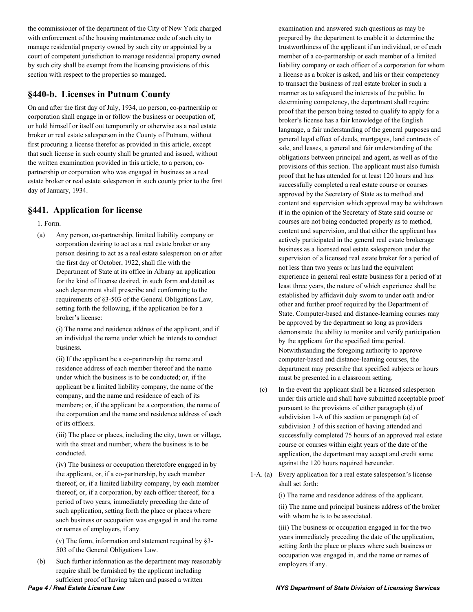the commissioner of the department of the City of New York charged with enforcement of the housing maintenance code of such city to manage residential property owned by such city or appointed by a court of competent jurisdiction to manage residential property owned by such city shall be exempt from the licensing provisions of this section with respect to the properties so managed.

### **§440-b. Licenses in Putnam County**

On and after the first day of July, 1934, no person, co-partnership or corporation shall engage in or follow the business or occupation of, or hold himself or itself out temporarily or otherwise as a real estate broker or real estate salesperson in the County of Putnam, without first procuring a license therefor as provided in this article, except that such license in such county shall be granted and issued, without the written examination provided in this article, to a person, copartnership or corporation who was engaged in business as a real estate broker or real estate salesperson in such county prior to the first day of January, 1934.

### **§441. Application for license**

1. Form.

(a) Any person, co-partnership, limited liability company or corporation desiring to act as a real estate broker or any person desiring to act as a real estate salesperson on or after the first day of October, 1922, shall file with the Department of State at its office in Albany an application for the kind of license desired, in such form and detail as such department shall prescribe and conforming to the requirements of §3-503 of the General Obligations Law, setting forth the following, if the application be for a broker's license:

> (i) The name and residence address of the applicant, and if an individual the name under which he intends to conduct business.

(ii) If the applicant be a co-partnership the name and residence address of each member thereof and the name under which the business is to be conducted; or, if the applicant be a limited liability company, the name of the company, and the name and residence of each of its members; or, if the applicant be a corporation, the name of the corporation and the name and residence address of each of its officers.

(iii) The place or places, including the city, town or village, with the street and number, where the business is to be conducted.

(iv) The business or occupation theretofore engaged in by the applicant, or, if a co-partnership, by each member thereof, or, if a limited liability company, by each member thereof, or, if a corporation, by each officer thereof, for a period of two years, immediately preceding the date of such application, setting forth the place or places where such business or occupation was engaged in and the name or names of employers, if any.

(v) The form, information and statement required by §3- 503 of the General Obligations Law.

(b) Such further information as the department may reasonably require shall be furnished by the applicant including sufficient proof of having taken and passed a written

examination and answered such questions as may be prepared by the department to enable it to determine the trustworthiness of the applicant if an individual, or of each member of a co-partnership or each member of a limited liability company or each officer of a corporation for whom a license as a broker is asked, and his or their competency to transact the business of real estate broker in such a manner as to safeguard the interests of the public. In determining competency, the department shall require proof that the person being tested to qualify to apply for a broker's license has a fair knowledge of the English language, a fair understanding of the general purposes and general legal effect of deeds, mortgages, land contracts of sale, and leases, a general and fair understanding of the obligations between principal and agent, as well as of the provisions of this section. The applicant must also furnish proof that he has attended for at least 120 hours and has successfully completed a real estate course or courses approved by the Secretary of State as to method and content and supervision which approval may be withdrawn if in the opinion of the Secretary of State said course or courses are not being conducted properly as to method, content and supervision, and that either the applicant has actively participated in the general real estate brokerage business as a licensed real estate salesperson under the supervision of a licensed real estate broker for a period of not less than two years or has had the equivalent experience in general real estate business for a period of at least three years, the nature of which experience shall be established by affidavit duly sworn to under oath and/or other and further proof required by the Department of State. Computer-based and distance-learning courses may be approved by the department so long as providers demonstrate the ability to monitor and verify participation by the applicant for the specified time period. Notwithstanding the foregoing authority to approve computer-based and distance-learning courses, the department may prescribe that specified subjects or hours must be presented in a classroom setting.

- (c) In the event the applicant shall be a licensed salesperson under this article and shall have submitted acceptable proof pursuant to the provisions of either paragraph (d) of subdivision 1-A of this section or paragraph (a) of subdivision 3 of this section of having attended and successfully completed 75 hours of an approved real estate course or courses within eight years of the date of the application, the department may accept and credit same against the 120 hours required hereunder.
- 1-A. (a) Every application for a real estate salesperson's license shall set forth:

(i) The name and residence address of the applicant. (ii) The name and principal business address of the broker with whom he is to be associated.

(iii) The business or occupation engaged in for the two years immediately preceding the date of the application, setting forth the place or places where such business or occupation was engaged in, and the name or names of employers if any.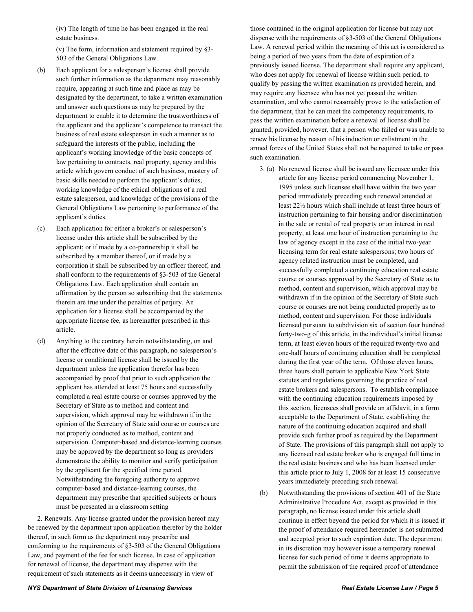(iv) The length of time he has been engaged in the real estate business.

(v) The form, information and statement required by §3- 503 of the General Obligations Law.

- (b) Each applicant for a salesperson's license shall provide such further information as the department may reasonably require, appearing at such time and place as may be designated by the department, to take a written examination and answer such questions as may be prepared by the department to enable it to determine the trustworthiness of the applicant and the applicant's competence to transact the business of real estate salesperson in such a manner as to safeguard the interests of the public, including the applicant's working knowledge of the basic concepts of law pertaining to contracts, real property, agency and this article which govern conduct of such business, mastery of basic skills needed to perform the applicant's duties, working knowledge of the ethical obligations of a real estate salesperson, and knowledge of the provisions of the General Obligations Law pertaining to performance of the applicant's duties.
- (c) Each application for either a broker's or salesperson's license under this article shall be subscribed by the applicant; or if made by a co-partnership it shall be subscribed by a member thereof, or if made by a corporation it shall be subscribed by an officer thereof, and shall conform to the requirements of §3-503 of the General Obligations Law. Each application shall contain an affirmation by the person so subscribing that the statements therein are true under the penalties of perjury. An application for a license shall be accompanied by the appropriate license fee, as hereinafter prescribed in this article.
- (d) Anything to the contrary herein notwithstanding, on and after the effective date of this paragraph, no salesperson's license or conditional license shall be issued by the department unless the application therefor has been accompanied by proof that prior to such application the applicant has attended at least 75 hours and successfully completed a real estate course or courses approved by the Secretary of State as to method and content and supervision, which approval may be withdrawn if in the opinion of the Secretary of State said course or courses are not properly conducted as to method, content and supervision. Computer-based and distance-learning courses may be approved by the department so long as providers demonstrate the ability to monitor and verify participation by the applicant for the specified time period. Notwithstanding the foregoing authority to approve computer-based and distance-learning courses, the department may prescribe that specified subjects or hours must be presented in a classroom setting

2. Renewals. Any license granted under the provision hereof may be renewed by the department upon application therefor by the holder thereof, in such form as the department may prescribe and conforming to the requirements of §3-503 of the General Obligations Law, and payment of the fee for such license. In case of application for renewal of license, the department may dispense with the requirement of such statements as it deems unnecessary in view of

those contained in the original application for license but may not dispense with the requirements of §3-503 of the General Obligations Law. A renewal period within the meaning of this act is considered as being a period of two years from the date of expiration of a previously issued license. The department shall require any applicant, who does not apply for renewal of license within such period, to qualify by passing the written examination as provided herein, and may require any licensee who has not yet passed the written examination, and who cannot reasonably prove to the satisfaction of the department, that he can meet the competency requirements, to pass the written examination before a renewal of license shall be granted; provided, however, that a person who failed or was unable to renew his license by reason of his induction or enlistment in the armed forces of the United States shall not be required to take or pass such examination.

- 3. (a) No renewal license shall be issued any licensee under this article for any license period commencing November 1, 1995 unless such licensee shall have within the two year period immediately preceding such renewal attended at least 22½ hours which shall include at least three hours of instruction pertaining to fair housing and/or discrimination in the sale or rental of real property or an interest in real property, at least one hour of instruction pertaining to the law of agency except in the case of the initial two-year licensing term for real estate salespersons; two hours of agency related instruction must be completed, and successfully completed a continuing education real estate course or courses approved by the Secretary of State as to method, content and supervision, which approval may be withdrawn if in the opinion of the Secretary of State such course or courses are not being conducted properly as to method, content and supervision. For those individuals licensed pursuant to subdivision six of section four hundred forty-two-g of this article, in the individual's initial license term, at least eleven hours of the required twenty-two and one-half hours of continuing education shall be completed during the first year of the term. Of those eleven hours, three hours shall pertain to applicable New York State statutes and regulations governing the practice of real estate brokers and salespersons. To establish compliance with the continuing education requirements imposed by this section, licensees shall provide an affidavit, in a form acceptable to the Department of State, establishing the nature of the continuing education acquired and shall provide such further proof as required by the Department of State. The provisions of this paragraph shall not apply to any licensed real estate broker who is engaged full time in the real estate business and who has been licensed under this article prior to July 1, 2008 for at least 15 consecutive years immediately preceding such renewal.
- (b) Notwithstanding the provisions of section 401 of the State Administrative Procedure Act, except as provided in this paragraph, no license issued under this article shall continue in effect beyond the period for which it is issued if the proof of attendance required hereunder is not submitted and accepted prior to such expiration date. The department in its discretion may however issue a temporary renewal license for such period of time it deems appropriate to permit the submission of the required proof of attendance

#### *NYS Department of State Division of Licensing Services* **Real Estate License Law / Page 5 Real Estate License Law / Page 5**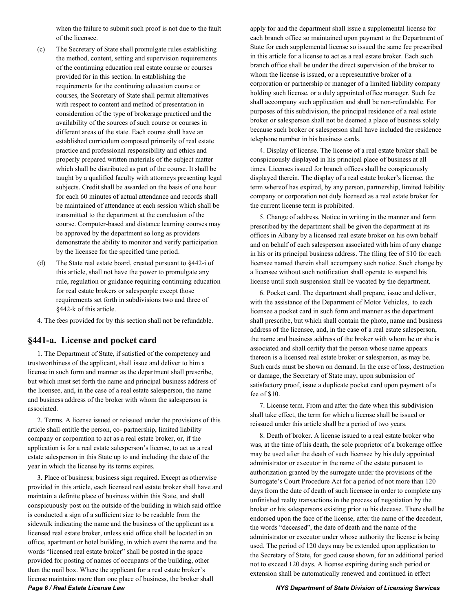when the failure to submit such proof is not due to the fault of the licensee.

- (c) The Secretary of State shall promulgate rules establishing the method, content, setting and supervision requirements of the continuing education real estate course or courses provided for in this section. In establishing the requirements for the continuing education course or courses, the Secretary of State shall permit alternatives with respect to content and method of presentation in consideration of the type of brokerage practiced and the availability of the sources of such course or courses in different areas of the state. Each course shall have an established curriculum composed primarily of real estate practice and professional responsibility and ethics and properly prepared written materials of the subject matter which shall be distributed as part of the course. It shall be taught by a qualified faculty with attorneys presenting legal subjects. Credit shall be awarded on the basis of one hour for each 60 minutes of actual attendance and records shall be maintained of attendance at each session which shall be transmitted to the department at the conclusion of the course. Computer-based and distance learning courses may be approved by the department so long as providers demonstrate the ability to monitor and verify participation by the licensee for the specified time period.
- (d) The State real estate board, created pursuant to §442-i of this article, shall not have the power to promulgate any rule, regulation or guidance requiring continuing education for real estate brokers or salespeople except those requirements set forth in subdivisions two and three of §442-k of this article.
- 4. The fees provided for by this section shall not be refundable.

#### **§441-a. License and pocket card**

1. The Department of State, if satisfied of the competency and trustworthiness of the applicant, shall issue and deliver to him a license in such form and manner as the department shall prescribe, but which must set forth the name and principal business address of the licensee, and, in the case of a real estate salesperson, the name and business address of the broker with whom the salesperson is associated.

2. Terms. A license issued or reissued under the provisions of this article shall entitle the person, co- partnership, limited liability company or corporation to act as a real estate broker, or, if the application is for a real estate salesperson's license, to act as a real estate salesperson in this State up to and including the date of the year in which the license by its terms expires.

*Page 6 / Real Estate License Law NYS Department of State Division of Licensing Services* 3. Place of business; business sign required. Except as otherwise provided in this article, each licensed real estate broker shall have and maintain a definite place of business within this State, and shall conspicuously post on the outside of the building in which said office is conducted a sign of a sufficient size to be readable from the sidewalk indicating the name and the business of the applicant as a licensed real estate broker, unless said office shall be located in an office, apartment or hotel building, in which event the name and the words "licensed real estate broker" shall be posted in the space provided for posting of names of occupants of the building, other than the mail box. Where the applicant for a real estate broker's license maintains more than one place of business, the broker shall

apply for and the department shall issue a supplemental license for each branch office so maintained upon payment to the Department of State for each supplemental license so issued the same fee prescribed in this article for a license to act as a real estate broker. Each such branch office shall be under the direct supervision of the broker to whom the license is issued, or a representative broker of a corporation or partnership or manager of a limited liability company holding such license, or a duly appointed office manager. Such fee shall accompany such application and shall be non-refundable. For purposes of this subdivision, the principal residence of a real estate broker or salesperson shall not be deemed a place of business solely because such broker or salesperson shall have included the residence telephone number in his business cards.

4. Display of license. The license of a real estate broker shall be conspicuously displayed in his principal place of business at all times. Licenses issued for branch offices shall be conspicuously displayed therein. The display of a real estate broker's license, the term whereof has expired, by any person, partnership, limited liability company or corporation not duly licensed as a real estate broker for the current license term is prohibited.

5. Change of address. Notice in writing in the manner and form prescribed by the department shall be given the department at its offices in Albany by a licensed real estate broker on his own behalf and on behalf of each salesperson associated with him of any change in his or its principal business address. The filing fee of \$10 for each licensee named therein shall accompany such notice. Such change by a licensee without such notification shall operate to suspend his license until such suspension shall be vacated by the department.

6. Pocket card. The department shall prepare, issue and deliver, with the assistance of the Department of Motor Vehicles, to each licensee a pocket card in such form and manner as the department shall prescribe, but which shall contain the photo, name and business address of the licensee, and, in the case of a real estate salesperson, the name and business address of the broker with whom he or she is associated and shall certify that the person whose name appears thereon is a licensed real estate broker or salesperson, as may be. Such cards must be shown on demand. In the case of loss, destruction or damage, the Secretary of State may, upon submission of satisfactory proof, issue a duplicate pocket card upon payment of a fee of \$10.

7. License term. From and after the date when this subdivision shall take effect, the term for which a license shall be issued or reissued under this article shall be a period of two years.

8. Death of broker. A license issued to a real estate broker who was, at the time of his death, the sole proprietor of a brokerage office may be used after the death of such licensee by his duly appointed administrator or executor in the name of the estate pursuant to authorization granted by the surrogate under the provisions of the Surrogate's Court Procedure Act for a period of not more than 120 days from the date of death of such licensee in order to complete any unfinished realty transactions in the process of negotiation by the broker or his salespersons existing prior to his decease. There shall be endorsed upon the face of the license, after the name of the decedent, the words "deceased", the date of death and the name of the administrator or executor under whose authority the license is being used. The period of 120 days may be extended upon application to the Secretary of State, for good cause shown, for an additional period not to exceed 120 days. A license expiring during such period or extension shall be automatically renewed and continued in effect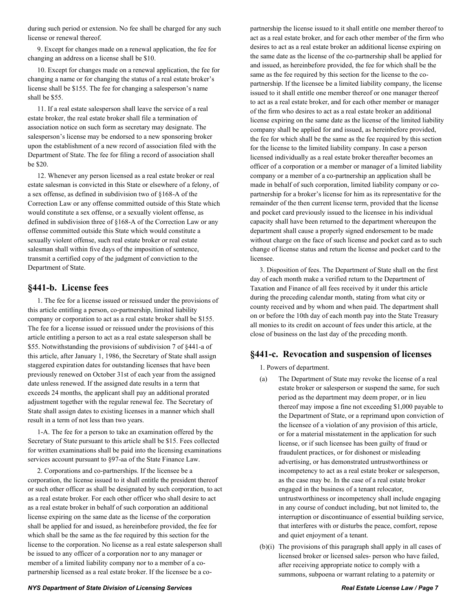during such period or extension. No fee shall be charged for any such license or renewal thereof.

9. Except for changes made on a renewal application, the fee for changing an address on a license shall be \$10.

10. Except for changes made on a renewal application, the fee for changing a name or for changing the status of a real estate broker's license shall be \$155. The fee for changing a salesperson's name shall be \$55.

11. If a real estate salesperson shall leave the service of a real estate broker, the real estate broker shall file a termination of association notice on such form as secretary may designate. The salesperson's license may be endorsed to a new sponsoring broker upon the establishment of a new record of association filed with the Department of State. The fee for filing a record of association shall be \$20.

12. Whenever any person licensed as a real estate broker or real estate salesman is convicted in this State or elsewhere of a felony, of a sex offense, as defined in subdivision two of §168-A of the Correction Law or any offense committed outside of this State which would constitute a sex offense, or a sexually violent offense, as defined in subdivision three of §168-A of the Correction Law or any offense committed outside this State which would constitute a sexually violent offense, such real estate broker or real estate salesman shall within five days of the imposition of sentence, transmit a certified copy of the judgment of conviction to the Department of State.

#### **§441-b. License fees**

1. The fee for a license issued or reissued under the provisions of this article entitling a person, co-partnership, limited liability company or corporation to act as a real estate broker shall be \$155. The fee for a license issued or reissued under the provisions of this article entitling a person to act as a real estate salesperson shall be \$55. Notwithstanding the provisions of subdivision 7 of §441-a of this article, after January 1, 1986, the Secretary of State shall assign staggered expiration dates for outstanding licenses that have been previously renewed on October 31st of each year from the assigned date unless renewed. If the assigned date results in a term that exceeds 24 months, the applicant shall pay an additional prorated adjustment together with the regular renewal fee. The Secretary of State shall assign dates to existing licenses in a manner which shall result in a term of not less than two years.

1-A. The fee for a person to take an examination offered by the Secretary of State pursuant to this article shall be \$15. Fees collected for written examinations shall be paid into the licensing examinations services account pursuant to §97-aa of the State Finance Law.

2. Corporations and co-partnerships. If the licensee be a corporation, the license issued to it shall entitle the president thereof or such other officer as shall be designated by such corporation, to act as a real estate broker. For each other officer who shall desire to act as a real estate broker in behalf of such corporation an additional license expiring on the same date as the license of the corporation shall be applied for and issued, as hereinbefore provided, the fee for which shall be the same as the fee required by this section for the license to the corporation. No license as a real estate salesperson shall be issued to any officer of a corporation nor to any manager or member of a limited liability company nor to a member of a copartnership licensed as a real estate broker. If the licensee be a copartnership the license issued to it shall entitle one member thereof to act as a real estate broker, and for each other member of the firm who desires to act as a real estate broker an additional license expiring on the same date as the license of the co-partnership shall be applied for and issued, as hereinbefore provided, the fee for which shall be the same as the fee required by this section for the license to the copartnership. If the licensee be a limited liability company, the license issued to it shall entitle one member thereof or one manager thereof to act as a real estate broker, and for each other member or manager of the firm who desires to act as a real estate broker an additional license expiring on the same date as the license of the limited liability company shall be applied for and issued, as hereinbefore provided, the fee for which shall be the same as the fee required by this section for the license to the limited liability company. In case a person licensed individually as a real estate broker thereafter becomes an officer of a corporation or a member or manager of a limited liability company or a member of a co-partnership an application shall be made in behalf of such corporation, limited liability company or copartnership for a broker's license for him as its representative for the remainder of the then current license term, provided that the license and pocket card previously issued to the licensee in his individual capacity shall have been returned to the department whereupon the department shall cause a properly signed endorsement to be made without charge on the face of such license and pocket card as to such change of license status and return the license and pocket card to the licensee.

3. Disposition of fees. The Department of State shall on the first day of each month make a verified return to the Department of Taxation and Finance of all fees received by it under this article during the preceding calendar month, stating from what city or county received and by whom and when paid. The department shall on or before the 10th day of each month pay into the State Treasury all monies to its credit on account of fees under this article, at the close of business on the last day of the preceding month.

#### **§441-c. Revocation and suspension of licenses**

1. Powers of department.

- (a) The Department of State may revoke the license of a real estate broker or salesperson or suspend the same, for such period as the department may deem proper, or in lieu thereof may impose a fine not exceeding \$1,000 payable to the Department of State, or a reprimand upon conviction of the licensee of a violation of any provision of this article, or for a material misstatement in the application for such license, or if such licensee has been guilty of fraud or fraudulent practices, or for dishonest or misleading advertising, or has demonstrated untrustworthiness or incompetency to act as a real estate broker or salesperson, as the case may be. In the case of a real estate broker engaged in the business of a tenant relocator, untrustworthiness or incompetency shall include engaging in any course of conduct including, but not limited to, the interruption or discontinuance of essential building service, that interferes with or disturbs the peace, comfort, repose and quiet enjoyment of a tenant.
- (b)(i) The provisions of this paragraph shall apply in all cases of licensed broker or licensed sales- person who have failed, after receiving appropriate notice to comply with a summons, subpoena or warrant relating to a paternity or

#### *NYS Department of State Division of Licensing Services Real Estate License Law / Page 7*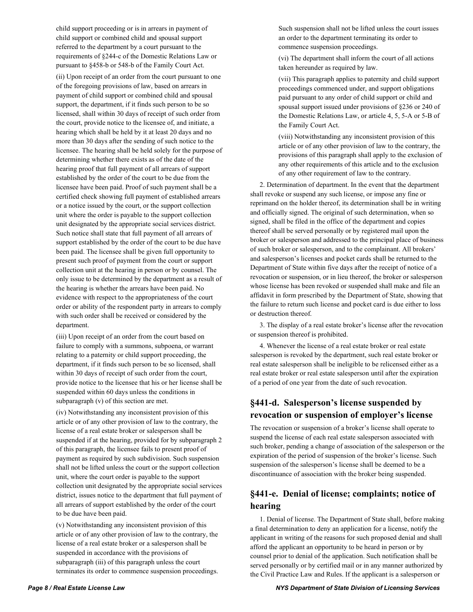child support proceeding or is in arrears in payment of child support or combined child and spousal support referred to the department by a court pursuant to the requirements of §244-c of the Domestic Relations Law or pursuant to §458-b or 548-b of the Family Court Act.

(ii) Upon receipt of an order from the court pursuant to one of the foregoing provisions of law, based on arrears in payment of child support or combined child and spousal support, the department, if it finds such person to be so licensed, shall within 30 days of receipt of such order from the court, provide notice to the licensee of, and initiate, a hearing which shall be held by it at least 20 days and no more than 30 days after the sending of such notice to the licensee. The hearing shall be held solely for the purpose of determining whether there exists as of the date of the hearing proof that full payment of all arrears of support established by the order of the court to be due from the licensee have been paid. Proof of such payment shall be a certified check showing full payment of established arrears or a notice issued by the court, or the support collection unit where the order is payable to the support collection unit designated by the appropriate social services district. Such notice shall state that full payment of all arrears of support established by the order of the court to be due have been paid. The licensee shall be given full opportunity to present such proof of payment from the court or support collection unit at the hearing in person or by counsel. The only issue to be determined by the department as a result of the hearing is whether the arrears have been paid. No evidence with respect to the appropriateness of the court order or ability of the respondent party in arrears to comply with such order shall be received or considered by the department.

(iii) Upon receipt of an order from the court based on failure to comply with a summons, subpoena, or warrant relating to a paternity or child support proceeding, the department, if it finds such person to be so licensed, shall within 30 days of receipt of such order from the court, provide notice to the licensee that his or her license shall be suspended within 60 days unless the conditions in subparagraph (v) of this section are met.

(iv) Notwithstanding any inconsistent provision of this article or of any other provision of law to the contrary, the license of a real estate broker or salesperson shall be suspended if at the hearing, provided for by subparagraph 2 of this paragraph, the licensee fails to present proof of payment as required by such subdivision. Such suspension shall not be lifted unless the court or the support collection unit, where the court order is payable to the support collection unit designated by the appropriate social services district, issues notice to the department that full payment of all arrears of support established by the order of the court to be due have been paid.

(v) Notwithstanding any inconsistent provision of this article or of any other provision of law to the contrary, the license of a real estate broker or a salesperson shall be suspended in accordance with the provisions of subparagraph (iii) of this paragraph unless the court terminates its order to commence suspension proceedings. Such suspension shall not be lifted unless the court issues an order to the department terminating its order to commence suspension proceedings.

(vi) The department shall inform the court of all actions taken hereunder as required by law.

(vii) This paragraph applies to paternity and child support proceedings commenced under, and support obligations paid pursuant to any order of child support or child and spousal support issued under provisions of §236 or 240 of the Domestic Relations Law, or article 4, 5, 5-A or 5-B of the Family Court Act.

(viii) Notwithstanding any inconsistent provision of this article or of any other provision of law to the contrary, the provisions of this paragraph shall apply to the exclusion of any other requirements of this article and to the exclusion of any other requirement of law to the contrary.

2. Determination of department. In the event that the department shall revoke or suspend any such license, or impose any fine or reprimand on the holder thereof, its determination shall be in writing and officially signed. The original of such determination, when so signed, shall be filed in the office of the department and copies thereof shall be served personally or by registered mail upon the broker or salesperson and addressed to the principal place of business of such broker or salesperson, and to the complainant. All brokers' and salesperson's licenses and pocket cards shall be returned to the Department of State within five days after the receipt of notice of a revocation or suspension, or in lieu thereof, the broker or salesperson whose license has been revoked or suspended shall make and file an affidavit in form prescribed by the Department of State, showing that the failure to return such license and pocket card is due either to loss or destruction thereof.

3. The display of a real estate broker's license after the revocation or suspension thereof is prohibited.

4. Whenever the license of a real estate broker or real estate salesperson is revoked by the department, such real estate broker or real estate salesperson shall be ineligible to be relicensed either as a real estate broker or real estate salesperson until after the expiration of a period of one year from the date of such revocation.

### **§441-d. Salesperson's license suspended by revocation or suspension of employer's license**

The revocation or suspension of a broker's license shall operate to suspend the license of each real estate salesperson associated with such broker, pending a change of association of the salesperson or the expiration of the period of suspension of the broker's license. Such suspension of the salesperson's license shall be deemed to be a discontinuance of association with the broker being suspended.

### **§441-e. Denial of license; complaints; notice of hearing**

1. Denial of license. The Department of State shall, before making a final determination to deny an application for a license, notify the applicant in writing of the reasons for such proposed denial and shall afford the applicant an opportunity to be heard in person or by counsel prior to denial of the application. Such notification shall be served personally or by certified mail or in any manner authorized by the Civil Practice Law and Rules. If the applicant is a salesperson or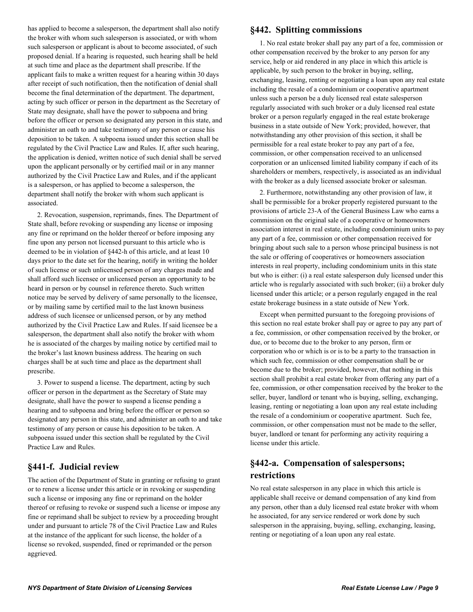has applied to become a salesperson, the department shall also notify the broker with whom such salesperson is associated, or with whom such salesperson or applicant is about to become associated, of such proposed denial. If a hearing is requested, such hearing shall be held at such time and place as the department shall prescribe. If the applicant fails to make a written request for a hearing within 30 days after receipt of such notification, then the notification of denial shall become the final determination of the department. The department, acting by such officer or person in the department as the Secretary of State may designate, shall have the power to subpoena and bring before the officer or person so designated any person in this state, and administer an oath to and take testimony of any person or cause his deposition to be taken. A subpoena issued under this section shall be regulated by the Civil Practice Law and Rules. If, after such hearing, the application is denied, written notice of such denial shall be served upon the applicant personally or by certified mail or in any manner authorized by the Civil Practice Law and Rules, and if the applicant is a salesperson, or has applied to become a salesperson, the department shall notify the broker with whom such applicant is associated.

2. Revocation, suspension, reprimands, fines. The Department of State shall, before revoking or suspending any license or imposing any fine or reprimand on the holder thereof or before imposing any fine upon any person not licensed pursuant to this article who is deemed to be in violation of §442-h of this article, and at least 10 days prior to the date set for the hearing, notify in writing the holder of such license or such unlicensed person of any charges made and shall afford such licensee or unlicensed person an opportunity to be heard in person or by counsel in reference thereto. Such written notice may be served by delivery of same personally to the licensee, or by mailing same by certified mail to the last known business address of such licensee or unlicensed person, or by any method authorized by the Civil Practice Law and Rules. If said licensee be a salesperson, the department shall also notify the broker with whom he is associated of the charges by mailing notice by certified mail to the broker's last known business address. The hearing on such charges shall be at such time and place as the department shall prescribe.

3. Power to suspend a license. The department, acting by such officer or person in the department as the Secretary of State may designate, shall have the power to suspend a license pending a hearing and to subpoena and bring before the officer or person so designated any person in this state, and administer an oath to and take testimony of any person or cause his deposition to be taken. A subpoena issued under this section shall be regulated by the Civil Practice Law and Rules.

### **§441-f. Judicial review**

The action of the Department of State in granting or refusing to grant or to renew a license under this article or in revoking or suspending such a license or imposing any fine or reprimand on the holder thereof or refusing to revoke or suspend such a license or impose any fine or reprimand shall be subject to review by a proceeding brought under and pursuant to article 78 of the Civil Practice Law and Rules at the instance of the applicant for such license, the holder of a license so revoked, suspended, fined or reprimanded or the person aggrieved.

#### **§442. Splitting commissions**

1. No real estate broker shall pay any part of a fee, commission or other compensation received by the broker to any person for any service, help or aid rendered in any place in which this article is applicable, by such person to the broker in buying, selling, exchanging, leasing, renting or negotiating a loan upon any real estate including the resale of a condominium or cooperative apartment unless such a person be a duly licensed real estate salesperson regularly associated with such broker or a duly licensed real estate broker or a person regularly engaged in the real estate brokerage business in a state outside of New York; provided, however, that notwithstanding any other provision of this section, it shall be permissible for a real estate broker to pay any part of a fee, commission, or other compensation received to an unlicensed corporation or an unlicensed limited liability company if each of its shareholders or members, respectively, is associated as an individual with the broker as a duly licensed associate broker or salesman.

2. Furthermore, notwithstanding any other provision of law, it shall be permissible for a broker properly registered pursuant to the provisions of article 23-A of the General Business Law who earns a commission on the original sale of a cooperative or homeowners association interest in real estate, including condominium units to pay any part of a fee, commission or other compensation received for bringing about such sale to a person whose principal business is not the sale or offering of cooperatives or homeowners association interests in real property, including condominium units in this state but who is either: (i) a real estate salesperson duly licensed under this article who is regularly associated with such broker; (ii) a broker duly licensed under this article; or a person regularly engaged in the real estate brokerage business in a state outside of New York.

Except when permitted pursuant to the foregoing provisions of this section no real estate broker shall pay or agree to pay any part of a fee, commission, or other compensation received by the broker, or due, or to become due to the broker to any person, firm or corporation who or which is or is to be a party to the transaction in which such fee, commission or other compensation shall be or become due to the broker; provided, however, that nothing in this section shall prohibit a real estate broker from offering any part of a fee, commission, or other compensation received by the broker to the seller, buyer, landlord or tenant who is buying, selling, exchanging, leasing, renting or negotiating a loan upon any real estate including the resale of a condominium or cooperative apartment. Such fee, commission, or other compensation must not be made to the seller, buyer, landlord or tenant for performing any activity requiring a license under this article.

### **§442-a. Compensation of salespersons; restrictions**

No real estate salesperson in any place in which this article is applicable shall receive or demand compensation of any kind from any person, other than a duly licensed real estate broker with whom he associated, for any service rendered or work done by such salesperson in the appraising, buying, selling, exchanging, leasing, renting or negotiating of a loan upon any real estate.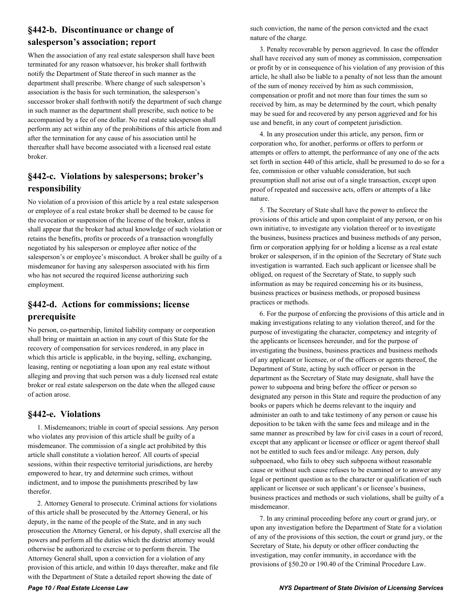### **§442-b. Discontinuance or change of salesperson's association; report**

When the association of any real estate salesperson shall have been terminated for any reason whatsoever, his broker shall forthwith notify the Department of State thereof in such manner as the department shall prescribe. Where change of such salesperson's association is the basis for such termination, the salesperson's successor broker shall forthwith notify the department of such change in such manner as the department shall prescribe, such notice to be accompanied by a fee of one dollar. No real estate salesperson shall perform any act within any of the prohibitions of this article from and after the termination for any cause of his association until he thereafter shall have become associated with a licensed real estate broker.

### **§442-c. Violations by salespersons; broker's responsibility**

No violation of a provision of this article by a real estate salesperson or employee of a real estate broker shall be deemed to be cause for the revocation or suspension of the license of the broker, unless it shall appear that the broker had actual knowledge of such violation or retains the benefits, profits or proceeds of a transaction wrongfully negotiated by his salesperson or employee after notice of the salesperson's or employee's misconduct. A broker shall be guilty of a misdemeanor for having any salesperson associated with his firm who has not secured the required license authorizing such employment.

### **§442-d. Actions for commissions; license prerequisite**

No person, co-partnership, limited liability company or corporation shall bring or maintain an action in any court of this State for the recovery of compensation for services rendered, in any place in which this article is applicable, in the buying, selling, exchanging, leasing, renting or negotiating a loan upon any real estate without alleging and proving that such person was a duly licensed real estate broker or real estate salesperson on the date when the alleged cause of action arose.

### **§442-e. Violations**

1. Misdemeanors; triable in court of special sessions. Any person who violates any provision of this article shall be guilty of a misdemeanor. The commission of a single act prohibited by this article shall constitute a violation hereof. All courts of special sessions, within their respective territorial jurisdictions, are hereby empowered to hear, try and determine such crimes, without indictment, and to impose the punishments prescribed by law therefor.

2. Attorney General to prosecute. Criminal actions for violations of this article shall be prosecuted by the Attorney General, or his deputy, in the name of the people of the State, and in any such prosecution the Attorney General, or his deputy, shall exercise all the powers and perform all the duties which the district attorney would otherwise be authorized to exercise or to perform therein. The Attorney General shall, upon a conviction for a violation of any provision of this article, and within 10 days thereafter, make and file with the Department of State a detailed report showing the date of

such conviction, the name of the person convicted and the exact nature of the charge.

3. Penalty recoverable by person aggrieved. In case the offender shall have received any sum of money as commission, compensation or profit by or in consequence of his violation of any provision of this article, he shall also be liable to a penalty of not less than the amount of the sum of money received by him as such commission, compensation or profit and not more than four times the sum so received by him, as may be determined by the court, which penalty may be sued for and recovered by any person aggrieved and for his use and benefit, in any court of competent jurisdiction.

4. In any prosecution under this article, any person, firm or corporation who, for another, performs or offers to perform or attempts or offers to attempt, the performance of any one of the acts set forth in section 440 of this article, shall be presumed to do so for a fee, commission or other valuable consideration, but such presumption shall not arise out of a single transaction, except upon proof of repeated and successive acts, offers or attempts of a like nature.

5. The Secretary of State shall have the power to enforce the provisions of this article and upon complaint of any person, or on his own initiative, to investigate any violation thereof or to investigate the business, business practices and business methods of any person, firm or corporation applying for or holding a license as a real estate broker or salesperson, if in the opinion of the Secretary of State such investigation is warranted. Each such applicant or licensee shall be obliged, on request of the Secretary of State, to supply such information as may be required concerning his or its business, business practices or business methods, or proposed business practices or methods.

6. For the purpose of enforcing the provisions of this article and in making investigations relating to any violation thereof, and for the purpose of investigating the character, competency and integrity of the applicants or licensees hereunder, and for the purpose of investigating the business, business practices and business methods of any applicant or licensee, or of the officers or agents thereof, the Department of State, acting by such officer or person in the department as the Secretary of State may designate, shall have the power to subpoena and bring before the officer or person so designated any person in this State and require the production of any books or papers which he deems relevant to the inquiry and administer an oath to and take testimony of any person or cause his deposition to be taken with the same fees and mileage and in the same manner as prescribed by law for civil cases in a court of record, except that any applicant or licensee or officer or agent thereof shall not be entitled to such fees and/or mileage. Any person, duly subpoenaed, who fails to obey such subpoena without reasonable cause or without such cause refuses to be examined or to answer any legal or pertinent question as to the character or qualification of such applicant or licensee or such applicant's or licensee's business, business practices and methods or such violations, shall be guilty of a misdemeanor.

7. In any criminal proceeding before any court or grand jury, or upon any investigation before the Department of State for a violation of any of the provisions of this section, the court or grand jury, or the Secretary of State, his deputy or other officer conducting the investigation, may confer immunity, in accordance with the provisions of §50.20 or 190.40 of the Criminal Procedure Law.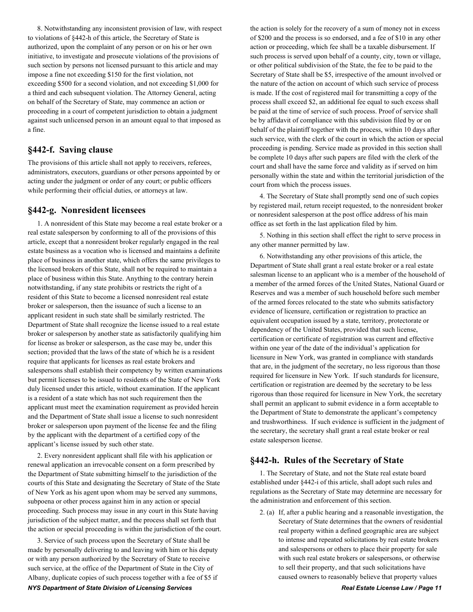8. Notwithstanding any inconsistent provision of law, with respect to violations of §442-h of this article, the Secretary of State is authorized, upon the complaint of any person or on his or her own initiative, to investigate and prosecute violations of the provisions of such section by persons not licensed pursuant to this article and may impose a fine not exceeding \$150 for the first violation, not exceeding \$500 for a second violation, and not exceeding \$1,000 for a third and each subsequent violation. The Attorney General, acting on behalf of the Secretary of State, may commence an action or proceeding in a court of competent jurisdiction to obtain a judgment against such unlicensed person in an amount equal to that imposed as a fine.

#### **§442-f. Saving clause**

The provisions of this article shall not apply to receivers, referees, administrators, executors, guardians or other persons appointed by or acting under the judgment or order of any court; or public officers while performing their official duties, or attorneys at law.

#### **§442-g. Nonresident licensees**

1. A nonresident of this State may become a real estate broker or a real estate salesperson by conforming to all of the provisions of this article, except that a nonresident broker regularly engaged in the real estate business as a vocation who is licensed and maintains a definite place of business in another state, which offers the same privileges to the licensed brokers of this State, shall not be required to maintain a place of business within this State. Anything to the contrary herein notwithstanding, if any state prohibits or restricts the right of a resident of this State to become a licensed nonresident real estate broker or salesperson, then the issuance of such a license to an applicant resident in such state shall be similarly restricted. The Department of State shall recognize the license issued to a real estate broker or salesperson by another state as satisfactorily qualifying him for license as broker or salesperson, as the case may be, under this section; provided that the laws of the state of which he is a resident require that applicants for licenses as real estate brokers and salespersons shall establish their competency by written examinations but permit licenses to be issued to residents of the State of New York duly licensed under this article, without examination. If the applicant is a resident of a state which has not such requirement then the applicant must meet the examination requirement as provided herein and the Department of State shall issue a license to such nonresident broker or salesperson upon payment of the license fee and the filing by the applicant with the department of a certified copy of the applicant's license issued by such other state.

2. Every nonresident applicant shall file with his application or renewal application an irrevocable consent on a form prescribed by the Department of State submitting himself to the jurisdiction of the courts of this State and designating the Secretary of State of the State of New York as his agent upon whom may be served any summons, subpoena or other process against him in any action or special proceeding. Such process may issue in any court in this State having jurisdiction of the subject matter, and the process shall set forth that the action or special proceeding is within the jurisdiction of the court.

3. Service of such process upon the Secretary of State shall be made by personally delivering to and leaving with him or his deputy or with any person authorized by the Secretary of State to receive such service, at the office of the Department of State in the City of Albany, duplicate copies of such process together with a fee of \$5 if

the action is solely for the recovery of a sum of money not in excess of \$200 and the process is so endorsed, and a fee of \$10 in any other action or proceeding, which fee shall be a taxable disbursement. If such process is served upon behalf of a county, city, town or village, or other political subdivision of the State, the fee to be paid to the Secretary of State shall be \$5, irrespective of the amount involved or the nature of the action on account of which such service of process is made. If the cost of registered mail for transmitting a copy of the process shall exceed \$2, an additional fee equal to such excess shall be paid at the time of service of such process. Proof of service shall be by affidavit of compliance with this subdivision filed by or on behalf of the plaintiff together with the process, within 10 days after such service, with the clerk of the court in which the action or special proceeding is pending. Service made as provided in this section shall be complete 10 days after such papers are filed with the clerk of the court and shall have the same force and validity as if served on him personally within the state and within the territorial jurisdiction of the court from which the process issues.

4. The Secretary of State shall promptly send one of such copies by registered mail, return receipt requested, to the nonresident broker or nonresident salesperson at the post office address of his main office as set forth in the last application filed by him.

5. Nothing in this section shall effect the right to serve process in any other manner permitted by law.

6. Notwithstanding any other provisions of this article, the Department of State shall grant a real estate broker or a real estate salesman license to an applicant who is a member of the household of a member of the armed forces of the United States, National Guard or Reserves and was a member of such household before such member of the armed forces relocated to the state who submits satisfactory evidence of licensure, certification or registration to practice an equivalent occupation issued by a state, territory, protectorate or dependency of the United States, provided that such license, certification or certificate of registration was current and effective within one year of the date of the individual's application for licensure in New York, was granted in compliance with standards that are, in the judgment of the secretary, no less rigorous than those required for licensure in New York. If such standards for licensure, certification or registration are deemed by the secretary to be less rigorous than those required for licensure in New York, the secretary shall permit an applicant to submit evidence in a form acceptable to the Department of State to demonstrate the applicant's competency and trushworthiness. If such evidence is sufficient in the judgment of the secretary, the secretary shall grant a real estate broker or real estate salesperson license.

#### **§442-h. Rules of the Secretary of State**

1. The Secretary of State, and not the State real estate board established under §442-i of this article, shall adopt such rules and regulations as the Secretary of State may determine are necessary for the administration and enforcement of this section.

2. (a) If, after a public hearing and a reasonable investigation, the Secretary of State determines that the owners of residential real property within a defined geographic area are subject to intense and repeated solicitations by real estate brokers and salespersons or others to place their property for sale with such real estate brokers or salespersons, or otherwise to sell their property, and that such solicitations have caused owners to reasonably believe that property values

*NYS Department of State Division of Licensing Services Real Estate License Law / Page 11*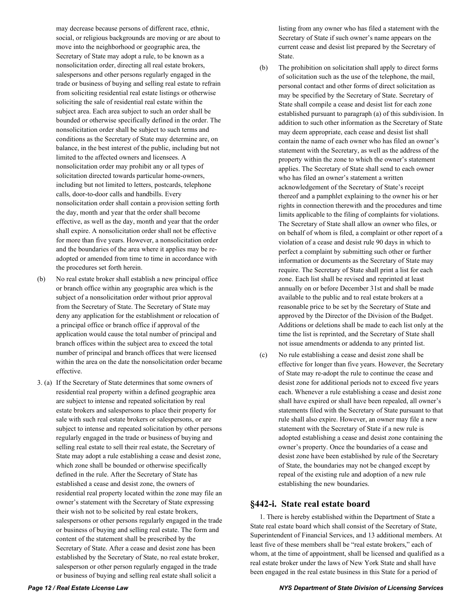may decrease because persons of different race, ethnic, social, or religious backgrounds are moving or are about to move into the neighborhood or geographic area, the Secretary of State may adopt a rule, to be known as a nonsolicitation order, directing all real estate brokers, salespersons and other persons regularly engaged in the trade or business of buying and selling real estate to refrain from soliciting residential real estate listings or otherwise soliciting the sale of residential real estate within the subject area. Each area subject to such an order shall be bounded or otherwise specifically defined in the order. The nonsolicitation order shall be subject to such terms and conditions as the Secretary of State may determine are, on balance, in the best interest of the public, including but not limited to the affected owners and licensees. A nonsolicitation order may prohibit any or all types of solicitation directed towards particular home-owners, including but not limited to letters, postcards, telephone calls, door-to-door calls and handbills. Every nonsolicitation order shall contain a provision setting forth the day, month and year that the order shall become effective, as well as the day, month and year that the order shall expire. A nonsolicitation order shall not be effective for more than five years. However, a nonsolicitation order and the boundaries of the area where it applies may be readopted or amended from time to time in accordance with the procedures set forth herein.

- (b) No real estate broker shall establish a new principal office or branch office within any geographic area which is the subject of a nonsolicitation order without prior approval from the Secretary of State. The Secretary of State may deny any application for the establishment or relocation of a principal office or branch office if approval of the application would cause the total number of principal and branch offices within the subject area to exceed the total number of principal and branch offices that were licensed within the area on the date the nonsolicitation order became effective.
- 3. (a) If the Secretary of State determines that some owners of residential real property within a defined geographic area are subject to intense and repeated solicitation by real estate brokers and salespersons to place their property for sale with such real estate brokers or salespersons, or are subject to intense and repeated solicitation by other persons regularly engaged in the trade or business of buying and selling real estate to sell their real estate, the Secretary of State may adopt a rule establishing a cease and desist zone, which zone shall be bounded or otherwise specifically defined in the rule. After the Secretary of State has established a cease and desist zone, the owners of residential real property located within the zone may file an owner's statement with the Secretary of State expressing their wish not to be solicited by real estate brokers, salespersons or other persons regularly engaged in the trade or business of buying and selling real estate. The form and content of the statement shall be prescribed by the Secretary of State. After a cease and desist zone has been established by the Secretary of State, no real estate broker, salesperson or other person regularly engaged in the trade or business of buying and selling real estate shall solicit a

listing from any owner who has filed a statement with the Secretary of State if such owner's name appears on the current cease and desist list prepared by the Secretary of State.

- (b) The prohibition on solicitation shall apply to direct forms of solicitation such as the use of the telephone, the mail, personal contact and other forms of direct solicitation as may be specified by the Secretary of State. Secretary of State shall compile a cease and desist list for each zone established pursuant to paragraph (a) of this subdivision. In addition to such other information as the Secretary of State may deem appropriate, each cease and desist list shall contain the name of each owner who has filed an owner's statement with the Secretary, as well as the address of the property within the zone to which the owner's statement applies. The Secretary of State shall send to each owner who has filed an owner's statement a written acknowledgement of the Secretary of State's receipt thereof and a pamphlet explaining to the owner his or her rights in connection therewith and the procedures and time limits applicable to the filing of complaints for violations. The Secretary of State shall allow an owner who files, or on behalf of whom is filed, a complaint or other report of a violation of a cease and desist rule 90 days in which to perfect a complaint by submitting such other or further information or documents as the Secretary of State may require. The Secretary of State shall print a list for each zone. Each list shall be revised and reprinted at least annually on or before December 31st and shall be made available to the public and to real estate brokers at a reasonable price to be set by the Secretary of State and approved by the Director of the Division of the Budget. Additions or deletions shall be made to each list only at the time the list is reprinted, and the Secretary of State shall not issue amendments or addenda to any printed list.
- (c) No rule establishing a cease and desist zone shall be effective for longer than five years. However, the Secretary of State may re-adopt the rule to continue the cease and desist zone for additional periods not to exceed five years each. Whenever a rule establishing a cease and desist zone shall have expired or shall have been repealed, all owner's statements filed with the Secretary of State pursuant to that rule shall also expire. However, an owner may file a new statement with the Secretary of State if a new rule is adopted establishing a cease and desist zone containing the owner's property. Once the boundaries of a cease and desist zone have been established by rule of the Secretary of State, the boundaries may not be changed except by repeal of the existing rule and adoption of a new rule establishing the new boundaries.

#### **§442-i. State real estate board**

1. There is hereby established within the Department of State a State real estate board which shall consist of the Secretary of State, Superintendent of Financial Services, and 13 additional members. At least five of these members shall be "real estate brokers," each of whom, at the time of appointment, shall be licensed and qualified as a real estate broker under the laws of New York State and shall have been engaged in the real estate business in this State for a period of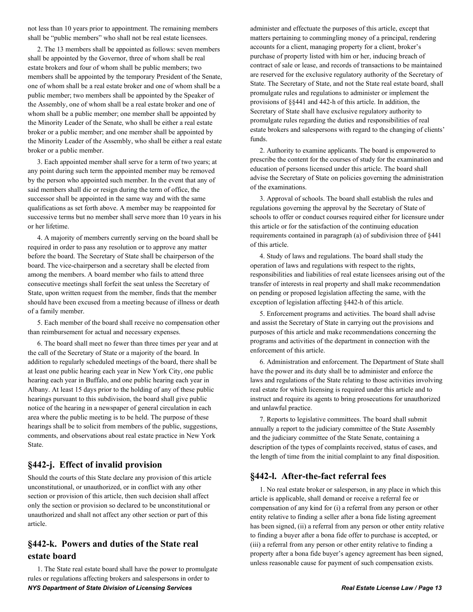not less than 10 years prior to appointment. The remaining members shall be "public members" who shall not be real estate licensees.

2. The 13 members shall be appointed as follows: seven members shall be appointed by the Governor, three of whom shall be real estate brokers and four of whom shall be public members; two members shall be appointed by the temporary President of the Senate, one of whom shall be a real estate broker and one of whom shall be a public member; two members shall be appointed by the Speaker of the Assembly, one of whom shall be a real estate broker and one of whom shall be a public member; one member shall be appointed by the Minority Leader of the Senate, who shall be either a real estate broker or a public member; and one member shall be appointed by the Minority Leader of the Assembly, who shall be either a real estate broker or a public member.

3. Each appointed member shall serve for a term of two years; at any point during such term the appointed member may be removed by the person who appointed such member. In the event that any of said members shall die or resign during the term of office, the successor shall be appointed in the same way and with the same qualifications as set forth above. A member may be reappointed for successive terms but no member shall serve more than 10 years in his or her lifetime.

4. A majority of members currently serving on the board shall be required in order to pass any resolution or to approve any matter before the board. The Secretary of State shall be chairperson of the board. The vice-chairperson and a secretary shall be elected from among the members. A board member who fails to attend three consecutive meetings shall forfeit the seat unless the Secretary of State, upon written request from the member, finds that the member should have been excused from a meeting because of illness or death of a family member.

5. Each member of the board shall receive no compensation other than reimbursement for actual and necessary expenses.

6. The board shall meet no fewer than three times per year and at the call of the Secretary of State or a majority of the board. In addition to regularly scheduled meetings of the board, there shall be at least one public hearing each year in New York City, one public hearing each year in Buffalo, and one public hearing each year in Albany. At least 15 days prior to the holding of any of these public hearings pursuant to this subdivision, the board shall give public notice of the hearing in a newspaper of general circulation in each area where the public meeting is to be held. The purpose of these hearings shall be to solicit from members of the public, suggestions, comments, and observations about real estate practice in New York State.

#### **§442-j. Effect of invalid provision**

Should the courts of this State declare any provision of this article unconstitutional, or unauthorized, or in conflict with any other section or provision of this article, then such decision shall affect only the section or provision so declared to be unconstitutional or unauthorized and shall not affect any other section or part of this article.

### **§442-k. Powers and duties of the State real estate board**

*NYS Department of State Division of Licensing Services Real Estate License Law / Page 13* 1. The State real estate board shall have the power to promulgate rules or regulations affecting brokers and salespersons in order to

administer and effectuate the purposes of this article, except that matters pertaining to commingling money of a principal, rendering accounts for a client, managing property for a client, broker's purchase of property listed with him or her, inducing breach of contract of sale or lease, and records of transactions to be maintained are reserved for the exclusive regulatory authority of the Secretary of State. The Secretary of State, and not the State real estate board, shall promulgate rules and regulations to administer or implement the provisions of §§441 and 442-h of this article. In addition, the Secretary of State shall have exclusive regulatory authority to promulgate rules regarding the duties and responsibilities of real estate brokers and salespersons with regard to the changing of clients' funds.

2. Authority to examine applicants. The board is empowered to prescribe the content for the courses of study for the examination and education of persons licensed under this article. The board shall advise the Secretary of State on policies governing the administration of the examinations.

3. Approval of schools. The board shall establish the rules and regulations governing the approval by the Secretary of State of schools to offer or conduct courses required either for licensure under this article or for the satisfaction of the continuing education requirements contained in paragraph (a) of subdivision three of §441 of this article.

4. Study of laws and regulations. The board shall study the operation of laws and regulations with respect to the rights, responsibilities and liabilities of real estate licensees arising out of the transfer of interests in real property and shall make recommendation on pending or proposed legislation affecting the same, with the exception of legislation affecting §442-h of this article.

5. Enforcement programs and activities. The board shall advise and assist the Secretary of State in carrying out the provisions and purposes of this article and make recommendations concerning the programs and activities of the department in connection with the enforcement of this article.

6. Administration and enforcement. The Department of State shall have the power and its duty shall be to administer and enforce the laws and regulations of the State relating to those activities involving real estate for which licensing is required under this article and to instruct and require its agents to bring prosecutions for unauthorized and unlawful practice.

7. Reports to legislative committees. The board shall submit annually a report to the judiciary committee of the State Assembly and the judiciary committee of the State Senate, containing a description of the types of complaints received, status of cases, and the length of time from the initial complaint to any final disposition.

#### **§442-l. After-the-fact referral fees**

1. No real estate broker or salesperson, in any place in which this article is applicable, shall demand or receive a referral fee or compensation of any kind for (i) a referral from any person or other entity relative to finding a seller after a bona fide listing agreement has been signed, (ii) a referral from any person or other entity relative to finding a buyer after a bona fide offer to purchase is accepted, or (iii) a referral from any person or other entity relative to finding a property after a bona fide buyer's agency agreement has been signed, unless reasonable cause for payment of such compensation exists.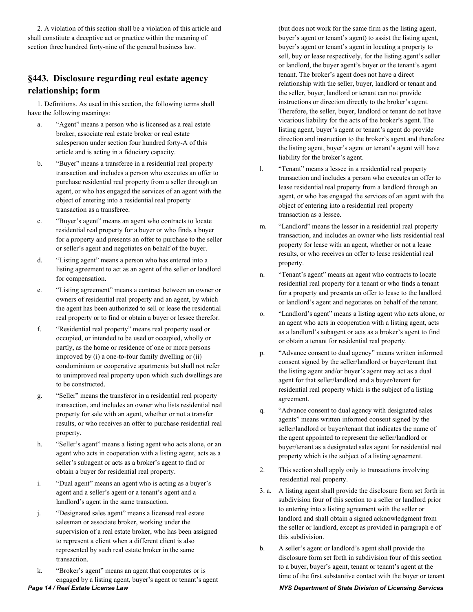2. A violation of this section shall be a violation of this article and shall constitute a deceptive act or practice within the meaning of section three hundred forty-nine of the general business law.

### **§443. Disclosure regarding real estate agency relationship; form**

1. Definitions. As used in this section, the following terms shall have the following meanings:

- a. "Agent" means a person who is licensed as a real estate broker, associate real estate broker or real estate salesperson under section four hundred forty-A of this article and is acting in a fiduciary capacity.
- b. "Buyer" means a transferee in a residential real property transaction and includes a person who executes an offer to purchase residential real property from a seller through an agent, or who has engaged the services of an agent with the object of entering into a residential real property transaction as a transferee.
- c. "Buyer's agent" means an agent who contracts to locate residential real property for a buyer or who finds a buyer for a property and presents an offer to purchase to the seller or seller's agent and negotiates on behalf of the buyer.
- d. "Listing agent" means a person who has entered into a listing agreement to act as an agent of the seller or landlord for compensation.
- e. "Listing agreement" means a contract between an owner or owners of residential real property and an agent, by which the agent has been authorized to sell or lease the residential real property or to find or obtain a buyer or lessee therefor.
- f. "Residential real property" means real property used or occupied, or intended to be used or occupied, wholly or partly, as the home or residence of one or more persons improved by (i) a one-to-four family dwelling or (ii) condominium or cooperative apartments but shall not refer to unimproved real property upon which such dwellings are to be constructed.
- g. "Seller" means the transferor in a residential real property transaction, and includes an owner who lists residential real property for sale with an agent, whether or not a transfer results, or who receives an offer to purchase residential real property.
- h. "Seller's agent" means a listing agent who acts alone, or an agent who acts in cooperation with a listing agent, acts as a seller's subagent or acts as a broker's agent to find or obtain a buyer for residential real property.
- i. "Dual agent" means an agent who is acting as a buyer's agent and a seller's agent or a tenant's agent and a landlord's agent in the same transaction.
- j. "Designated sales agent" means a licensed real estate salesman or associate broker, working under the supervision of a real estate broker, who has been assigned to represent a client when a different client is also represented by such real estate broker in the same transaction.
- k. "Broker's agent" means an agent that cooperates or is engaged by a listing agent, buyer's agent or tenant's agent

(but does not work for the same firm as the listing agent, buyer's agent or tenant's agent) to assist the listing agent, buyer's agent or tenant's agent in locating a property to sell, buy or lease respectively, for the listing agent's seller or landlord, the buyer agent's buyer or the tenant's agent tenant. The broker's agent does not have a direct relationship with the seller, buyer, landlord or tenant and the seller, buyer, landlord or tenant can not provide instructions or direction directly to the broker's agent. Therefore, the seller, buyer, landlord or tenant do not have vicarious liability for the acts of the broker's agent. The listing agent, buyer's agent or tenant's agent do provide direction and instruction to the broker's agent and therefore the listing agent, buyer's agent or tenant's agent will have liability for the broker's agent.

- l. "Tenant" means a lessee in a residential real property transaction and includes a person who executes an offer to lease residential real property from a landlord through an agent, or who has engaged the services of an agent with the object of entering into a residential real property transaction as a lessee.
- m. "Landlord" means the lessor in a residential real property transaction, and includes an owner who lists residential real property for lease with an agent, whether or not a lease results, or who receives an offer to lease residential real property.
- n. "Tenant's agent" means an agent who contracts to locate residential real property for a tenant or who finds a tenant for a property and presents an offer to lease to the landlord or landlord's agent and negotiates on behalf of the tenant.
- o. "Landlord's agent" means a listing agent who acts alone, or an agent who acts in cooperation with a listing agent, acts as a landlord's subagent or acts as a broker's agent to find or obtain a tenant for residential real property.
- p. "Advance consent to dual agency" means written informed consent signed by the seller/landlord or buyer/tenant that the listing agent and/or buyer's agent may act as a dual agent for that seller/landlord and a buyer/tenant for residential real property which is the subject of a listing agreement.
- q. "Advance consent to dual agency with designated sales agents" means written informed consent signed by the seller/landlord or buyer/tenant that indicates the name of the agent appointed to represent the seller/landlord or buyer/tenant as a designated sales agent for residential real property which is the subject of a listing agreement.
- 2. This section shall apply only to transactions involving residential real property.
- 3. a. A listing agent shall provide the disclosure form set forth in subdivision four of this section to a seller or landlord prior to entering into a listing agreement with the seller or landlord and shall obtain a signed acknowledgment from the seller or landlord, except as provided in paragraph e of this subdivision.
- b. A seller's agent or landlord's agent shall provide the disclosure form set forth in subdivision four of this section to a buyer, buyer's agent, tenant or tenant's agent at the time of the first substantive contact with the buyer or tenant

#### *Page 14 / Real Estate License Law NYS Department of State Division of Licensing Services*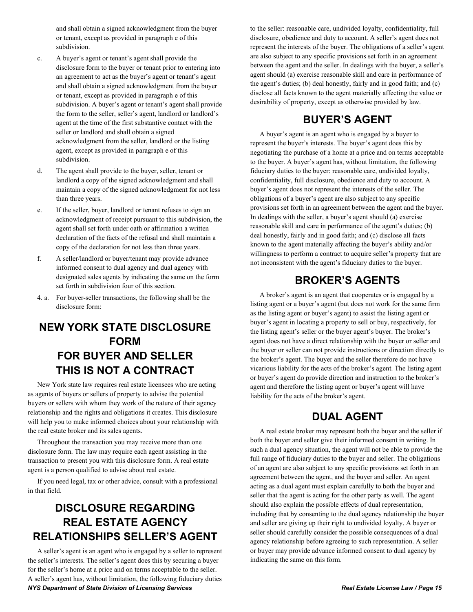and shall obtain a signed acknowledgment from the buyer or tenant, except as provided in paragraph e of this subdivision.

- c. A buyer's agent or tenant's agent shall provide the disclosure form to the buyer or tenant prior to entering into an agreement to act as the buyer's agent or tenant's agent and shall obtain a signed acknowledgment from the buyer or tenant, except as provided in paragraph e of this subdivision. A buyer's agent or tenant's agent shall provide the form to the seller, seller's agent, landlord or landlord's agent at the time of the first substantive contact with the seller or landlord and shall obtain a signed acknowledgment from the seller, landlord or the listing agent, except as provided in paragraph e of this subdivision.
- d. The agent shall provide to the buyer, seller, tenant or landlord a copy of the signed acknowledgment and shall maintain a copy of the signed acknowledgment for not less than three years.
- e. If the seller, buyer, landlord or tenant refuses to sign an acknowledgment of receipt pursuant to this subdivision, the agent shall set forth under oath or affirmation a written declaration of the facts of the refusal and shall maintain a copy of the declaration for not less than three years.
- f. A seller/landlord or buyer/tenant may provide advance informed consent to dual agency and dual agency with designated sales agents by indicating the same on the form set forth in subdivision four of this section.
- 4. a. For buyer-seller transactions, the following shall be the disclosure form:

### **NEW YORK STATE DISCLOSURE FORM FOR BUYER AND SELLER THIS IS NOT A CONTRACT**

New York state law requires real estate licensees who are acting as agents of buyers or sellers of property to advise the potential buyers or sellers with whom they work of the nature of their agency relationship and the rights and obligations it creates. This disclosure will help you to make informed choices about your relationship with the real estate broker and its sales agents.

Throughout the transaction you may receive more than one disclosure form. The law may require each agent assisting in the transaction to present you with this disclosure form. A real estate agent is a person qualified to advise about real estate.

If you need legal, tax or other advice, consult with a professional in that field.

## **DISCLOSURE REGARDING REAL ESTATE AGENCY RELATIONSHIPS SELLER'S AGENT**

*NYS Department of State Division of Licensing Services Real Estate License Law / Page 15* A seller's agent is an agent who is engaged by a seller to represent the seller's interests. The seller's agent does this by securing a buyer for the seller's home at a price and on terms acceptable to the seller. A seller's agent has, without limitation, the following fiduciary duties

to the seller: reasonable care, undivided loyalty, confidentiality, full disclosure, obedience and duty to account. A seller's agent does not represent the interests of the buyer. The obligations of a seller's agent are also subject to any specific provisions set forth in an agreement between the agent and the seller. In dealings with the buyer, a seller's agent should (a) exercise reasonable skill and care in performance of the agent's duties; (b) deal honestly, fairly and in good faith; and (c) disclose all facts known to the agent materially affecting the value or desirability of property, except as otherwise provided by law.

### **BUYER'S AGENT**

A buyer's agent is an agent who is engaged by a buyer to represent the buyer's interests. The buyer's agent does this by negotiating the purchase of a home at a price and on terms acceptable to the buyer. A buyer's agent has, without limitation, the following fiduciary duties to the buyer: reasonable care, undivided loyalty, confidentiality, full disclosure, obedience and duty to account. A buyer's agent does not represent the interests of the seller. The obligations of a buyer's agent are also subject to any specific provisions set forth in an agreement between the agent and the buyer. In dealings with the seller, a buyer's agent should (a) exercise reasonable skill and care in performance of the agent's duties; (b) deal honestly, fairly and in good faith; and (c) disclose all facts known to the agent materially affecting the buyer's ability and/or willingness to perform a contract to acquire seller's property that are not inconsistent with the agent's fiduciary duties to the buyer.

### **BROKER'S AGENTS**

A broker's agent is an agent that cooperates or is engaged by a listing agent or a buyer's agent (but does not work for the same firm as the listing agent or buyer's agent) to assist the listing agent or buyer's agent in locating a property to sell or buy, respectively, for the listing agent's seller or the buyer agent's buyer. The broker's agent does not have a direct relationship with the buyer or seller and the buyer or seller can not provide instructions or direction directly to the broker's agent. The buyer and the seller therefore do not have vicarious liability for the acts of the broker's agent. The listing agent or buyer's agent do provide direction and instruction to the broker's agent and therefore the listing agent or buyer's agent will have liability for the acts of the broker's agent.

### **DUAL AGENT**

A real estate broker may represent both the buyer and the seller if both the buyer and seller give their informed consent in writing. In such a dual agency situation, the agent will not be able to provide the full range of fiduciary duties to the buyer and seller. The obligations of an agent are also subject to any specific provisions set forth in an agreement between the agent, and the buyer and seller. An agent acting as a dual agent must explain carefully to both the buyer and seller that the agent is acting for the other party as well. The agent should also explain the possible effects of dual representation, including that by consenting to the dual agency relationship the buyer and seller are giving up their right to undivided loyalty. A buyer or seller should carefully consider the possible consequences of a dual agency relationship before agreeing to such representation. A seller or buyer may provide advance informed consent to dual agency by indicating the same on this form.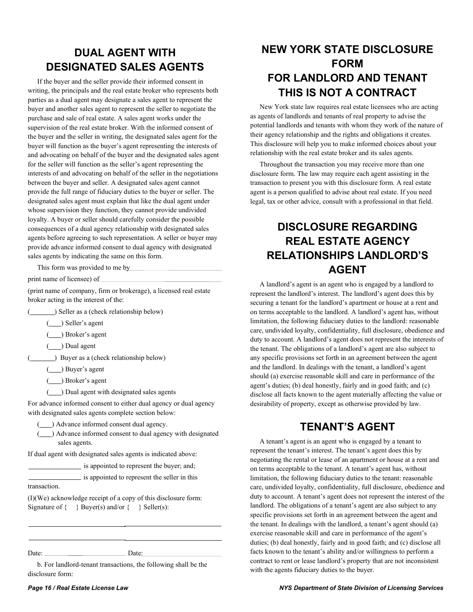### **DUAL AGENT WITH DESIGNATED SALES AGENTS**

If the buyer and the seller provide their informed consent in writing, the principals and the real estate broker who represents both parties as a dual agent may designate a sales agent to represent the buyer and another sales agent to represent the seller to negotiate the purchase and sale of real estate. A sales agent works under the supervision of the real estate broker. With the informed consent of the buyer and the seller in writing, the designated sales agent for the buyer will function as the buyer's agent representing the interests of and advocating on behalf of the buyer and the designated sales agent for the seller will function as the seller's agent representing the interests of and advocating on behalf of the seller in the negotiations between the buyer and seller. A designated sales agent cannot provide the full range of fiduciary duties to the buyer or seller. The designated sales agent must explain that like the dual agent under whose supervision they function, they cannot provide undivided loyalty. A buyer or seller should carefully consider the possible consequences of a dual agency relationship with designated sales agents before agreeing to such representation. A seller or buyer may provide advance informed consent to dual agency with designated sales agents by indicating the same on this form.

This form was provided to me by

print name of licensee) of

(print name of company, firm or brokerage), a licensed real estate broker acting in the interest of the:

( ) Seller as a (check relationship below)

(  $\Box$ ) Seller's agent

( ) Broker's agent

|  |  | Dual agent |
|--|--|------------|
|--|--|------------|

( ) Buyer as a (check relationship below)

( ) Buyer's agent

(  $\Box$ ) Broker's agent

(  $\Box$ ) Dual agent with designated sales agents

For advance informed consent to either dual agency or dual agency with designated sales agents complete section below:

( ) Advance informed consent dual agency.

( $\Box$ ) Advance informed consent to dual agency with designated sales agents.

If dual agent with designated sales agents is indicated above:

is appointed to represent the buyer; and;

is appointed to represent the seller in this transaction.

(I)(We) acknowledge receipt of a copy of this disclosure form: Signature of  $\{ \}$  Buyer(s) and/or  $\{ \}$  Seller(s):

Date: Date:

b. For landlord-tenant transactions, the following shall be the disclosure form:

### **NEW YORK STATE DISCLOSURE FORM FOR LANDLORD AND TENANT THIS IS NOT A CONTRACT**

New York state law requires real estate licensees who are acting as agents of landlords and tenants of real property to advise the potential landlords and tenants with whom they work of the nature of their agency relationship and the rights and obligations it creates. This disclosure will help you to make informed choices about your relationship with the real estate broker and its sales agents.

Throughout the transaction you may receive more than one disclosure form. The law may require each agent assisting in the transaction to present you with this disclosure form. A real estate agent is a person qualified to advise about real estate. If you need legal, tax or other advice, consult with a professional in that field.

### **DISCLOSURE REGARDING REAL ESTATE AGENCY RELATIONSHIPS LANDLORD'S AGENT**

A landlord's agent is an agent who is engaged by a landlord to represent the landlord's interest. The landlord's agent does this by securing a tenant for the landlord's apartment or house at a rent and on terms acceptable to the landlord. A landlord's agent has, without limitation, the following fiduciary duties to the landlord: reasonable care, undivided loyalty, confidentiality, full disclosure, obedience and duty to account. A landlord's agent does not represent the interests of the tenant. The obligations of a landlord's agent are also subject to any specific provisions set forth in an agreement between the agent and the landlord. In dealings with the tenant, a landlord's agent should (a) exercise reasonable skill and care in performance of the agent's duties; (b) deal honestly, fairly and in good faith; and (c) disclose all facts known to the agent materially affecting the value or desirability of property, except as otherwise provided by law.

### **TENANT'S AGENT**

A tenant's agent is an agent who is engaged by a tenant to represent the tenant's interest. The tenant's agent does this by negotiating the rental or lease of an apartment or house at a rent and on terms acceptable to the tenant. A tenant's agent has, without limitation, the following fiduciary duties to the tenant: reasonable care, undivided loyalty, confidentiality, full disclosure, obedience and duty to account. A tenant's agent does not represent the interest of the landlord. The obligations of a tenant's agent are also subject to any specific provisions set forth in an agreement between the agent and the tenant. In dealings with the landlord, a tenant's agent should (a) exercise reasonable skill and care in performance of the agent's duties; (b) deal honestly, fairly and in good faith; and (c) disclose all facts known to the tenant's ability and/or willingness to perform a contract to rent or lease landlord's property that are not inconsistent with the agents fiduciary duties to the buyer.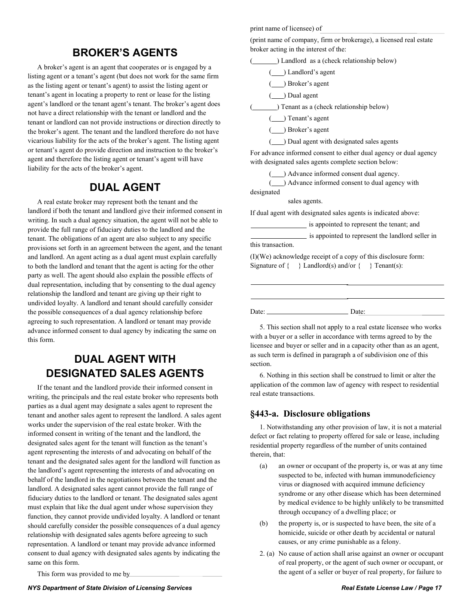print name of licensee) of

### **BROKER'S AGENTS**

A broker's agent is an agent that cooperates or is engaged by a listing agent or a tenant's agent (but does not work for the same firm as the listing agent or tenant's agent) to assist the listing agent or tenant's agent in locating a property to rent or lease for the listing agent's landlord or the tenant agent's tenant. The broker's agent does not have a direct relationship with the tenant or landlord and the tenant or landlord can not provide instructions or direction directly to the broker's agent. The tenant and the landlord therefore do not have vicarious liability for the acts of the broker's agent. The listing agent or tenant's agent do provide direction and instruction to the broker's agent and therefore the listing agent or tenant's agent will have liability for the acts of the broker's agent.

### **DUAL AGENT**

A real estate broker may represent both the tenant and the landlord if both the tenant and landlord give their informed consent in writing. In such a dual agency situation, the agent will not be able to provide the full range of fiduciary duties to the landlord and the tenant. The obligations of an agent are also subject to any specific provisions set forth in an agreement between the agent, and the tenant and landlord. An agent acting as a dual agent must explain carefully to both the landlord and tenant that the agent is acting for the other party as well. The agent should also explain the possible effects of dual representation, including that by consenting to the dual agency relationship the landlord and tenant are giving up their right to undivided loyalty. A landlord and tenant should carefully consider the possible consequences of a dual agency relationship before agreeing to such representation. A landlord or tenant may provide advance informed consent to dual agency by indicating the same on this form.

### **DUAL AGENT WITH DESIGNATED SALES AGENTS**

If the tenant and the landlord provide their informed consent in writing, the principals and the real estate broker who represents both parties as a dual agent may designate a sales agent to represent the tenant and another sales agent to represent the landlord. A sales agent works under the supervision of the real estate broker. With the informed consent in writing of the tenant and the landlord, the designated sales agent for the tenant will function as the tenant's agent representing the interests of and advocating on behalf of the tenant and the designated sales agent for the landlord will function as the landlord's agent representing the interests of and advocating on behalf of the landlord in the negotiations between the tenant and the landlord. A designated sales agent cannot provide the full range of fiduciary duties to the landlord or tenant. The designated sales agent must explain that like the dual agent under whose supervision they function, they cannot provide undivided loyalty. A landlord or tenant should carefully consider the possible consequences of a dual agency relationship with designated sales agents before agreeing to such representation. A landlord or tenant may provide advance informed consent to dual agency with designated sales agents by indicating the same on this form.

(print name of company, firm or brokerage), a licensed real estate broker acting in the interest of the:

) Landlord as a (check relationship below)

( $\Box$ ) Landlord's agent

( ) Broker's agent

( ) Dual agent

( ) Tenant as a (check relationship below)

( ) Tenant's agent

( ) Broker's agent

( ) Dual agent with designated sales agents

For advance informed consent to either dual agency or dual agency with designated sales agents complete section below:

( ) Advance informed consent dual agency.

( $\Box$ ) Advance informed consent to dual agency with designated

sales agents.

If dual agent with designated sales agents is indicated above:

is appointed to represent the tenant; and

is appointed to represent the landlord seller in this transaction.

(I)(We) acknowledge receipt of a copy of this disclosure form: Signature of  $\{\ \}$  Landlord(s) and/or  $\{\ \}$  Tenant(s):

Date: Date:

5. This section shall not apply to a real estate licensee who works with a buyer or a seller in accordance with terms agreed to by the licensee and buyer or seller and in a capacity other than as an agent, as such term is defined in paragraph a of subdivision one of this section.

6. Nothing in this section shall be construed to limit or alter the application of the common law of agency with respect to residential real estate transactions.

### **§443-a. Disclosure obligations**

1. Notwithstanding any other provision of law, it is not a material defect or fact relating to property offered for sale or lease, including residential property regardless of the number of units contained therein, that:

- (a) an owner or occupant of the property is, or was at any time suspected to be, infected with human immunodeficiency virus or diagnosed with acquired immune deficiency syndrome or any other disease which has been determined by medical evidence to be highly unlikely to be transmitted through occupancy of a dwelling place; or
- (b) the property is, or is suspected to have been, the site of a homicide, suicide or other death by accidental or natural causes, or any crime punishable as a felony.
- 2. (a) No cause of action shall arise against an owner or occupant of real property, or the agent of such owner or occupant, or the agent of a seller or buyer of real property, for failure to

This form was provided to me by

*NYS Department of State Division of Licensing Services Real Estate License Law / Page 17*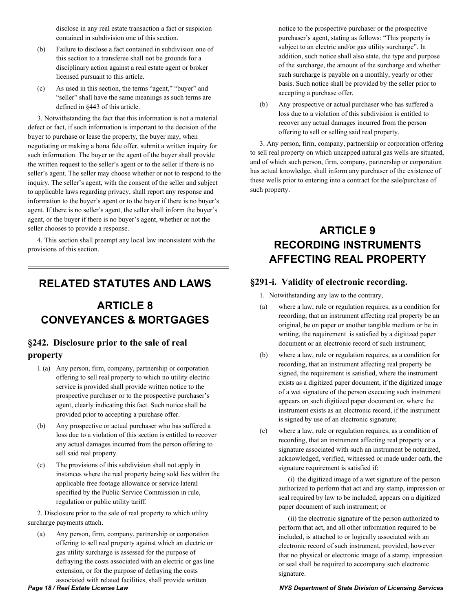disclose in any real estate transaction a fact or suspicion contained in subdivision one of this section.

- (b) Failure to disclose a fact contained in subdivision one of this section to a transferee shall not be grounds for a disciplinary action against a real estate agent or broker licensed pursuant to this article.
- (c) As used in this section, the terms "agent," "buyer" and "seller" shall have the same meanings as such terms are defined in §443 of this article.

3. Notwithstanding the fact that this information is not a material defect or fact, if such information is important to the decision of the buyer to purchase or lease the property, the buyer may, when negotiating or making a bona fide offer, submit a written inquiry for such information. The buyer or the agent of the buyer shall provide the written request to the seller's agent or to the seller if there is no seller's agent. The seller may choose whether or not to respond to the inquiry. The seller's agent, with the consent of the seller and subject to applicable laws regarding privacy, shall report any response and information to the buyer's agent or to the buyer if there is no buyer's agent. If there is no seller's agent, the seller shall inform the buyer's agent, or the buyer if there is no buyer's agent, whether or not the seller chooses to provide a response.

4. This section shall preempt any local law inconsistent with the provisions of this section.

### **RELATED STATUTES AND LAWS**

### **ARTICLE 8 CONVEYANCES & MORTGAGES**

### **§242. Disclosure prior to the sale of real property**

- l. (a) Any person, firm, company, partnership or corporation offering to sell real property to which no utility electric service is provided shall provide written notice to the prospective purchaser or to the prospective purchaser's agent, clearly indicating this fact. Such notice shall be provided prior to accepting a purchase offer.
- (b) Any prospective or actual purchaser who has suffered a loss due to a violation of this section is entitled to recover any actual damages incurred from the person offering to sell said real property.
- (c) The provisions of this subdivision shall not apply in instances where the real property being sold lies within the applicable free footage allowance or service lateral specified by the Public Service Commission in rule, regulation or public utility tariff.

2. Disclosure prior to the sale of real property to which utility surcharge payments attach.

(a) Any person, firm, company, partnership or corporation offering to sell real property against which an electric or gas utility surcharge is assessed for the purpose of defraying the costs associated with an electric or gas line extension, or for the purpose of defraying the costs associated with related facilities, shall provide written

notice to the prospective purchaser or the prospective purchaser's agent, stating as follows: "This property is subject to an electric and/or gas utility surcharge". In addition, such notice shall also state, the type and purpose of the surcharge, the amount of the surcharge and whether such surcharge is payable on a monthly, yearly or other basis. Such notice shall be provided by the seller prior to accepting a purchase offer.

(b) Any prospective or actual purchaser who has suffered a loss due to a violation of this subdivision is entitled to recover any actual damages incurred from the person offering to sell or selling said real property.

3. Any person, firm, company, partnership or corporation offering to sell real property on which uncapped natural gas wells are situated, and of which such person, firm, company, partnership or corporation has actual knowledge, shall inform any purchaser of the existence of these wells prior to entering into a contract for the sale/purchase of such property.

## **ARTICLE 9 RECORDING INSTRUMENTS AFFECTING REAL PROPERTY**

#### **§291-i. Validity of electronic recording.**

- 1. Notwithstanding any law to the contrary,
- (a) where a law, rule or regulation requires, as a condition for recording, that an instrument affecting real property be an original, be on paper or another tangible medium or be in writing, the requirement is satisfied by a digitized paper document or an electronic record of such instrument;
- (b) where a law, rule or regulation requires, as a condition for recording, that an instrument affecting real property be signed, the requirement is satisfied, where the instrument exists as a digitized paper document, if the digitized image of a wet signature of the person executing such instrument appears on such digitized paper document or, where the instrument exists as an electronic record, if the instrument is signed by use of an electronic signature;
- (c) where a law, rule or regulation requires, as a condition of recording, that an instrument affecting real property or a signature associated with such an instrument be notarized, acknowledged, verified, witnessed or made under oath, the signature requirement is satisfied if:

(i) the digitized image of a wet signature of the person authorized to perform that act and any stamp, impression or seal required by law to be included, appears on a digitized paper document of such instrument; or

(ii) the electronic signature of the person authorized to perform that act, and all other information required to be included, is attached to or logically associated with an electronic record of such instrument, provided, however that no physical or electronic image of a stamp, impression or seal shall be required to accompany such electronic signature.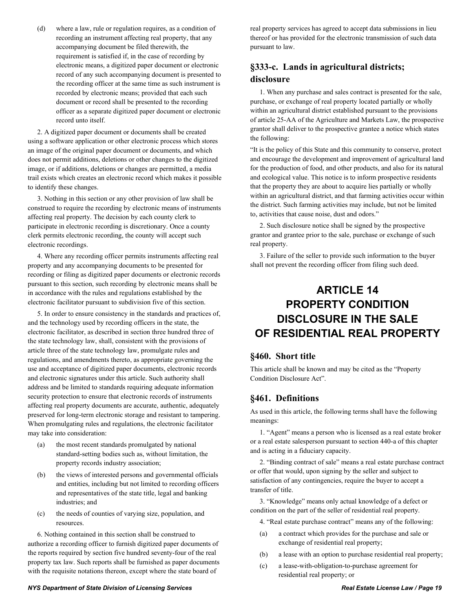(d) where a law, rule or regulation requires, as a condition of recording an instrument affecting real property, that any accompanying document be filed therewith, the requirement is satisfied if, in the case of recording by electronic means, a digitized paper document or electronic record of any such accompanying document is presented to the recording officer at the same time as such instrument is recorded by electronic means; provided that each such document or record shall be presented to the recording officer as a separate digitized paper document or electronic record unto itself.

2. A digitized paper document or documents shall be created using a software application or other electronic process which stores an image of the original paper document or documents, and which does not permit additions, deletions or other changes to the digitized image, or if additions, deletions or changes are permitted, a media trail exists which creates an electronic record which makes it possible to identify these changes.

3. Nothing in this section or any other provision of law shall be construed to require the recording by electronic means of instruments affecting real property. The decision by each county clerk to participate in electronic recording is discretionary. Once a county clerk permits electronic recording, the county will accept such electronic recordings.

4. Where any recording officer permits instruments affecting real property and any accompanying documents to be presented for recording or filing as digitized paper documents or electronic records pursuant to this section, such recording by electronic means shall be in accordance with the rules and regulations established by the electronic facilitator pursuant to subdivision five of this section.

5. In order to ensure consistency in the standards and practices of, and the technology used by recording officers in the state, the electronic facilitator, as described in section three hundred three of the state technology law, shall, consistent with the provisions of article three of the state technology law, promulgate rules and regulations, and amendments thereto, as appropriate governing the use and acceptance of digitized paper documents, electronic records and electronic signatures under this article. Such authority shall address and be limited to standards requiring adequate information security protection to ensure that electronic records of instruments affecting real property documents are accurate, authentic, adequately preserved for long-term electronic storage and resistant to tampering. When promulgating rules and regulations, the electronic facilitator may take into consideration:

- (a) the most recent standards promulgated by national standard-setting bodies such as, without limitation, the property records industry association;
- (b) the views of interested persons and governmental officials and entities, including but not limited to recording officers and representatives of the state title, legal and banking industries; and
- (c) the needs of counties of varying size, population, and resources.

6. Nothing contained in this section shall be construed to authorize a recording officer to furnish digitized paper documents of the reports required by section five hundred seventy-four of the real property tax law. Such reports shall be furnished as paper documents with the requisite notations thereon, except where the state board of

real property services has agreed to accept data submissions in lieu thereof or has provided for the electronic transmission of such data pursuant to law.

### **§333-c. Lands in agricultural districts; disclosure**

1. When any purchase and sales contract is presented for the sale, purchase, or exchange of real property located partially or wholly within an agricultural district established pursuant to the provisions of article 25-AA of the Agriculture and Markets Law, the prospective grantor shall deliver to the prospective grantee a notice which states the following:

"It is the policy of this State and this community to conserve, protect and encourage the development and improvement of agricultural land for the production of food, and other products, and also for its natural and ecological value. This notice is to inform prospective residents that the property they are about to acquire lies partially or wholly within an agricultural district, and that farming activities occur within the district. Such farming activities may include, but not be limited to, activities that cause noise, dust and odors."

2. Such disclosure notice shall be signed by the prospective grantor and grantee prior to the sale, purchase or exchange of such real property.

3. Failure of the seller to provide such information to the buyer shall not prevent the recording officer from filing such deed.

### **ARTICLE 14 PROPERTY CONDITION DISCLOSURE IN THE SALE OF RESIDENTIAL REAL PROPERTY**

### **§460. Short title**

This article shall be known and may be cited as the "Property Condition Disclosure Act".

### **§461. Definitions**

As used in this article, the following terms shall have the following meanings:

1. "Agent" means a person who is licensed as a real estate broker or a real estate salesperson pursuant to section 440-a of this chapter and is acting in a fiduciary capacity.

2. "Binding contract of sale" means a real estate purchase contract or offer that would, upon signing by the seller and subject to satisfaction of any contingencies, require the buyer to accept a transfer of title.

3. "Knowledge" means only actual knowledge of a defect or condition on the part of the seller of residential real property.

4. "Real estate purchase contract" means any of the following:

- (a) a contract which provides for the purchase and sale or exchange of residential real property;
- (b) a lease with an option to purchase residential real property;
- (c) a lease-with-obligation-to-purchase agreement for residential real property; or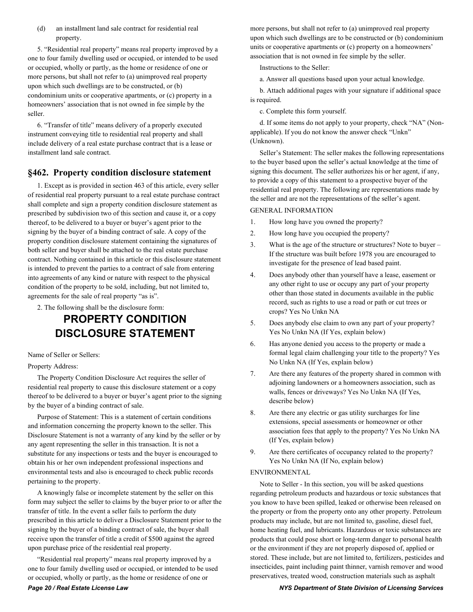(d) an installment land sale contract for residential real property.

5. "Residential real property" means real property improved by a one to four family dwelling used or occupied, or intended to be used or occupied, wholly or partly, as the home or residence of one or more persons, but shall not refer to (a) unimproved real property upon which such dwellings are to be constructed, or (b) condominium units or cooperative apartments, or (c) property in a homeowners' association that is not owned in fee simple by the seller.

6. "Transfer of title" means delivery of a properly executed instrument conveying title to residential real property and shall include delivery of a real estate purchase contract that is a lease or installment land sale contract.

#### **§462. Property condition disclosure statement**

1. Except as is provided in section 463 of this article, every seller of residential real property pursuant to a real estate purchase contract shall complete and sign a property condition disclosure statement as prescribed by subdivision two of this section and cause it, or a copy thereof, to be delivered to a buyer or buyer's agent prior to the signing by the buyer of a binding contract of sale. A copy of the property condition disclosure statement containing the signatures of both seller and buyer shall be attached to the real estate purchase contract. Nothing contained in this article or this disclosure statement is intended to prevent the parties to a contract of sale from entering into agreements of any kind or nature with respect to the physical condition of the property to be sold, including, but not limited to, agreements for the sale of real property "as is".

2. The following shall be the disclosure form:

### **PROPERTY CONDITION DISCLOSURE STATEMENT**

#### Name of Seller or Sellers:

#### Property Address:

The Property Condition Disclosure Act requires the seller of residential real property to cause this disclosure statement or a copy thereof to be delivered to a buyer or buyer's agent prior to the signing by the buyer of a binding contract of sale.

Purpose of Statement: This is a statement of certain conditions and information concerning the property known to the seller. This Disclosure Statement is not a warranty of any kind by the seller or by any agent representing the seller in this transaction. It is not a substitute for any inspections or tests and the buyer is encouraged to obtain his or her own independent professional inspections and environmental tests and also is encouraged to check public records pertaining to the property.

A knowingly false or incomplete statement by the seller on this form may subject the seller to claims by the buyer prior to or after the transfer of title. In the event a seller fails to perform the duty prescribed in this article to deliver a Disclosure Statement prior to the signing by the buyer of a binding contract of sale, the buyer shall receive upon the transfer of title a credit of \$500 against the agreed upon purchase price of the residential real property.

"Residential real property" means real property improved by a one to four family dwelling used or occupied, or intended to be used or occupied, wholly or partly, as the home or residence of one or

more persons, but shall not refer to (a) unimproved real property upon which such dwellings are to be constructed or (b) condominium units or cooperative apartments or (c) property on a homeowners' association that is not owned in fee simple by the seller.

Instructions to the Seller:

a. Answer all questions based upon your actual knowledge.

b. Attach additional pages with your signature if additional space is required.

c. Complete this form yourself.

d. If some items do not apply to your property, check "NA" (Nonapplicable). If you do not know the answer check "Unkn" (Unknown).

Seller's Statement: The seller makes the following representations to the buyer based upon the seller's actual knowledge at the time of signing this document. The seller authorizes his or her agent, if any, to provide a copy of this statement to a prospective buyer of the residential real property. The following are representations made by the seller and are not the representations of the seller's agent.

#### GENERAL INFORMATION

- 1. How long have you owned the property?
- 2. How long have you occupied the property?
- 3. What is the age of the structure or structures? Note to buyer If the structure was built before 1978 you are encouraged to investigate for the presence of lead based paint.
- 4. Does anybody other than yourself have a lease, easement or any other right to use or occupy any part of your property other than those stated in documents available in the public record, such as rights to use a road or path or cut trees or crops? Yes No Unkn NA
- 5. Does anybody else claim to own any part of your property? Yes No Unkn NA (If Yes, explain below)
- 6. Has anyone denied you access to the property or made a formal legal claim challenging your title to the property? Yes No Unkn NA (If Yes, explain below)
- 7. Are there any features of the property shared in common with adjoining landowners or a homeowners association, such as walls, fences or driveways? Yes No Unkn NA (If Yes, describe below)
- 8. Are there any electric or gas utility surcharges for line extensions, special assessments or homeowner or other association fees that apply to the property? Yes No Unkn NA (If Yes, explain below)
- 9. Are there certificates of occupancy related to the property? Yes No Unkn NA (If No, explain below)

#### ENVIRONMENTAL

Note to Seller - In this section, you will be asked questions regarding petroleum products and hazardous or toxic substances that you know to have been spilled, leaked or otherwise been released on the property or from the property onto any other property. Petroleum products may include, but are not limited to, gasoline, diesel fuel, home heating fuel, and lubricants. Hazardous or toxic substances are products that could pose short or long-term danger to personal health or the environment if they are not properly disposed of, applied or stored. These include, but are not limited to, fertilizers, pesticides and insecticides, paint including paint thinner, varnish remover and wood preservatives, treated wood, construction materials such as asphalt

#### *Page 20 / Real Estate License Law NYS Department of State Division of Licensing Services*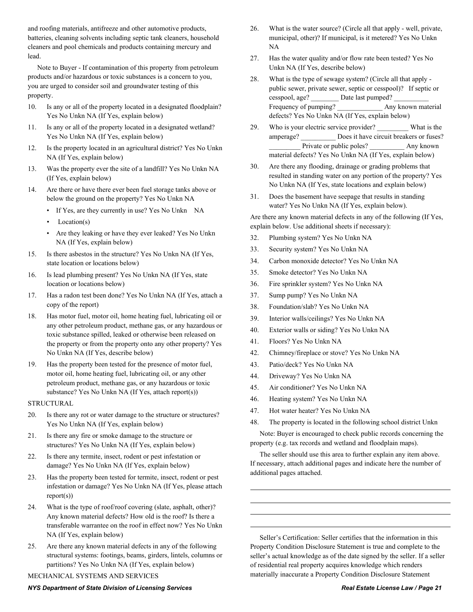and roofing materials, antifreeze and other automotive products, batteries, cleaning solvents including septic tank cleaners, household cleaners and pool chemicals and products containing mercury and lead.

Note to Buyer - If contamination of this property from petroleum products and/or hazardous or toxic substances is a concern to you, you are urged to consider soil and groundwater testing of this property.

- 10. Is any or all of the property located in a designated floodplain? Yes No Unkn NA (If Yes, explain below)
- 11. Is any or all of the property located in a designated wetland? Yes No Unkn NA (If Yes, explain below)
- 12. Is the property located in an agricultural district? Yes No Unkn NA (If Yes, explain below)
- 13. Was the property ever the site of a landfill? Yes No Unkn NA (If Yes, explain below)
- 14. Are there or have there ever been fuel storage tanks above or below the ground on the property? Yes No Unkn NA
	- If Yes, are they currently in use? Yes No Unkn NA
	- Location(s)
	- Are they leaking or have they ever leaked? Yes No Unkn NA (If Yes, explain below)
- 15. Is there asbestos in the structure? Yes No Unkn NA (If Yes, state location or locations below)
- 16. Is lead plumbing present? Yes No Unkn NA (If Yes, state location or locations below)
- 17. Has a radon test been done? Yes No Unkn NA (If Yes, attach a copy of the report)
- 18. Has motor fuel, motor oil, home heating fuel, lubricating oil or any other petroleum product, methane gas, or any hazardous or toxic substance spilled, leaked or otherwise been released on the property or from the property onto any other property? Yes No Unkn NA (If Yes, describe below)
- 19. Has the property been tested for the presence of motor fuel, motor oil, home heating fuel, lubricating oil, or any other petroleum product, methane gas, or any hazardous or toxic substance? Yes No Unkn NA (If Yes, attach report(s))

#### STRUCTURAL

- 20. Is there any rot or water damage to the structure or structures? Yes No Unkn NA (If Yes, explain below)
- 21. Is there any fire or smoke damage to the structure or structures? Yes No Unkn NA (If Yes, explain below)
- 22. Is there any termite, insect, rodent or pest infestation or damage? Yes No Unkn NA (If Yes, explain below)
- 23. Has the property been tested for termite, insect, rodent or pest infestation or damage? Yes No Unkn NA (If Yes, please attach report(s))
- 24. What is the type of roof/roof covering (slate, asphalt, other)? Any known material defects? How old is the roof? Is there a transferable warrantee on the roof in effect now? Yes No Unkn NA (If Yes, explain below)
- 25. Are there any known material defects in any of the following structural systems: footings, beams, girders, lintels, columns or partitions? Yes No Unkn NA (If Yes, explain below)

#### MECHANICAL SYSTEMS AND SERVICES

*NYS Department of State Division of Licensing Services Real Estate License Law / Page 21*

- 26. What is the water source? (Circle all that apply well, private, municipal, other)? If municipal, is it metered? Yes No Unkn NA
- 27. Has the water quality and/or flow rate been tested? Yes No Unkn NA (If Yes, describe below)
- 28. What is the type of sewage system? (Circle all that apply public sewer, private sewer, septic or cesspool)? If septic or cesspool, age? Date last pumped? Frequency of pumping? Any known material defects? Yes No Unkn NA (If Yes, explain below)
- 29. Who is your electric service provider? \_\_\_\_\_\_\_\_\_ What is the amperage? \_\_\_\_\_\_\_\_\_\_ Does it have circuit breakers or fuses? Private or public poles? Any known material defects? Yes No Unkn NA (If Yes, explain below)
- 30. Are there any flooding, drainage or grading problems that resulted in standing water on any portion of the property? Yes No Unkn NA (If Yes, state locations and explain below)
- 31. Does the basement have seepage that results in standing water? Yes No Unkn NA (If Yes, explain below).

Are there any known material defects in any of the following (If Yes, explain below. Use additional sheets if necessary):

- 32. Plumbing system? Yes No Unkn NA
- 33. Security system? Yes No Unkn NA
- 34. Carbon monoxide detector? Yes No Unkn NA
- 35. Smoke detector? Yes No Unkn NA
- 36. Fire sprinkler system? Yes No Unkn NA
- 37. Sump pump? Yes No Unkn NA
- 38. Foundation/slab? Yes No Unkn NA
- 39. Interior walls/ceilings? Yes No Unkn NA
- 40. Exterior walls or siding? Yes No Unkn NA
- 41. Floors? Yes No Unkn NA
- 42. Chimney/fireplace or stove? Yes No Unkn NA
- 43. Patio/deck? Yes No Unkn NA
- 44. Driveway? Yes No Unkn NA
- 45. Air conditioner? Yes No Unkn NA
- 46. Heating system? Yes No Unkn NA
- 47. Hot water heater? Yes No Unkn NA
- 48. The property is located in the following school district Unkn

Note: Buyer is encouraged to check public records concerning the property (e.g. tax records and wetland and floodplain maps).

The seller should use this area to further explain any item above. If necessary, attach additional pages and indicate here the number of additional pages attached.

Seller's Certification: Seller certifies that the information in this Property Condition Disclosure Statement is true and complete to the seller's actual knowledge as of the date signed by the seller. If a seller of residential real property acquires knowledge which renders materially inaccurate a Property Condition Disclosure Statement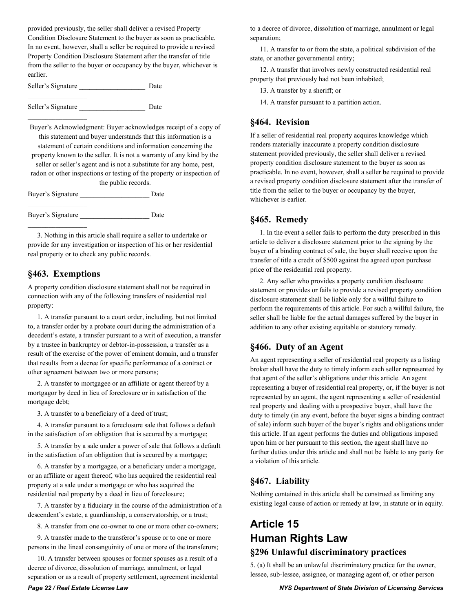provided previously, the seller shall deliver a revised Property Condition Disclosure Statement to the buyer as soon as practicable. In no event, however, shall a seller be required to provide a revised Property Condition Disclosure Statement after the transfer of title from the seller to the buyer or occupancy by the buyer, whichever is earlier.

Seller's Signature Date

 $\mathcal{L}=\mathcal{L}^{\text{max}}$ 

 $\frac{1}{2}$  , where  $\frac{1}{2}$  , where  $\frac{1}{2}$ 

Seller's Signature **Date** 

Buyer's Acknowledgment: Buyer acknowledges receipt of a copy of this statement and buyer understands that this information is a statement of certain conditions and information concerning the property known to the seller. It is not a warranty of any kind by the seller or seller's agent and is not a substitute for any home, pest, radon or other inspections or testing of the property or inspection of the public records.

Buyer's Signature \_\_\_\_\_\_\_\_\_\_\_\_\_\_\_\_\_\_\_\_ Date  $\frac{1}{2}$  ,  $\frac{1}{2}$  ,  $\frac{1}{2}$  ,  $\frac{1}{2}$  ,  $\frac{1}{2}$  ,  $\frac{1}{2}$  ,  $\frac{1}{2}$  ,  $\frac{1}{2}$  ,  $\frac{1}{2}$  ,  $\frac{1}{2}$ Buyer's Signature \_\_\_\_\_\_\_\_\_\_\_\_\_\_\_\_\_\_\_\_ Date

3. Nothing in this article shall require a seller to undertake or provide for any investigation or inspection of his or her residential real property or to check any public records.

#### **§463. Exemptions**

A property condition disclosure statement shall not be required in connection with any of the following transfers of residential real property:

1. A transfer pursuant to a court order, including, but not limited to, a transfer order by a probate court during the administration of a decedent's estate, a transfer pursuant to a writ of execution, a transfer by a trustee in bankruptcy or debtor-in-possession, a transfer as a result of the exercise of the power of eminent domain, and a transfer that results from a decree for specific performance of a contract or other agreement between two or more persons;

2. A transfer to mortgagee or an affiliate or agent thereof by a mortgagor by deed in lieu of foreclosure or in satisfaction of the mortgage debt;

3. A transfer to a beneficiary of a deed of trust;

4. A transfer pursuant to a foreclosure sale that follows a default in the satisfaction of an obligation that is secured by a mortgage;

5. A transfer by a sale under a power of sale that follows a default in the satisfaction of an obligation that is secured by a mortgage;

6. A transfer by a mortgagee, or a beneficiary under a mortgage, or an affiliate or agent thereof, who has acquired the residential real property at a sale under a mortgage or who has acquired the residential real property by a deed in lieu of foreclosure;

7. A transfer by a fiduciary in the course of the administration of a descendent's estate, a guardianship, a conservatorship, or a trust;

8. A transfer from one co-owner to one or more other co-owners;

9. A transfer made to the transferor's spouse or to one or more persons in the lineal consanguinity of one or more of the transferors;

10. A transfer between spouses or former spouses as a result of a decree of divorce, dissolution of marriage, annulment, or legal separation or as a result of property settlement, agreement incidental to a decree of divorce, dissolution of marriage, annulment or legal separation;

11. A transfer to or from the state, a political subdivision of the state, or another governmental entity;

12. A transfer that involves newly constructed residential real property that previously had not been inhabited;

13. A transfer by a sheriff; or

14. A transfer pursuant to a partition action.

#### **§464. Revision**

If a seller of residential real property acquires knowledge which renders materially inaccurate a property condition disclosure statement provided previously, the seller shall deliver a revised property condition disclosure statement to the buyer as soon as practicable. In no event, however, shall a seller be required to provide a revised property condition disclosure statement after the transfer of title from the seller to the buyer or occupancy by the buyer, whichever is earlier.

#### **§465. Remedy**

1. In the event a seller fails to perform the duty prescribed in this article to deliver a disclosure statement prior to the signing by the buyer of a binding contract of sale, the buyer shall receive upon the transfer of title a credit of \$500 against the agreed upon purchase price of the residential real property.

2. Any seller who provides a property condition disclosure statement or provides or fails to provide a revised property condition disclosure statement shall be liable only for a willful failure to perform the requirements of this article. For such a willful failure, the seller shall be liable for the actual damages suffered by the buyer in addition to any other existing equitable or statutory remedy.

#### **§466. Duty of an Agent**

An agent representing a seller of residential real property as a listing broker shall have the duty to timely inform each seller represented by that agent of the seller's obligations under this article. An agent representing a buyer of residential real property, or, if the buyer is not represented by an agent, the agent representing a seller of residential real property and dealing with a prospective buyer, shall have the duty to timely (in any event, before the buyer signs a binding contract of sale) inform such buyer of the buyer's rights and obligations under this article. If an agent performs the duties and obligations imposed upon him or her pursuant to this section, the agent shall have no further duties under this article and shall not be liable to any party for a violation of this article.

#### **§467. Liability**

Nothing contained in this article shall be construed as limiting any existing legal cause of action or remedy at law, in statute or in equity.

### **Article 15 Human Rights Law §296 Unlawful discriminatory practices**

5. (a) It shall be an unlawful discriminatory practice for the owner, lessee, sub-lessee, assignee, or managing agent of, or other person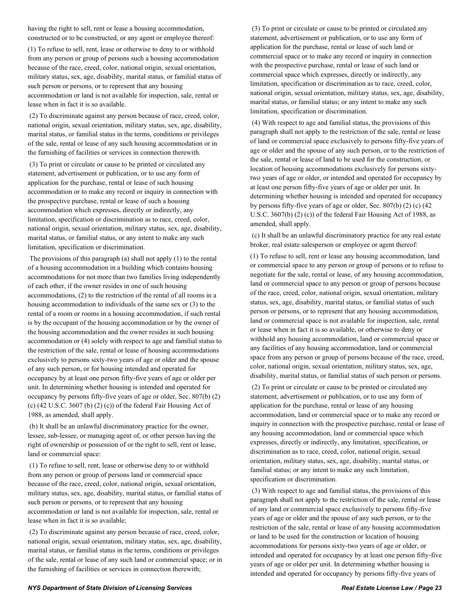having the right to sell, rent or lease a housing accommodation, constructed or to be constructed, or any agent or employee thereof:

(1) To refuse to sell, rent, lease or otherwise to deny to or withhold from any person or group of persons such a housing accommodation because of the race, creed, color, national origin, sexual orientation, military status, sex, age, disability, marital status, or familial status of such person or persons, or to represent that any housing accommodation or land is not available for inspection, sale, rental or lease when in fact it is so available.

(2) To discriminate against any person because of race, creed, color, national origin, sexual orientation, military status, sex, age, disability, marital status, or familial status in the terms, conditions or privileges of the sale, rental or lease of any such housing accommodation or in the furnishing of facilities or services in connection therewith.

(3) To print or circulate or cause to be printed or circulated any statement, advertisement or publication, or to use any form of application for the purchase, rental or lease of such housing accommodation or to make any record or inquiry in connection with the prospective purchase, rental or lease of such a housing accommodation which expresses, directly or indirectly, any limitation, specification or discrimination as to race, creed, color, national origin, sexual orientation, military status, sex, age, disability, marital status, or familial status, or any intent to make any such limitation, specification or discrimination.

The provisions of this paragraph (a) shall not apply (1) to the rental of a housing accommodation in a building which contains housing accommodations for not more than two families living independently of each other, if the owner resides in one of such housing accommodations, (2) to the restriction of the rental of all rooms in a housing accommodation to individuals of the same sex or (3) to the rental of a room or rooms in a housing accommodation, if such rental is by the occupant of the housing accommodation or by the owner of the housing accommodation and the owner resides in such housing accommodation or (4) solely with respect to age and familial status to the restriction of the sale, rental or lease of housing accommodations exclusively to persons sixty-two years of age or older and the spouse of any such person, or for housing intended and operated for occupancy by at least one person fifty-five years of age or older per unit. In determining whether housing is intended and operated for occupancy by persons fifty-five years of age or older, Sec. 807(b) (2) (c)  $(42 \text{ U.S.C. } 3607 \text{ (b)} (2) \text{ (c)})$  of the federal Fair Housing Act of 1988, as amended, shall apply.

(b) It shall be an unlawful discriminatory practice for the owner, lessee, sub-lessee, or managing agent of, or other person having the right of ownership or possession of or the right to sell, rent or lease, land or commercial space:

(1) To refuse to sell, rent, lease or otherwise deny to or withhold from any person or group of persons land or commercial space because of the race, creed, color, national origin, sexual orientation, military status, sex, age, disability, marital status, or familial status of such person or persons, or to represent that any housing accommodation or land is not available for inspection, sale, rental or lease when in fact it is so available;

(2) To discriminate against any person because of race, creed, color, national origin, sexual orientation, military status, sex, age, disability, marital status, or familial status in the terms, conditions or privileges of the sale, rental or lease of any such land or commercial space; or in the furnishing of facilities or services in connection therewith;

(3) To print or circulate or cause to be printed or circulated any statement, advertisement or publication, or to use any form of application for the purchase, rental or lease of such land or commercial space or to make any record or inquiry in connection with the prospective purchase, rental or lease of such land or commercial space which expresses, directly or indirectly, any limitation, specification or discrimination as to race, creed, color, national origin, sexual orientation, military status, sex, age, disability, marital status, or familial status; or any intent to make any such limitation, specification or discrimination.

(4) With respect to age and familial status, the provisions of this paragraph shall not apply to the restriction of the sale, rental or lease of land or commercial space exclusively to persons fifty-five years of age or older and the spouse of any such person, or to the restriction of the sale, rental or lease of land to be used for the construction, or location of housing accommodations exclusively for persons sixtytwo years of age or older, or intended and operated for occupancy by at least one person fifty-five years of age or older per unit. In determining whether housing is intended and operated for occupancy by persons fifty-five years of age or older, Sec. 807(b) (2) (c) (42 U.S.C. 3607(b) (2) (c)) of the federal Fair Housing Act of 1988, as amended, shall apply.

(c) It shall be an unlawful discriminatory practice for any real estate broker, real estate salesperson or employee or agent thereof:

(1) To refuse to sell, rent or lease any housing accommodation, land or commercial space to any person or group of persons or to refuse to negotiate for the sale, rental or lease, of any housing accommodation, land or commercial space to any person or group of persons because of the race, creed, color, national origin, sexual orientation, military status, sex, age, disability, marital status, or familial status of such person or persons, or to represent that any housing accommodation, land or commercial space is not available for inspection, sale, rental or lease when in fact it is so available, or otherwise to deny or withhold any housing accommodation, land or commercial space or any facilities of any housing accommodation, land or commercial space from any person or group of persons because of the race, creed, color, national origin, sexual orientation, military status, sex, age, disability, marital status, or familial status of such person or persons.

(2) To print or circulate or cause to be printed or circulated any statement, advertisement or publication, or to use any form of application for the purchase, rental or lease of any housing accommodation, land or commercial space or to make any record or inquiry in connection with the prospective purchase, rental or lease of any housing accommodation, land or commercial space which expresses, directly or indirectly, any limitation, specification, or discrimination as to race, creed, color, national origin, sexual orientation, military status, sex, age, disability, marital status, or familial status; or any intent to make any such limitation, specification or discrimination.

(3) With respect to age and familial status, the provisions of this paragraph shall not apply to the restriction of the sale, rental or lease of any land or commercial space exclusively to persons fifty-five years of age or older and the spouse of any such person, or to the restriction of the sale, rental or lease of any housing accommodation or land to be used for the construction or location of housing accommodations for persons sixty-two years of age or older, or intended and operated for occupancy by at least one person fifty-five years of age or older per unit. In determining whether housing is intended and operated for occupancy by persons fifty-five years of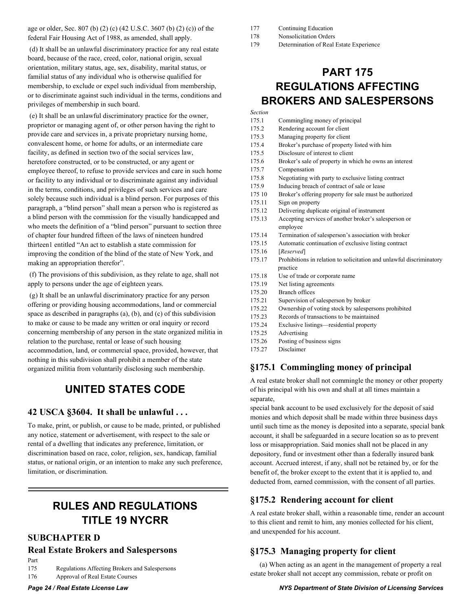age or older, Sec. 807 (b) (2) (c) (42 U.S.C. 3607 (b) (2) (c)) of the federal Fair Housing Act of 1988, as amended, shall apply.

(d) It shall be an unlawful discriminatory practice for any real estate board, because of the race, creed, color, national origin, sexual orientation, military status, age, sex, disability, marital status, or familial status of any individual who is otherwise qualified for membership, to exclude or expel such individual from membership, or to discriminate against such individual in the terms, conditions and privileges of membership in such board.

(e) It shall be an unlawful discriminatory practice for the owner, proprietor or managing agent of, or other person having the right to provide care and services in, a private proprietary nursing home, convalescent home, or home for adults, or an intermediate care facility, as defined in section two of the social services law, heretofore constructed, or to be constructed, or any agent or employee thereof, to refuse to provide services and care in such home or facility to any individual or to discriminate against any individual in the terms, conditions, and privileges of such services and care solely because such individual is a blind person. For purposes of this paragraph, a "blind person" shall mean a person who is registered as a blind person with the commission for the visually handicapped and who meets the definition of a "blind person" pursuant to section three of chapter four hundred fifteen of the laws of nineteen hundred thirteen1 entitled "An act to establish a state commission for improving the condition of the blind of the state of New York, and making an appropriation therefor".

(f) The provisions of this subdivision, as they relate to age, shall not apply to persons under the age of eighteen years.

(g) It shall be an unlawful discriminatory practice for any person offering or providing housing accommodations, land or commercial space as described in paragraphs (a), (b), and (c) of this subdivision to make or cause to be made any written or oral inquiry or record concerning membership of any person in the state organized militia in relation to the purchase, rental or lease of such housing accommodation, land, or commercial space, provided, however, that nothing in this subdivision shall prohibit a member of the state organized militia from voluntarily disclosing such membership.

### **UNITED STATES CODE**

### **42 USCA §3604. It shall be unlawful . . .**

To make, print, or publish, or cause to be made, printed, or published any notice, statement or advertisement, with respect to the sale or rental of a dwelling that indicates any preference, limitation, or discrimination based on race, color, religion, sex, handicap, familial status, or national origin, or an intention to make any such preference, limitation, or discrimination.

### **RULES AND REGULATIONS TITLE 19 NYCRR**

### **SUBCHAPTER D**

#### **Real Estate Brokers and Salespersons**

- Part
- 175 Regulations Affecting Brokers and Salespersons 176 Approval of Real Estate Courses
- 177 Continuing Education
- 178 Nonsolicitation Orders
- 179 Determination of Real Estate Experience

### **PART 175 REGULATIONS AFFECTING BROKERS AND SALESPERSONS**

#### *Section*

| 175.1  | Commingling money of principal                                       |
|--------|----------------------------------------------------------------------|
| 175.2  | Rendering account for client                                         |
| 175.3  | Managing property for client                                         |
| 175.4  | Broker's purchase of property listed with him                        |
| 175.5  | Disclosure of interest to client                                     |
| 175.6  | Broker's sale of property in which he owns an interest               |
| 175.7  | Compensation                                                         |
| 175.8  | Negotiating with party to exclusive listing contract                 |
| 175.9  | Inducing breach of contract of sale or lease                         |
| 175 10 | Broker's offering property for sale must be authorized               |
| 175.11 | Sign on property                                                     |
| 175.12 | Delivering duplicate original of instrument                          |
| 175.13 | Accepting services of another broker's salesperson or                |
|        | employee                                                             |
| 175.14 | Termination of salesperson's association with broker                 |
| 175.15 | Automatic continuation of exclusive listing contract                 |
| 175.16 | [Reserved]                                                           |
| 175.17 | Prohibitions in relation to solicitation and unlawful discriminatory |
|        | practice                                                             |
| 175.18 | Use of trade or corporate name                                       |
| 175.19 | Net listing agreements                                               |
| 175.20 | Branch offices                                                       |
| 175.21 | Supervision of salesperson by broker                                 |
|        |                                                                      |

- 175.22 Ownership of voting stock by salespersons prohibited
- 175.23 Records of transactions to be maintained
- 175.24 Exclusive listings—residential property
- 175.25 Advertising
- 175.26 Posting of business signs
- 175.27 Disclaimer

### **§175.1 Commingling money of principal**

A real estate broker shall not commingle the money or other property of his principal with his own and shall at all times maintain a separate,

special bank account to be used exclusively for the deposit of said monies and which deposit shall be made within three business days until such time as the money is deposited into a separate, special bank account, it shall be safeguarded in a secure location so as to prevent loss or misappropriation. Said monies shall not be placed in any depository, fund or investment other than a federally insured bank account. Accrued interest, if any, shall not be retained by, or for the benefit of, the broker except to the extent that it is applied to, and deducted from, earned commission, with the consent of all parties.

### **§175.2 Rendering account for client**

A real estate broker shall, within a reasonable time, render an account to this client and remit to him, any monies collected for his client, and unexpended for his account.

### **§175.3 Managing property for client**

(a) When acting as an agent in the management of property a real estate broker shall not accept any commission, rebate or profit on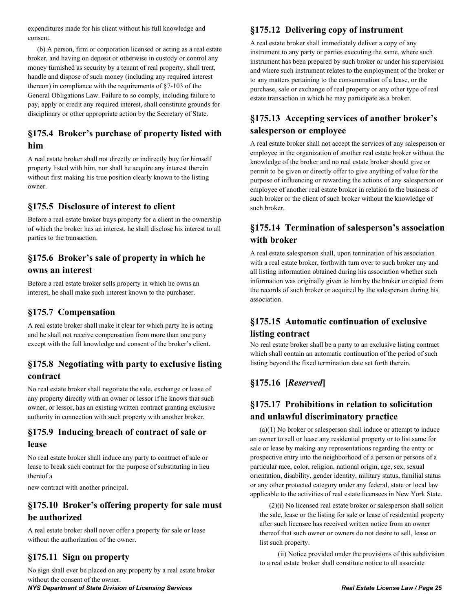expenditures made for his client without his full knowledge and consent.

(b) A person, firm or corporation licensed or acting as a real estate broker, and having on deposit or otherwise in custody or control any money furnished as security by a tenant of real property, shall treat, handle and dispose of such money (including any required interest thereon) in compliance with the requirements of §7-103 of the General Obligations Law. Failure to so comply, including failure to pay, apply or credit any required interest, shall constitute grounds for disciplinary or other appropriate action by the Secretary of State.

### **§175.4 Broker's purchase of property listed with him**

A real estate broker shall not directly or indirectly buy for himself property listed with him, nor shall he acquire any interest therein without first making his true position clearly known to the listing owner.

### **§175.5 Disclosure of interest to client**

Before a real estate broker buys property for a client in the ownership of which the broker has an interest, he shall disclose his interest to all parties to the transaction.

### **§175.6 Broker's sale of property in which he owns an interest**

Before a real estate broker sells property in which he owns an interest, he shall make such interest known to the purchaser.

### **§175.7 Compensation**

A real estate broker shall make it clear for which party he is acting and he shall not receive compensation from more than one party except with the full knowledge and consent of the broker's client.

### **§175.8 Negotiating with party to exclusive listing contract**

No real estate broker shall negotiate the sale, exchange or lease of any property directly with an owner or lessor if he knows that such owner, or lessor, has an existing written contract granting exclusive authority in connection with such property with another broker.

### **§175.9 Inducing breach of contract of sale or lease**

No real estate broker shall induce any party to contract of sale or lease to break such contract for the purpose of substituting in lieu thereof a

new contract with another principal.

### **§175.10 Broker's offering property for sale must be authorized**

A real estate broker shall never offer a property for sale or lease without the authorization of the owner.

### **§175.11 Sign on property**

No sign shall ever be placed on any property by a real estate broker without the consent of the owner.

*NYS Department of State Division of Licensing Services Real Estate License Law / Page 25*

### **§175.12 Delivering copy of instrument**

A real estate broker shall immediately deliver a copy of any instrument to any party or parties executing the same, where such instrument has been prepared by such broker or under his supervision and where such instrument relates to the employment of the broker or to any matters pertaining to the consummation of a lease, or the purchase, sale or exchange of real property or any other type of real estate transaction in which he may participate as a broker.

### **§175.13 Accepting services of another broker's salesperson or employee**

A real estate broker shall not accept the services of any salesperson or employee in the organization of another real estate broker without the knowledge of the broker and no real estate broker should give or permit to be given or directly offer to give anything of value for the purpose of influencing or rewarding the actions of any salesperson or employee of another real estate broker in relation to the business of such broker or the client of such broker without the knowledge of such broker.

### **§175.14 Termination of salesperson's association with broker**

A real estate salesperson shall, upon termination of his association with a real estate broker, forthwith turn over to such broker any and all listing information obtained during his association whether such information was originally given to him by the broker or copied from the records of such broker or acquired by the salesperson during his association.

### **§175.15 Automatic continuation of exclusive listing contract**

No real estate broker shall be a party to an exclusive listing contract which shall contain an automatic continuation of the period of such listing beyond the fixed termination date set forth therein.

### **§175.16 [***Reserved***]**

### **§175.17 Prohibitions in relation to solicitation and unlawful discriminatory practice**

(a)(1) No broker or salesperson shall induce or attempt to induce an owner to sell or lease any residential property or to list same for sale or lease by making any representations regarding the entry or prospective entry into the neighborhood of a person or persons of a particular race, color, religion, national origin, age, sex, sexual orientation, disability, gender identity, military status, familial status or any other protected category under any federal, state or local law applicable to the activities of real estate licensees in New York State.

(2)(i) No licensed real estate broker or salesperson shall solicit the sale, lease or the listing for sale or lease of residential property after such licensee has received written notice from an owner thereof that such owner or owners do not desire to sell, lease or list such property.

 (ii) Notice provided under the provisions of this subdivision to a real estate broker shall constitute notice to all associate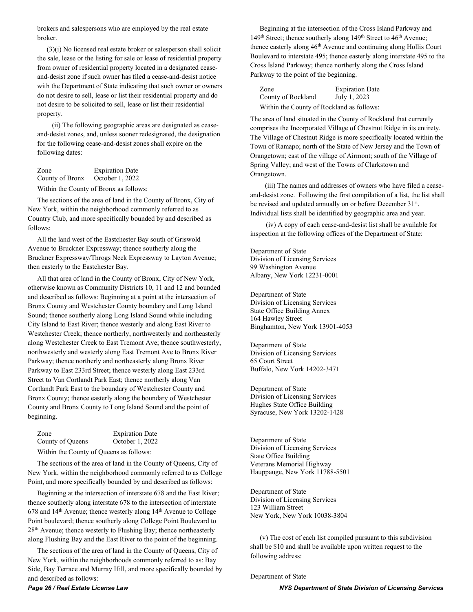brokers and salespersons who are employed by the real estate broker.

(3)(i) No licensed real estate broker or salesperson shall solicit the sale, lease or the listing for sale or lease of residential property from owner of residential property located in a designated ceaseand-desist zone if such owner has filed a cease-and-desist notice with the Department of State indicating that such owner or owners do not desire to sell, lease or list their residential property and do not desire to be solicited to sell, lease or list their residential property.

 (ii) The following geographic areas are designated as ceaseand-desist zones, and, unless sooner redesignated, the designation for the following cease-and-desist zones shall expire on the following dates:

| Zone                            | <b>Expiration Date</b>                 |
|---------------------------------|----------------------------------------|
| County of Bronx October 1, 2022 |                                        |
|                                 | Within the County of Bronx as follows: |

The sections of the area of land in the County of Bronx, City of New York, within the neighborhood commonly referred to as Country Club, and more specifically bounded by and described as follows:

All the land west of the Eastchester Bay south of Griswold Avenue to Bruckner Expressway; thence southerly along the Bruckner Expressway/Throgs Neck Expressway to Layton Avenue; then easterly to the Eastchester Bay.

All that area of land in the County of Bronx, City of New York, otherwise known as Community Districts 10, 11 and 12 and bounded and described as follows: Beginning at a point at the intersection of Bronx County and Westchester County boundary and Long Island Sound; thence southerly along Long Island Sound while including City Island to East River; thence westerly and along East River to Westchester Creek; thence northerly, northwesterly and northeasterly along Westchester Creek to East Tremont Ave; thence southwesterly, northwesterly and westerly along East Tremont Ave to Bronx River Parkway; thence northerly and northeasterly along Bronx River Parkway to East 233rd Street; thence westerly along East 233rd Street to Van Cortlandt Park East; thence northerly along Van Cortlandt Park East to the boundary of Westchester County and Bronx County; thence easterly along the boundary of Westchester County and Bronx County to Long Island Sound and the point of beginning.

| Zone                                    | <b>Expiration Date</b> |
|-----------------------------------------|------------------------|
| County of Queens                        | October 1, 2022        |
| Within the County of Queens as follows: |                        |

The sections of the area of land in the County of Queens, City of New York, within the neighborhood commonly referred to as College Point, and more specifically bounded by and described as follows:

Beginning at the intersection of interstate 678 and the East River; thence southerly along interstate 678 to the intersection of interstate  $678$  and  $14<sup>th</sup>$  Avenue; thence westerly along  $14<sup>th</sup>$  Avenue to College Point boulevard; thence southerly along College Point Boulevard to 28<sup>th</sup> Avenue; thence westerly to Flushing Bay; thence northeasterly along Flushing Bay and the East River to the point of the beginning.

The sections of the area of land in the County of Queens, City of New York, within the neighborhoods commonly referred to as: Bay Side, Bay Terrace and Murray Hill, and more specifically bounded by and described as follows:

Beginning at the intersection of the Cross Island Parkway and 149<sup>th</sup> Street; thence southerly along 149<sup>th</sup> Street to 46<sup>th</sup> Avenue; thence easterly along 46<sup>th</sup> Avenue and continuing along Hollis Court Boulevard to interstate 495; thence easterly along interstate 495 to the Cross Island Parkway; thence northerly along the Cross Island Parkway to the point of the beginning.

Zone Expiration Date County of Rockland July 1, 2023 Within the County of Rockland as follows:

The area of land situated in the County of Rockland that currently comprises the Incorporated Village of Chestnut Ridge in its entirety. The Village of Chestnut Ridge is more specifically located within the Town of Ramapo; north of the State of New Jersey and the Town of Orangetown; east of the village of Airmont; south of the Village of Spring Valley; and west of the Towns of Clarkstown and Orangetown.

 (iii) The names and addresses of owners who have filed a ceaseand-desist zone. Following the first compilation of a list, the list shall be revised and updated annually on or before December 31st. Individual lists shall be identified by geographic area and year.

 (iv) A copy of each cease-and-desist list shall be available for inspection at the following offices of the Department of State:

Department of State Division of Licensing Services 99 Washington Avenue Albany, New York 12231-0001

Department of State Division of Licensing Services State Office Building Annex 164 Hawley Street Binghamton, New York 13901-4053

Department of State Division of Licensing Services 65 Court Street Buffalo, New York 14202-3471

Department of State Division of Licensing Services Hughes State Office Building Syracuse, New York 13202-1428

Department of State Division of Licensing Services State Office Building Veterans Memorial Highway Hauppauge, New York 11788-5501

Department of State Division of Licensing Services 123 William Street New York, New York 10038-3804

 (v) The cost of each list compiled pursuant to this subdivision shall be \$10 and shall be available upon written request to the following address:

#### Department of State

*Page 26 / Real Estate License Law NYS Department of State Division of Licensing Services*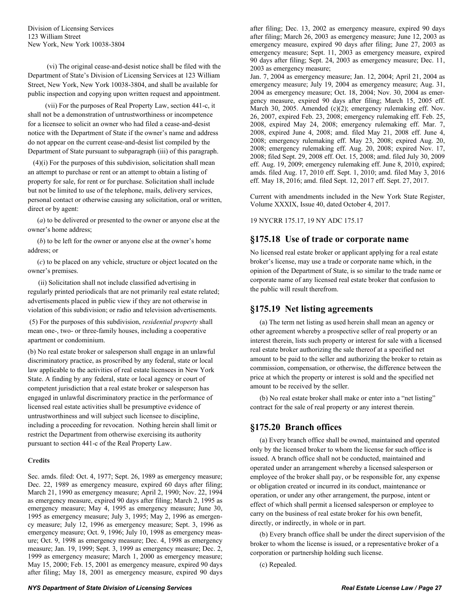Division of Licensing Services 123 William Street New York, New York 10038-3804

 (vi) The original cease-and-desist notice shall be filed with the Department of State's Division of Licensing Services at 123 William Street, New York, New York 10038-3804, and shall be available for public inspection and copying upon written request and appointment.

 (vii) For the purposes of Real Property Law, section 441-c, it shall not be a demonstration of untrustworthiness or incompetence for a licensee to solicit an owner who had filed a cease-and-desist notice with the Department of State if the owner's name and address do not appear on the current cease-and-desist list compiled by the Department of State pursuant to subparagraph (iii) of this paragraph.

 (4)(i) For the purposes of this subdivision, solicitation shall mean an attempt to purchase or rent or an attempt to obtain a listing of property for sale, for rent or for purchase. Solicitation shall include but not be limited to use of the telephone, mails, delivery services, personal contact or otherwise causing any solicitation, oral or written, direct or by agent:

(*a*) to be delivered or presented to the owner or anyone else at the owner's home address;

(*b*) to be left for the owner or anyone else at the owner's home address; or

(*c*) to be placed on any vehicle, structure or object located on the owner's premises.

 (ii) Solicitation shall not include classified advertising in regularly printed periodicals that are not primarily real estate related; advertisements placed in public view if they are not otherwise in violation of this subdivision; or radio and television advertisements.

(5) For the purposes of this subdivision, *residential property* shall mean one-, two- or three-family houses, including a cooperative apartment or condominium.

(b) No real estate broker or salesperson shall engage in an unlawful discriminatory practice, as proscribed by any federal, state or local law applicable to the activities of real estate licensees in New York State. A finding by any federal, state or local agency or court of competent jurisdiction that a real estate broker or salesperson has engaged in unlawful discriminatory practice in the performance of licensed real estate activities shall be presumptive evidence of untrustworthiness and will subject such licensee to discipline, including a proceeding for revocation. Nothing herein shall limit or restrict the Department from otherwise exercising its authority pursuant to section 441-c of the Real Property Law.

#### **Credits**

Sec. amds. filed: Oct. 4, 1977; Sept. 26, 1989 as emergency measure; Dec. 22, 1989 as emergency measure, expired 60 days after filing; March 21, 1990 as emergency measure; April 2, 1990; Nov. 22, 1994 as emergency measure, expired 90 days after filing; March 2, 1995 as emergency measure; May 4, 1995 as emergency measure; June 30, 1995 as emergency measure; July 3, 1995; May 2, 1996 as emergency measure; July 12, 1996 as emergency measure; Sept. 3, 1996 as emergency measure; Oct. 9, 1996; July 10, 1998 as emergency measure; Oct. 9, 1998 as emergency measure; Dec. 4, 1998 as emergency measure; Jan. 19, 1999; Sept. 3, 1999 as emergency measure; Dec. 2, 1999 as emergency measure; March 1, 2000 as emergency measure; May 15, 2000; Feb. 15, 2001 as emergency measure, expired 90 days after filing; May 18, 2001 as emergency measure, expired 90 days

after filing; Dec. 13, 2002 as emergency measure, expired 90 days after filing; March 26, 2003 as emergency measure; June 12, 2003 as emergency measure, expired 90 days after filing; June 27, 2003 as emergency measure; Sept. 11, 2003 as emergency measure, expired 90 days after filing; Sept. 24, 2003 as emergency measure; Dec. 11, 2003 as emergency measure;

Jan. 7, 2004 as emergency measure; Jan. 12, 2004; April 21, 2004 as emergency measure; July 19, 2004 as emergency measure; Aug. 31, 2004 as emergency measure; Oct. 18, 2004; Nov. 30, 2004 as emergency measure, expired 90 days after filing; March 15, 2005 eff. March 30, 2005. Amended (c)(2); emergency rulemaking eff. Nov. 26, 2007, expired Feb. 23, 2008; emergency rulemaking eff. Feb. 25, 2008, expired May 24, 2008; emergency rulemaking eff. Mar. 7, 2008, expired June 4, 2008; amd. filed May 21, 2008 eff. June 4, 2008; emergency rulemaking eff. May 23, 2008; expired Aug. 20, 2008; emergency rulemaking eff. Aug. 20, 2008; expired Nov. 17, 2008; filed Sept. 29, 2008 eff. Oct. 15, 2008; amd. filed July 30, 2009 eff. Aug. 19, 2009; emergency rulemaking eff. June 8, 2010, expired; amds. filed Aug. 17, 2010 eff. Sept. 1, 2010; amd. filed May 3, 2016 eff. May 18, 2016; amd. filed Sept. 12, 2017 eff. Sept. 27, 2017.

Current with amendments included in the New York State Register, Volume XXXIX, Issue 40, dated October 4, 2017.

#### 19 NYCRR 175.17, 19 NY ADC 175.17

#### **§175.18 Use of trade or corporate name**

No licensed real estate broker or applicant applying for a real estate broker's license, may use a trade or corporate name which, in the opinion of the Department of State, is so similar to the trade name or corporate name of any licensed real estate broker that confusion to the public will result therefrom.

#### **§175.19 Net listing agreements**

(a) The term net listing as used herein shall mean an agency or other agreement whereby a prospective seller of real property or an interest therein, lists such property or interest for sale with a licensed real estate broker authorizing the sale thereof at a specified net amount to be paid to the seller and authorizing the broker to retain as commission, compensation, or otherwise, the difference between the price at which the property or interest is sold and the specified net amount to be received by the seller.

(b) No real estate broker shall make or enter into a "net listing" contract for the sale of real property or any interest therein.

#### **§175.20 Branch offices**

(a) Every branch office shall be owned, maintained and operated only by the licensed broker to whom the license for such office is issued. A branch office shall not be conducted, maintained and operated under an arrangement whereby a licensed salesperson or employee of the broker shall pay, or be responsible for, any expense or obligation created or incurred in its conduct, maintenance or operation, or under any other arrangement, the purpose, intent or effect of which shall permit a licensed salesperson or employee to carry on the business of real estate broker for his own benefit, directly, or indirectly, in whole or in part.

(b) Every branch office shall be under the direct supervision of the broker to whom the license is issued, or a representative broker of a corporation or partnership holding such license.

(c) Repealed.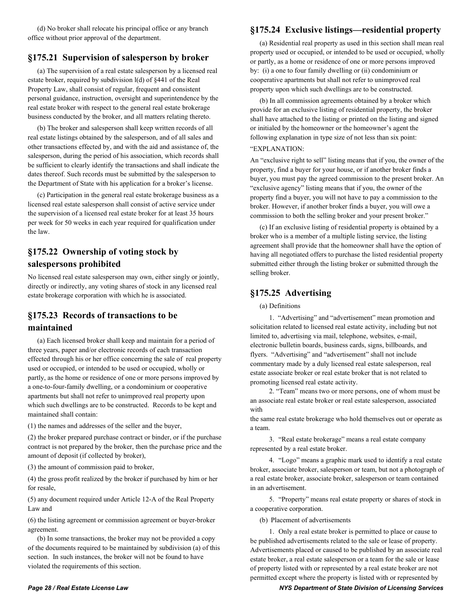(d) No broker shall relocate his principal office or any branch office without prior approval of the department.

### **§175.21 Supervision of salesperson by broker**

(a) The supervision of a real estate salesperson by a licensed real estate broker, required by subdivision l(d) of §441 of the Real Property Law, shall consist of regular, frequent and consistent personal guidance, instruction, oversight and superintendence by the real estate broker with respect to the general real estate brokerage business conducted by the broker, and all matters relating thereto.

(b) The broker and salesperson shall keep written records of all real estate listings obtained by the salesperson, and of all sales and other transactions effected by, and with the aid and assistance of, the salesperson, during the period of his association, which records shall be sufficient to clearly identify the transactions and shall indicate the dates thereof. Such records must be submitted by the salesperson to the Department of State with his application for a broker's license.

(c) Participation in the general real estate brokerage business as a licensed real estate salesperson shall consist of active service under the supervision of a licensed real estate broker for at least 35 hours per week for 50 weeks in each year required for qualification under the law.

### **§175.22 Ownership of voting stock by salespersons prohibited**

No licensed real estate salesperson may own, either singly or jointly, directly or indirectly, any voting shares of stock in any licensed real estate brokerage corporation with which he is associated.

### **§175.23 Records of transactions to be maintained**

(a) Each licensed broker shall keep and maintain for a period of three years, paper and/or electronic records of each transaction effected through his or her office concerning the sale of real property used or occupied, or intended to be used or occupied, wholly or partly, as the home or residence of one or more persons improved by a one-to-four-family dwelling, or a condominium or cooperative apartments but shall not refer to unimproved real property upon which such dwellings are to be constructed. Records to be kept and maintained shall contain:

(1) the names and addresses of the seller and the buyer,

(2) the broker prepared purchase contract or binder, or if the purchase contract is not prepared by the broker, then the purchase price and the amount of deposit (if collected by broker),

(3) the amount of commission paid to broker,

(4) the gross profit realized by the broker if purchased by him or her for resale,

(5) any document required under Article 12-A of the Real Property Law and

(6) the listing agreement or commission agreement or buyer-broker agreement.

(b) In some transactions, the broker may not be provided a copy of the documents required to be maintained by subdivision (a) of this section. In such instances, the broker will not be found to have violated the requirements of this section.

#### **§175.24 Exclusive listings—residential property**

(a) Residential real property as used in this section shall mean real property used or occupied, or intended to be used or occupied, wholly or partly, as a home or residence of one or more persons improved by: (i) a one to four family dwelling or (ii) condominium or cooperative apartments but shall not refer to unimproved real property upon which such dwellings are to be constructed.

(b) In all commission agreements obtained by a broker which provide for an exclusive listing of residential property, the broker shall have attached to the listing or printed on the listing and signed or initialed by the homeowner or the homeowner's agent the following explanation in type size of not less than six point:

#### "EXPLANATION:

An "exclusive right to sell" listing means that if you, the owner of the property, find a buyer for your house, or if another broker finds a buyer, you must pay the agreed commission to the present broker. An "exclusive agency" listing means that if you, the owner of the property find a buyer, you will not have to pay a commission to the broker. However, if another broker finds a buyer, you will owe a commission to both the selling broker and your present broker."

(c) If an exclusive listing of residential property is obtained by a broker who is a member of a multiple listing service, the listing agreement shall provide that the homeowner shall have the option of having all negotiated offers to purchase the listed residential property submitted either through the listing broker or submitted through the selling broker.

#### **§175.25 Advertising**

#### (a) Definitions

1. "Advertising" and "advertisement" mean promotion and solicitation related to licensed real estate activity, including but not limited to, advertising via mail, telephone, websites, e-mail, electronic bulletin boards, business cards, signs, billboards, and flyers. "Advertising" and "advertisement" shall not include commentary made by a duly licensed real estate salesperson, real estate associate broker or real estate broker that is not related to promoting licensed real estate activity.

2. "Team" means two or more persons, one of whom must be an associate real estate broker or real estate salesperson, associated with

the same real estate brokerage who hold themselves out or operate as a team.

3. "Real estate brokerage" means a real estate company represented by a real estate broker.

4. "Logo" means a graphic mark used to identify a real estate broker, associate broker, salesperson or team, but not a photograph of a real estate broker, associate broker, salesperson or team contained in an advertisement.

5. "Property" means real estate property or shares of stock in a cooperative corporation.

(b) Placement of advertisements

1. Only a real estate broker is permitted to place or cause to be published advertisements related to the sale or lease of property. Advertisements placed or caused to be published by an associate real estate broker, a real estate salesperson or a team for the sale or lease of property listed with or represented by a real estate broker are not permitted except where the property is listed with or represented by

*Page 28 / Real Estate License Law NYS Department of State Division of Licensing Services*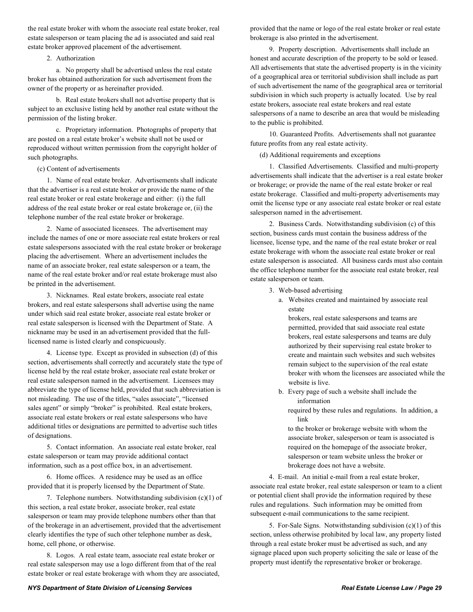the real estate broker with whom the associate real estate broker, real estate salesperson or team placing the ad is associated and said real estate broker approved placement of the advertisement.

#### 2. Authorization

a. No property shall be advertised unless the real estate broker has obtained authorization for such advertisement from the owner of the property or as hereinafter provided.

b. Real estate brokers shall not advertise property that is subject to an exclusive listing held by another real estate without the permission of the listing broker.

c. Proprietary information. Photographs of property that are posted on a real estate broker's website shall not be used or reproduced without written permission from the copyright holder of such photographs.

(c) Content of advertisements

1. Name of real estate broker. Advertisements shall indicate that the advertiser is a real estate broker or provide the name of the real estate broker or real estate brokerage and either: (i) the full address of the real estate broker or real estate brokerage or, (ii) the telephone number of the real estate broker or brokerage.

2. Name of associated licensees. The advertisement may include the names of one or more associate real estate brokers or real estate salespersons associated with the real estate broker or brokerage placing the advertisement. Where an advertisement includes the name of an associate broker, real estate salesperson or a team, the name of the real estate broker and/or real estate brokerage must also be printed in the advertisement.

3. Nicknames. Real estate brokers, associate real estate brokers, and real estate salespersons shall advertise using the name under which said real estate broker, associate real estate broker or real estate salesperson is licensed with the Department of State. A nickname may be used in an advertisement provided that the fulllicensed name is listed clearly and conspicuously.

4. License type. Except as provided in subsection (d) of this section, advertisements shall correctly and accurately state the type of license held by the real estate broker, associate real estate broker or real estate salesperson named in the advertisement. Licensees may abbreviate the type of license held, provided that such abbreviation is not misleading. The use of the titles, "sales associate", "licensed sales agent" or simply "broker" is prohibited. Real estate brokers, associate real estate brokers or real estate salespersons who have additional titles or designations are permitted to advertise such titles of designations.

5. Contact information. An associate real estate broker, real estate salesperson or team may provide additional contact information, such as a post office box, in an advertisement.

6. Home offices. A residence may be used as an office provided that it is properly licensed by the Department of State.

7. Telephone numbers. Notwithstanding subdivision (c)(1) of this section, a real estate broker, associate broker, real estate salesperson or team may provide telephone numbers other than that of the brokerage in an advertisement, provided that the advertisement clearly identifies the type of such other telephone number as desk, home, cell phone, or otherwise.

8. Logos. A real estate team, associate real estate broker or real estate salesperson may use a logo different from that of the real estate broker or real estate brokerage with whom they are associated, provided that the name or logo of the real estate broker or real estate brokerage is also printed in the advertisement.

9. Property description. Advertisements shall include an honest and accurate description of the property to be sold or leased. All advertisements that state the advertised property is in the vicinity of a geographical area or territorial subdivision shall include as part of such advertisement the name of the geographical area or territorial subdivision in which such property is actually located. Use by real estate brokers, associate real estate brokers and real estate salespersons of a name to describe an area that would be misleading to the public is prohibited.

10. Guaranteed Profits. Advertisements shall not guarantee future profits from any real estate activity.

(d) Additional requirements and exceptions

1. Classified Advertisements. Classified and multi-property advertisements shall indicate that the advertiser is a real estate broker or brokerage; or provide the name of the real estate broker or real estate brokerage. Classified and multi-property advertisements may omit the license type or any associate real estate broker or real estate salesperson named in the advertisement.

2. Business Cards. Notwithstanding subdivision (c) of this section, business cards must contain the business address of the licensee, license type, and the name of the real estate broker or real estate brokerage with whom the associate real estate broker or real estate salesperson is associated. All business cards must also contain the office telephone number for the associate real estate broker, real estate salesperson or team.

- 3. Web-based advertising
	- a. Websites created and maintained by associate real estate

brokers, real estate salespersons and teams are permitted, provided that said associate real estate brokers, real estate salespersons and teams are duly authorized by their supervising real estate broker to create and maintain such websites and such websites remain subject to the supervision of the real estate broker with whom the licensees are associated while the website is live.

- b. Every page of such a website shall include the information
	- required by these rules and regulations. In addition, a link

to the broker or brokerage website with whom the associate broker, salesperson or team is associated is required on the homepage of the associate broker, salesperson or team website unless the broker or brokerage does not have a website.

4. E-mail. An initial e-mail from a real estate broker, associate real estate broker, real estate salesperson or team to a client or potential client shall provide the information required by these rules and regulations. Such information may be omitted from subsequent e-mail communications to the same recipient.

5. For-Sale Signs. Notwithstanding subdivision (c)(1) of this section, unless otherwise prohibited by local law, any property listed through a real estate broker must be advertised as such, and any signage placed upon such property soliciting the sale or lease of the property must identify the representative broker or brokerage.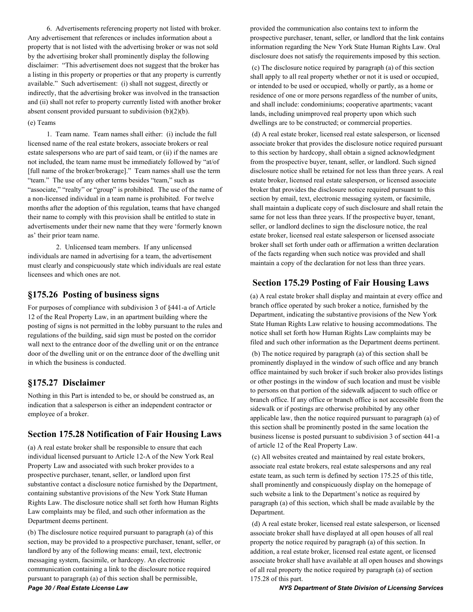6. Advertisements referencing property not listed with broker. Any advertisement that references or includes information about a property that is not listed with the advertising broker or was not sold by the advertising broker shall prominently display the following disclaimer: "This advertisement does not suggest that the broker has a listing in this property or properties or that any property is currently available." Such advertisement: (i) shall not suggest, directly or indirectly, that the advertising broker was involved in the transaction and (ii) shall not refer to property currently listed with another broker absent consent provided pursuant to subdivision (b)(2)(b).

#### (e) Teams

1. Team name. Team names shall either: (i) include the full licensed name of the real estate brokers, associate brokers or real estate salespersons who are part of said team, or (ii) if the names are not included, the team name must be immediately followed by "at/of [full name of the broker/brokerage]." Team names shall use the term "team." The use of any other terms besides "team," such as "associate," "realty" or "group" is prohibited. The use of the name of a non-licensed individual in a team name is prohibited. For twelve months after the adoption of this regulation, teams that have changed their name to comply with this provision shall be entitled to state in advertisements under their new name that they were 'formerly known as' their prior team name.

2. Unlicensed team members. If any unlicensed individuals are named in advertising for a team, the advertisement must clearly and conspicuously state which individuals are real estate licensees and which ones are not.

#### **§175.26 Posting of business signs**

For purposes of compliance with subdivision 3 of §441-a of Article 12 of the Real Property Law, in an apartment building where the posting of signs is not permitted in the lobby pursuant to the rules and regulations of the building, said sign must be posted on the corridor wall next to the entrance door of the dwelling unit or on the entrance door of the dwelling unit or on the entrance door of the dwelling unit in which the business is conducted.

#### **§175.27 Disclaimer**

Nothing in this Part is intended to be, or should be construed as, an indication that a salesperson is either an independent contractor or employee of a broker.

#### **Section 175.28 Notification of Fair Housing Laws**

(a) A real estate broker shall be responsible to ensure that each individual licensed pursuant to Article 12-A of the New York Real Property Law and associated with such broker provides to a prospective purchaser, tenant, seller, or landlord upon first substantive contact a disclosure notice furnished by the Department, containing substantive provisions of the New York State Human Rights Law. The disclosure notice shall set forth how Human Rights Law complaints may be filed, and such other information as the Department deems pertinent.

*Page 30 / Real Estate License Law NYS Department of State Division of Licensing Services* (b) The disclosure notice required pursuant to paragraph (a) of this section, may be provided to a prospective purchaser, tenant, seller, or landlord by any of the following means: email, text, electronic messaging system, facsimile, or hardcopy. An electronic communication containing a link to the disclosure notice required pursuant to paragraph (a) of this section shall be permissible,

provided the communication also contains text to inform the prospective purchaser, tenant, seller, or landlord that the link contains information regarding the New York State Human Rights Law. Oral disclosure does not satisfy the requirements imposed by this section.

(c) The disclosure notice required by paragraph (a) of this section shall apply to all real property whether or not it is used or occupied, or intended to be used or occupied, wholly or partly, as a home or residence of one or more persons regardless of the number of units, and shall include: condominiums; cooperative apartments; vacant lands, including unimproved real property upon which such dwellings are to be constructed; or commercial properties.

(d) A real estate broker, licensed real estate salesperson, or licensed associate broker that provides the disclosure notice required pursuant to this section by hardcopy, shall obtain a signed acknowledgment from the prospective buyer, tenant, seller, or landlord. Such signed disclosure notice shall be retained for not less than three years. A real estate broker, licensed real estate salesperson, or licensed associate broker that provides the disclosure notice required pursuant to this section by email, text, electronic messaging system, or facsimile, shall maintain a duplicate copy of such disclosure and shall retain the same for not less than three years. If the prospective buyer, tenant, seller, or landlord declines to sign the disclosure notice, the real estate broker, licensed real estate salesperson or licensed associate broker shall set forth under oath or affirmation a written declaration of the facts regarding when such notice was provided and shall maintain a copy of the declaration for not less than three years.

#### **Section 175.29 Posting of Fair Housing Laws**

(a) A real estate broker shall display and maintain at every office and branch office operated by such broker a notice, furnished by the Department, indicating the substantive provisions of the New York State Human Rights Law relative to housing accommodations. The notice shall set forth how Human Rights Law complaints may be filed and such other information as the Department deems pertinent.

(b) The notice required by paragraph (a) of this section shall be prominently displayed in the window of such office and any branch office maintained by such broker if such broker also provides listings or other postings in the window of such location and must be visible to persons on that portion of the sidewalk adjacent to such office or branch office. If any office or branch office is not accessible from the sidewalk or if postings are otherwise prohibited by any other applicable law, then the notice required pursuant to paragraph (a) of this section shall be prominently posted in the same location the business license is posted pursuant to subdivision 3 of section 441-a of article 12 of the Real Property Law.

(c) All websites created and maintained by real estate brokers, associate real estate brokers, real estate salespersons and any real estate team, as such term is defined by section 175.25 of this title, shall prominently and conspicuously display on the homepage of such website a link to the Department's notice as required by paragraph (a) of this section, which shall be made available by the Department.

(d) A real estate broker, licensed real estate salesperson, or licensed associate broker shall have displayed at all open houses of all real property the notice required by paragraph (a) of this section. In addition, a real estate broker, licensed real estate agent, or licensed associate broker shall have available at all open houses and showings of all real property the notice required by paragraph (a) of section 175.28 of this part.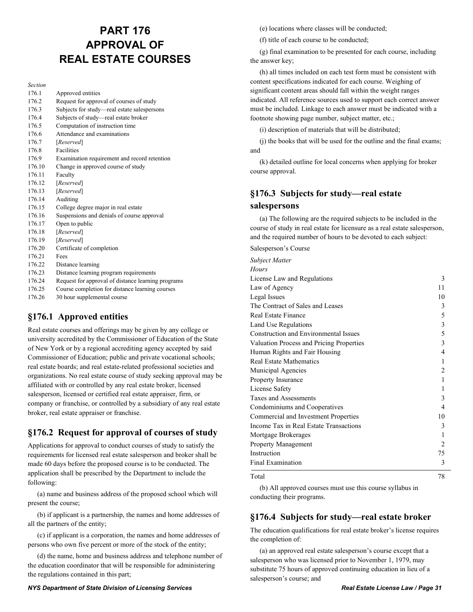### **PART 176 APPROVAL OF REAL ESTATE COURSES**

#### *Section*

| 176.1  | Approved entities                                  |
|--------|----------------------------------------------------|
| 176.2  | Request for approval of courses of study           |
| 176.3  | Subjects for study—real estate salespersons        |
| 176.4  | Subjects of study-real estate broker               |
| 176.5  | Computation of instruction time                    |
| 176.6  | Attendance and examinations                        |
| 176.7  | [Reserved]                                         |
| 176.8  | Facilities                                         |
| 176.9  | Examination requirement and record retention       |
| 176.10 | Change in approved course of study                 |
| 176.11 | Faculty                                            |
| 176.12 | [Reserved]                                         |
| 176.13 | [Reserved]                                         |
| 176.14 | Auditing                                           |
| 176.15 | College degree major in real estate                |
| 176.16 | Suspensions and denials of course approval         |
| 176.17 | Open to public                                     |
| 176.18 | [Reserved]                                         |
| 176.19 | [Reserved]                                         |
| 176.20 | Certificate of completion                          |
| 176.21 | Fees                                               |
| 176.22 | Distance learning                                  |
| 176.23 | Distance learning program requirements             |
| 176.24 | Request for approval of distance learning programs |
| 176.25 | Course completion for distance learning courses    |

176.26 30 hour supplemental course

### **§176.1 Approved entities**

Real estate courses and offerings may be given by any college or university accredited by the Commissioner of Education of the State of New York or by a regional accrediting agency accepted by said Commissioner of Education; public and private vocational schools; real estate boards; and real estate-related professional societies and organizations. No real estate course of study seeking approval may be affiliated with or controlled by any real estate broker, licensed salesperson, licensed or certified real estate appraiser, firm, or company or franchise, or controlled by a subsidiary of any real estate broker, real estate appraiser or franchise.

### **§176.2 Request for approval of courses of study**

Applications for approval to conduct courses of study to satisfy the requirements for licensed real estate salesperson and broker shall be made 60 days before the proposed course is to be conducted. The application shall be prescribed by the Department to include the following:

(a) name and business address of the proposed school which will present the course;

(b) if applicant is a partnership, the names and home addresses of all the partners of the entity;

(c) if applicant is a corporation, the names and home addresses of persons who own five percent or more of the stock of the entity;

(d) the name, home and business address and telephone number of the education coordinator that will be responsible for administering the regulations contained in this part;

#### (e) locations where classes will be conducted;

(f) title of each course to be conducted;

(g) final examination to be presented for each course, including the answer key;

(h) all times included on each test form must be consistent with content specifications indicated for each course. Weighing of significant content areas should fall within the weight ranges indicated. All reference sources used to support each correct answer must be included. Linkage to each answer must be indicated with a footnote showing page number, subject matter, etc.;

(i) description of materials that will be distributed;

(j) the books that will be used for the outline and the final exams; and

(k) detailed outline for local concerns when applying for broker course approval.

### **§176.3 Subjects for study—real estate salespersons**

(a) The following are the required subjects to be included in the course of study in real estate for licensure as a real estate salesperson, and the required number of hours to be devoted to each subject:

Salesperson's Course

| Hours<br>License Law and Regulations<br>Law of Agency<br>Legal Issues | 3<br>11<br>10<br>3 |
|-----------------------------------------------------------------------|--------------------|
|                                                                       |                    |
|                                                                       |                    |
|                                                                       |                    |
|                                                                       |                    |
| The Contract of Sales and Leases                                      |                    |
| Real Estate Finance                                                   | 5                  |
| Land Use Regulations                                                  | 3                  |
| <b>Construction and Environmental Issues</b>                          | 5                  |
| Valuation Process and Pricing Properties                              | 3                  |
| Human Rights and Fair Housing                                         | 4                  |
| Real Estate Mathematics                                               | 1                  |
| Municipal Agencies                                                    | 2                  |
| <b>Property Insurance</b>                                             | 1                  |
| License Safety                                                        | 1                  |
| Taxes and Assessments                                                 | 3                  |
| Condominiums and Cooperatives                                         | 4                  |
| Commercial and Investment Properties                                  | 10                 |
| Income Tax in Real Estate Transactions                                | 3                  |
| Mortgage Brokerages                                                   | 1                  |
| <b>Property Management</b>                                            | 2                  |
| Instruction                                                           | 75                 |
| <b>Final Examination</b>                                              | 3                  |

#### Total 78

(b) All approved courses must use this course syllabus in conducting their programs.

### **§176.4 Subjects for study—real estate broker**

The education qualifications for real estate broker's license requires the completion of:

(a) an approved real estate salesperson's course except that a salesperson who was licensed prior to November 1, 1979, may substitute 75 hours of approved continuing education in lieu of a salesperson's course; and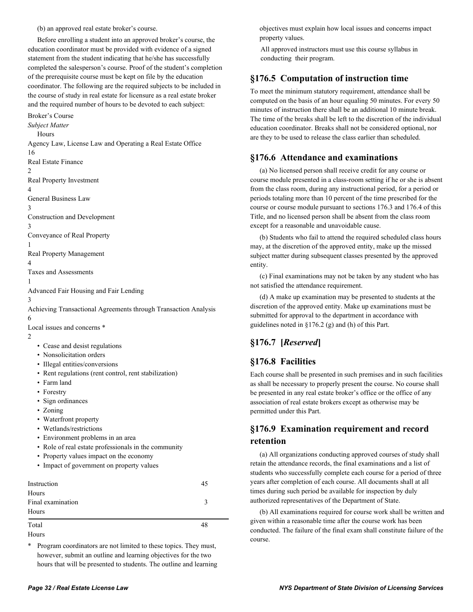(b) an approved real estate broker's course.

Before enrolling a student into an approved broker's course, the education coordinator must be provided with evidence of a signed statement from the student indicating that he/she has successfully completed the salesperson's course. Proof of the student's completion of the prerequisite course must be kept on file by the education coordinator. The following are the required subjects to be included in the course of study in real estate for licensure as a real estate broker and the required number of hours to be devoted to each subject:

Broker's Course *Subject Matter* Hours Agency Law, License Law and Operating a Real Estate Office 16 Real Estate Finance  $\mathfrak{D}$ Real Property Investment 4 General Business Law 3 Construction and Development 3 Conveyance of Real Property 1 Real Property Management 4 Taxes and Assessments 1 Advanced Fair Housing and Fair Lending 3 Achieving Transactional Agreements through Transaction Analysis 6 Local issues and concerns \*  $\mathfrak{D}$ • Cease and desist regulations • Nonsolicitation orders • Illegal entities/conversions • Rent regulations (rent control, rent stabilization) • Farm land

- Forestry
- Sign ordinances
- Zoning
- Waterfront property
- Wetlands/restrictions
- Environment problems in an area
- Role of real estate professionals in the community
- Property values impact on the economy
- Impact of government on property values

| Instruction       | 45 |
|-------------------|----|
| Hours             |    |
| Final examination | 3  |
| Hours             |    |
| Total             | 48 |

- Hours
- Program coordinators are not limited to these topics. They must, however, submit an outline and learning objectives for the two hours that will be presented to students. The outline and learning

objectives must explain how local issues and concerns impact property values.

All approved instructors must use this course syllabus in conducting their program.

#### **§176.5 Computation of instruction time**

To meet the minimum statutory requirement, attendance shall be computed on the basis of an hour equaling 50 minutes. For every 50 minutes of instruction there shall be an additional 10 minute break. The time of the breaks shall be left to the discretion of the individual education coordinator. Breaks shall not be considered optional, nor are they to be used to release the class earlier than scheduled.

#### **§176.6 Attendance and examinations**

(a) No licensed person shall receive credit for any course or course module presented in a class-room setting if he or she is absent from the class room, during any instructional period, for a period or periods totaling more than 10 percent of the time prescribed for the course or course module pursuant to sections 176.3 and 176.4 of this Title, and no licensed person shall be absent from the class room except for a reasonable and unavoidable cause.

(b) Students who fail to attend the required scheduled class hours may, at the discretion of the approved entity, make up the missed subject matter during subsequent classes presented by the approved entity.

(c) Final examinations may not be taken by any student who has not satisfied the attendance requirement.

(d) A make up examination may be presented to students at the discretion of the approved entity. Make up examinations must be submitted for approval to the department in accordance with guidelines noted in §176.2 (g) and (h) of this Part.

#### **§176.7 [***Reserved***]**

#### **§176.8 Facilities**

Each course shall be presented in such premises and in such facilities as shall be necessary to properly present the course. No course shall be presented in any real estate broker's office or the office of any association of real estate brokers except as otherwise may be permitted under this Part.

### **§176.9 Examination requirement and record retention**

(a) All organizations conducting approved courses of study shall retain the attendance records, the final examinations and a list of students who successfully complete each course for a period of three years after completion of each course. All documents shall at all times during such period be available for inspection by duly authorized representatives of the Department of State.

(b) All examinations required for course work shall be written and given within a reasonable time after the course work has been conducted. The failure of the final exam shall constitute failure of the course.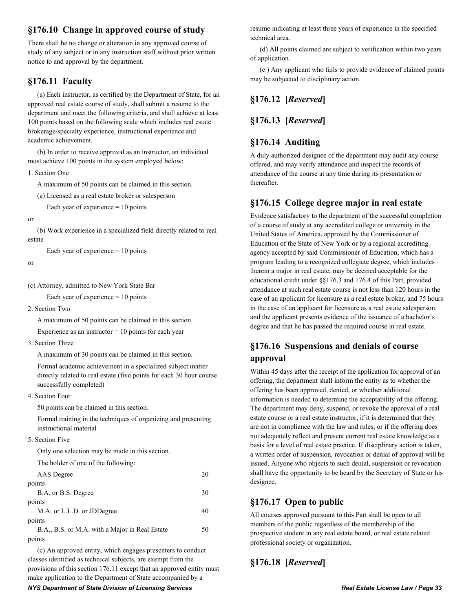### **§176.10 Change in approved course of study**

There shall be no change or alteration in any approved course of study of any subject or in any instruction staff without prior written notice to and approval by the department.

### **§176.11 Faculty**

(a) Each instructor, as certified by the Department of State, for an approved real estate course of study, shall submit a resume to the department and meet the following criteria, and shall achieve at least 100 points based on the following scale which includes real estate brokerage/specialty experience, instructional experience and academic achievement.

(b) In order to receive approval as an instructor, an individual must achieve 100 points in the system employed below:

1. Section One

A maximum of 50 points can be claimed in this section.

(a) Licensed as a real estate broker or salesperson

Each year of experience  $= 10$  points

or

(b) Work experience in a specialized field directly related to real estate

Each year of experience  $= 10$  points

or

(c) Attorney, admitted to New York State Bar

Each year of experience  $= 10$  points

2. Section Two

A maximum of 50 points can be claimed in this section.

Experience as an instructor  $= 10$  points for each year

3. Section Three

A maximum of 30 points can be claimed in this section.

Formal academic achievement in a specialized subject matter directly related to real estate (five points for each 30 hour course successfully completed)

4. Section Four

50 points can be claimed in this section.

Formal training in the techniques of organizing and presenting instructional material

5. Section Five

Only one selection may be made in this section.

The holder of one of the following:

| AAS Degree                                     | 20 |
|------------------------------------------------|----|
| points                                         |    |
| B.A. or B.S. Degree                            | 30 |
| points                                         |    |
| M.A. or L.L.D. or JDDegree                     | 40 |
| points                                         |    |
| B.A., B.S. or M.A. with a Major in Real Estate | 50 |
| points                                         |    |

*NYS Department of State Division of Licensing Services Real Estate License Law / Page 33* (c) An approved entity, which engages presenters to conduct classes identified as technical subjects, are exempt from the provisions of this section 176.11 except that an approved entity must make application to the Department of State accompanied by a

resume indicating at least three years of experience in the specified technical area.

(d) All points claimed are subject to verification within two years of application.

(e ) Any applicant who fails to provide evidence of claimed points may be subjected to disciplinary action.

#### **§176.12 [***Reserved***]**

#### **§176.13 [***Reserved***]**

#### **§176.14 Auditing**

A duly authorized designee of the department may audit any course offered, and may verify attendance and inspect the records of attendance of the course at any time during its presentation or thereafter.

#### **§176.15 College degree major in real estate**

Evidence satisfactory to the department of the successful completion of a course of study at any accredited college or university in the United States of America, approved by the Commissioner of Education of the State of New York or by a regional accrediting agency accepted by said Commissioner of Education, which has a program leading to a recognized collegiate degree, which includes therein a major in real estate, may be deemed acceptable for the educational credit under §§176.3 and 176.4 of this Part, provided attendance at such real estate course is not less than 120 hours in the case of an applicant for licensure as a real estate broker, and 75 hours in the case of an applicant for licensure as a real estate salesperson, and the applicant presents evidence of the issuance of a bachelor's degree and that he has passed the required course in real estate.

### **§176.16 Suspensions and denials of course approval**

Within 45 days after the receipt of the application for approval of an offering, the department shall inform the entity as to whether the offering has been approved, denied, or whether additional information is needed to determine the acceptability of the offering. The department may deny, suspend, or revoke the approval of a real estate course or a real estate instructor, if it is determined that they are not in compliance with the law and rules, or if the offering does not adequately reflect and present current real estate knowledge as a basis for a level of real estate practice. If disciplinary action is taken, a written order of suspension, revocation or denial of approval will be issued. Anyone who objects to such denial, suspension or revocation shall have the opportunity to be heard by the Secretary of State or his designee.

#### **§176.17 Open to public**

All courses approved pursuant to this Part shall be open to all members of the public regardless of the membership of the prospective student in any real estate board, or real estate related professional society or organization.

### **§176.18 [***Reserved***]**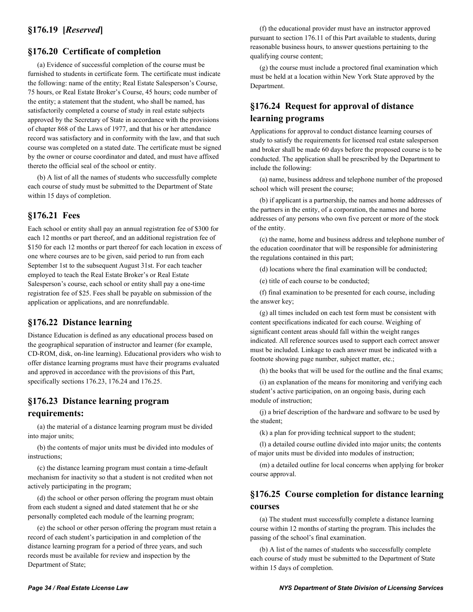### **§176.20 Certificate of completion**

(a) Evidence of successful completion of the course must be furnished to students in certificate form. The certificate must indicate the following: name of the entity; Real Estate Salesperson's Course, 75 hours, or Real Estate Broker's Course, 45 hours; code number of the entity; a statement that the student, who shall be named, has satisfactorily completed a course of study in real estate subjects approved by the Secretary of State in accordance with the provisions of chapter 868 of the Laws of 1977, and that his or her attendance record was satisfactory and in conformity with the law, and that such course was completed on a stated date. The certificate must be signed by the owner or course coordinator and dated, and must have affixed thereto the official seal of the school or entity.

(b) A list of all the names of students who successfully complete each course of study must be submitted to the Department of State within 15 days of completion.

### **§176.21 Fees**

Each school or entity shall pay an annual registration fee of \$300 for each 12 months or part thereof, and an additional registration fee of \$150 for each 12 months or part thereof for each location in excess of one where courses are to be given, said period to run from each September 1st to the subsequent August 31st. For each teacher employed to teach the Real Estate Broker's or Real Estate Salesperson's course, each school or entity shall pay a one-time registration fee of \$25. Fees shall be payable on submission of the application or applications, and are nonrefundable.

### **§176.22 Distance learning**

Distance Education is defined as any educational process based on the geographical separation of instructor and learner (for example, CD-ROM, disk, on-line learning). Educational providers who wish to offer distance learning programs must have their programs evaluated and approved in accordance with the provisions of this Part, specifically sections 176.23, 176.24 and 176.25.

### **§176.23 Distance learning program**

#### **requirements:**

(a) the material of a distance learning program must be divided into major units;

(b) the contents of major units must be divided into modules of instructions;

(c) the distance learning program must contain a time-default mechanism for inactivity so that a student is not credited when not actively participating in the program;

(d) the school or other person offering the program must obtain from each student a signed and dated statement that he or she personally completed each module of the learning program;

(e) the school or other person offering the program must retain a record of each student's participation in and completion of the distance learning program for a period of three years, and such records must be available for review and inspection by the Department of State;

(f) the educational provider must have an instructor approved pursuant to section 176.11 of this Part available to students, during reasonable business hours, to answer questions pertaining to the qualifying course content;

(g) the course must include a proctored final examination which must be held at a location within New York State approved by the Department.

### **§176.24 Request for approval of distance learning programs**

Applications for approval to conduct distance learning courses of study to satisfy the requirements for licensed real estate salesperson and broker shall be made 60 days before the proposed course is to be conducted. The application shall be prescribed by the Department to include the following:

(a) name, business address and telephone number of the proposed school which will present the course;

(b) if applicant is a partnership, the names and home addresses of the partners in the entity, of a corporation, the names and home addresses of any persons who own five percent or more of the stock of the entity.

(c) the name, home and business address and telephone number of the education coordinator that will be responsible for administering the regulations contained in this part;

(d) locations where the final examination will be conducted;

(e) title of each course to be conducted;

(f) final examination to be presented for each course, including the answer key;

(g) all times included on each test form must be consistent with content specifications indicated for each course. Weighing of significant content areas should fall within the weight ranges indicated. All reference sources used to support each correct answer must be included. Linkage to each answer must be indicated with a footnote showing page number, subject matter, etc.;

(h) the books that will be used for the outline and the final exams;

(i) an explanation of the means for monitoring and verifying each student's active participation, on an ongoing basis, during each module of instruction;

(j) a brief description of the hardware and software to be used by the student;

(k) a plan for providing technical support to the student;

(l) a detailed course outline divided into major units; the contents of major units must be divided into modules of instruction;

(m) a detailed outline for local concerns when applying for broker course approval.

### **§176.25 Course completion for distance learning courses**

(a) The student must successfully complete a distance learning course within 12 months of starting the program. This includes the passing of the school's final examination.

(b) A list of the names of students who successfully complete each course of study must be submitted to the Department of State within 15 days of completion.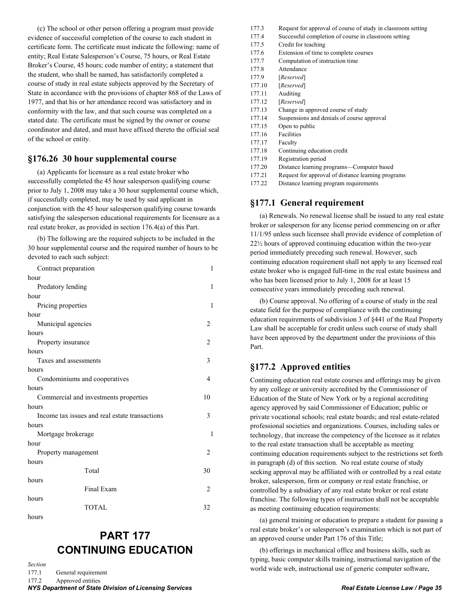(c) The school or other person offering a program must provide evidence of successful completion of the course to each student in certificate form. The certificate must indicate the following: name of entity; Real Estate Salesperson's Course, 75 hours, or Real Estate Broker's Course, 45 hours; code number of entity; a statement that the student, who shall be named, has satisfactorily completed a course of study in real estate subjects approved by the Secretary of State in accordance with the provisions of chapter 868 of the Laws of 1977, and that his or her attendance record was satisfactory and in conformity with the law, and that such course was completed on a stated date. The certificate must be signed by the owner or course coordinator and dated, and must have affixed thereto the official seal of the school or entity.

#### **§176.26 30 hour supplemental course**

(a) Applicants for licensure as a real estate broker who successfully completed the 45 hour salesperson qualifying course prior to July 1, 2008 may take a 30 hour supplemental course which, if successfully completed, may be used by said applicant in conjunction with the 45 hour salesperson qualifying course towards satisfying the salesperson educational requirements for licensure as a real estate broker, as provided in section 176.4(a) of this Part.

(b) The following are the required subjects to be included in the 30 hour supplemental course and the required number of hours to be devoted to each such subject:

| Contract preparation  |                                                | 1              |
|-----------------------|------------------------------------------------|----------------|
| hour                  |                                                |                |
| Predatory lending     |                                                | 1              |
| hour                  |                                                |                |
| Pricing properties    |                                                | 1              |
| hour                  |                                                |                |
| Municipal agencies    |                                                | $\overline{c}$ |
| hours                 |                                                |                |
| Property insurance    |                                                | $\overline{c}$ |
| hours                 |                                                |                |
| Taxes and assessments |                                                | 3              |
| hours                 |                                                |                |
|                       | Condominiums and cooperatives                  | 4              |
| hours                 |                                                |                |
|                       | Commercial and investments properties          | 10             |
| hours                 |                                                |                |
|                       | Income tax issues and real estate transactions | 3              |
| hours                 |                                                |                |
| Mortgage brokerage    |                                                | 1              |
| hour                  |                                                |                |
| Property management   |                                                | $\overline{c}$ |
| hours                 |                                                |                |
|                       | Total                                          | 30             |
| hours                 |                                                |                |
|                       | Final Exam                                     | 2              |
| hours                 |                                                |                |
|                       | <b>TOTAL</b>                                   | 32             |
| hours                 |                                                |                |

### **PART 177 CONTINUING EDUCATION**

*Section* 177.1 General requirement

177.2 Approved entities

*NYS Department of State Division of Licensing Services Real Estate License Law / Page 35*

- 177.3 Request for approval of course of study in classroom setting
- 177.4 Successful completion of course in classroom setting
- 177.5 Credit for teaching
- 177.6 Extension of time to complete courses
- 177.7 Computation of instruction time
- 177.8 Attendance
- 177.9 [*Reserved*]
- 177.10 [*Reserved*]
- 177.11 Auditing
- 177.12 [*Reserved*]
- 177.13 Change in approved course of study
- 177.14 Suspensions and denials of course approval
- 177.15 Open to public
- 177.16 Facilities
- 177.17 Faculty
- 177.18 Continuing education credit
- 177.19 Registration period
- 177.20 Distance learning programs—Computer based
- 177.21 Request for approval of distance learning programs
- 177.22 Distance learning program requirements

#### **§177.1 General requirement**

(a) Renewals. No renewal license shall be issued to any real estate broker or salesperson for any license period commencing on or after 11/1/95 unless such licensee shall provide evidence of completion of 22½ hours of approved continuing education within the two-year period immediately preceding such renewal. However, such continuing education requirement shall not apply to any licensed real estate broker who is engaged full-time in the real estate business and who has been licensed prior to July 1, 2008 for at least 15 consecutive years immediately preceding such renewal.

(b) Course approval. No offering of a course of study in the real estate field for the purpose of compliance with the continuing education requirements of subdivision 3 of §441 of the Real Property Law shall be acceptable for credit unless such course of study shall have been approved by the department under the provisions of this Part.

### **§177.2 Approved entities**

Continuing education real estate courses and offerings may be given by any college or university accredited by the Commissioner of Education of the State of New York or by a regional accrediting agency approved by said Commissioner of Education; public or private vocational schools; real estate boards; and real estate-related professional societies and organizations. Courses, including sales or technology, that increase the competency of the licensee as it relates to the real estate transaction shall be acceptable as meeting continuing education requirements subject to the restrictions set forth in paragraph (d) of this section. No real estate course of study seeking approval may be affiliated with or controlled by a real estate broker, salesperson, firm or company or real estate franchise, or controlled by a subsidiary of any real estate broker or real estate franchise. The following types of instruction shall not be acceptable as meeting continuing education requirements:

(a) general training or education to prepare a student for passing a real estate broker's or salesperson's examination which is not part of an approved course under Part 176 of this Title;

(b) offerings in mechanical office and business skills, such as typing, basic computer skills training, instructional navigation of the world wide web, instructional use of generic computer software,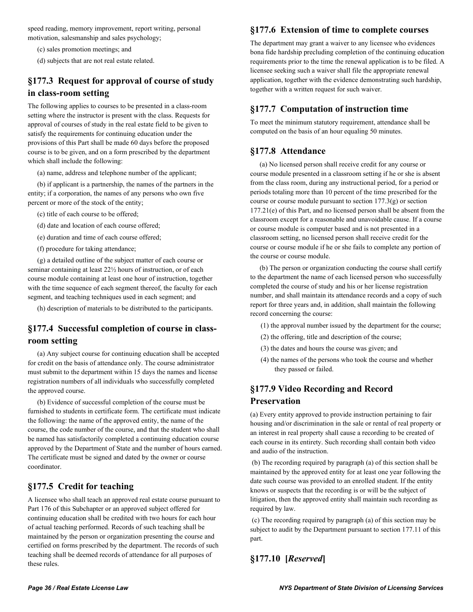speed reading, memory improvement, report writing, personal motivation, salesmanship and sales psychology;

(c) sales promotion meetings; and

(d) subjects that are not real estate related.

### **§177.3 Request for approval of course of study in class-room setting**

The following applies to courses to be presented in a class-room setting where the instructor is present with the class. Requests for approval of courses of study in the real estate field to be given to satisfy the requirements for continuing education under the provisions of this Part shall be made 60 days before the proposed course is to be given, and on a form prescribed by the department which shall include the following:

(a) name, address and telephone number of the applicant;

(b) if applicant is a partnership, the names of the partners in the entity; if a corporation, the names of any persons who own five percent or more of the stock of the entity;

(c) title of each course to be offered;

- (d) date and location of each course offered;
- (e) duration and time of each course offered;

(f) procedure for taking attendance;

(g) a detailed outline of the subject matter of each course or seminar containing at least 22½ hours of instruction, or of each course module containing at least one hour of instruction, together with the time sequence of each segment thereof, the faculty for each segment, and teaching techniques used in each segment; and

(h) description of materials to be distributed to the participants.

### **§177.4 Successful completion of course in classroom setting**

(a) Any subject course for continuing education shall be accepted for credit on the basis of attendance only. The course administrator must submit to the department within 15 days the names and license registration numbers of all individuals who successfully completed the approved course.

(b) Evidence of successful completion of the course must be furnished to students in certificate form. The certificate must indicate the following: the name of the approved entity, the name of the course, the code number of the course, and that the student who shall be named has satisfactorily completed a continuing education course approved by the Department of State and the number of hours earned. The certificate must be signed and dated by the owner or course coordinator.

### **§177.5 Credit for teaching**

A licensee who shall teach an approved real estate course pursuant to Part 176 of this Subchapter or an approved subject offered for continuing education shall be credited with two hours for each hour of actual teaching performed. Records of such teaching shall be maintained by the person or organization presenting the course and certified on forms prescribed by the department. The records of such teaching shall be deemed records of attendance for all purposes of these rules.

### **§177.6 Extension of time to complete courses**

The department may grant a waiver to any licensee who evidences bona fide hardship precluding completion of the continuing education requirements prior to the time the renewal application is to be filed. A licensee seeking such a waiver shall file the appropriate renewal application, together with the evidence demonstrating such hardship, together with a written request for such waiver.

### **§177.7 Computation of instruction time**

To meet the minimum statutory requirement, attendance shall be computed on the basis of an hour equaling 50 minutes.

### **§177.8 Attendance**

(a) No licensed person shall receive credit for any course or course module presented in a classroom setting if he or she is absent from the class room, during any instructional period, for a period or periods totaling more than 10 percent of the time prescribed for the course or course module pursuant to section  $177.3(g)$  or section 177.21(e) of this Part, and no licensed person shall be absent from the classroom except for a reasonable and unavoidable cause. If a course or course module is computer based and is not presented in a classroom setting, no licensed person shall receive credit for the course or course module if he or she fails to complete any portion of the course or course module.

(b) The person or organization conducting the course shall certify to the department the name of each licensed person who successfully completed the course of study and his or her license registration number, and shall maintain its attendance records and a copy of such report for three years and, in addition, shall maintain the following record concerning the course:

- (1) the approval number issued by the department for the course;
- (2) the offering, title and description of the course;
- (3) the dates and hours the course was given; and
- (4) the names of the persons who took the course and whether they passed or failed.

### **§177.9 Video Recording and Record Preservation**

(a) Every entity approved to provide instruction pertaining to fair housing and/or discrimination in the sale or rental of real property or an interest in real property shall cause a recording to be created of each course in its entirety. Such recording shall contain both video and audio of the instruction.

(b) The recording required by paragraph (a) of this section shall be maintained by the approved entity for at least one year following the date such course was provided to an enrolled student. If the entity knows or suspects that the recording is or will be the subject of litigation, then the approved entity shall maintain such recording as required by law.

(c) The recording required by paragraph (a) of this section may be subject to audit by the Department pursuant to section 177.11 of this part.

### **§177.10 [***Reserved***]**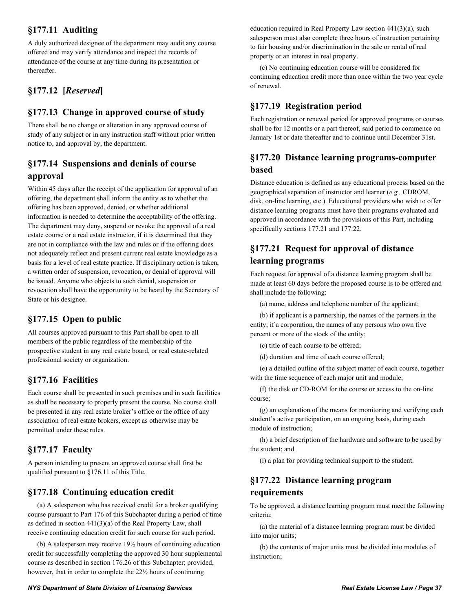### **§177.11 Auditing**

A duly authorized designee of the department may audit any course offered and may verify attendance and inspect the records of attendance of the course at any time during its presentation or thereafter.

### **§177.12 [***Reserved***]**

### **§177.13 Change in approved course of study**

There shall be no change or alteration in any approved course of study of any subject or in any instruction staff without prior written notice to, and approval by, the department.

### **§177.14 Suspensions and denials of course approval**

Within 45 days after the receipt of the application for approval of an offering, the department shall inform the entity as to whether the offering has been approved, denied, or whether additional information is needed to determine the acceptability of the offering. The department may deny, suspend or revoke the approval of a real estate course or a real estate instructor, if it is determined that they are not in compliance with the law and rules or if the offering does not adequately reflect and present current real estate knowledge as a basis for a level of real estate practice. If disciplinary action is taken, a written order of suspension, revocation, or denial of approval will be issued. Anyone who objects to such denial, suspension or revocation shall have the opportunity to be heard by the Secretary of State or his designee.

### **§177.15 Open to public**

All courses approved pursuant to this Part shall be open to all members of the public regardless of the membership of the prospective student in any real estate board, or real estate-related professional society or organization.

### **§177.16 Facilities**

Each course shall be presented in such premises and in such facilities as shall be necessary to properly present the course. No course shall be presented in any real estate broker's office or the office of any association of real estate brokers, except as otherwise may be permitted under these rules.

### **§177.17 Faculty**

A person intending to present an approved course shall first be qualified pursuant to §176.11 of this Title.

### **§177.18 Continuing education credit**

(a) A salesperson who has received credit for a broker qualifying course pursuant to Part 176 of this Subchapter during a period of time as defined in section 441(3)(a) of the Real Property Law, shall receive continuing education credit for such course for such period.

(b) A salesperson may receive 19½ hours of continuing education credit for successfully completing the approved 30 hour supplemental course as described in section 176.26 of this Subchapter; provided, however, that in order to complete the 22½ hours of continuing

education required in Real Property Law section 441(3)(a), such salesperson must also complete three hours of instruction pertaining to fair housing and/or discrimination in the sale or rental of real property or an interest in real property.

(c) No continuing education course will be considered for continuing education credit more than once within the two year cycle of renewal.

### **§177.19 Registration period**

Each registration or renewal period for approved programs or courses shall be for 12 months or a part thereof, said period to commence on January 1st or date thereafter and to continue until December 31st.

### **§177.20 Distance learning programs-computer based**

Distance education is defined as any educational process based on the geographical separation of instructor and learner (*e.g.,* CDROM, disk, on-line learning, etc.). Educational providers who wish to offer distance learning programs must have their programs evaluated and approved in accordance with the provisions of this Part, including specifically sections 177.21 and 177.22.

### **§177.21 Request for approval of distance learning programs**

Each request for approval of a distance learning program shall be made at least 60 days before the proposed course is to be offered and shall include the following:

(a) name, address and telephone number of the applicant;

(b) if applicant is a partnership, the names of the partners in the entity; if a corporation, the names of any persons who own five percent or more of the stock of the entity;

(c) title of each course to be offered;

(d) duration and time of each course offered;

(e) a detailed outline of the subject matter of each course, together with the time sequence of each major unit and module;

(f) the disk or CD-ROM for the course or access to the on-line course;

(g) an explanation of the means for monitoring and verifying each student's active participation, on an ongoing basis, during each module of instruction;

(h) a brief description of the hardware and software to be used by the student; and

(i) a plan for providing technical support to the student.

### **§177.22 Distance learning program requirements**

To be approved, a distance learning program must meet the following criteria:

(a) the material of a distance learning program must be divided into major units;

(b) the contents of major units must be divided into modules of instruction;

#### *NYS Department of State Division of Licensing Services Real Estate License Law / Page 37*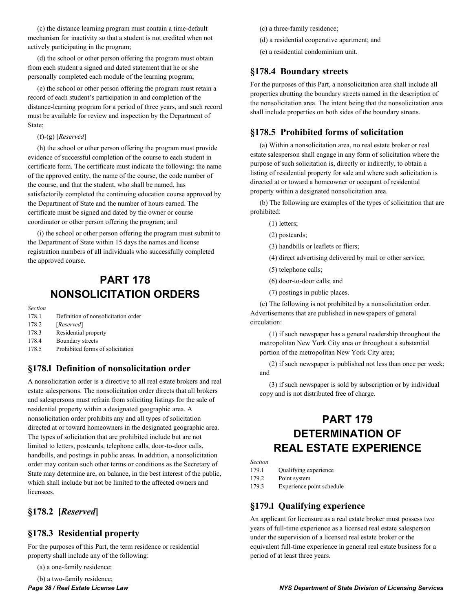(c) the distance learning program must contain a time-default mechanism for inactivity so that a student is not credited when not actively participating in the program;

(d) the school or other person offering the program must obtain from each student a signed and dated statement that he or she personally completed each module of the learning program;

(e) the school or other person offering the program must retain a record of each student's participation in and completion of the distance-learning program for a period of three years, and such record must be available for review and inspection by the Department of State;

#### (f)-(g) [*Reserved*]

(h) the school or other person offering the program must provide evidence of successful completion of the course to each student in certificate form. The certificate must indicate the following: the name of the approved entity, the name of the course, the code number of the course, and that the student, who shall be named, has satisfactorily completed the continuing education course approved by the Department of State and the number of hours earned. The certificate must be signed and dated by the owner or course coordinator or other person offering the program; and

(i) the school or other person offering the program must submit to the Department of State within 15 days the names and license registration numbers of all individuals who successfully completed the approved course.

### **PART 178 NONSOLICITATION ORDERS**

*Section*

| 178.1 | Definition of nonsolicitation order |  |  |
|-------|-------------------------------------|--|--|
|       |                                     |  |  |

- 178.2 [*Reserved*]
- 178.3 Residential property
- 178.4 Boundary streets
- 178.5 Prohibited forms of solicitation

### **§178.l Definition of nonsolicitation order**

A nonsolicitation order is a directive to all real estate brokers and real estate salespersons. The nonsolicitation order directs that all brokers and salespersons must refrain from soliciting listings for the sale of residential property within a designated geographic area. A nonsolicitation order prohibits any and all types of solicitation directed at or toward homeowners in the designated geographic area. The types of solicitation that are prohibited include but are not limited to letters, postcards, telephone calls, door-to-door calls, handbills, and postings in public areas. In addition, a nonsolicitation order may contain such other terms or conditions as the Secretary of State may determine are, on balance, in the best interest of the public, which shall include but not be limited to the affected owners and licensees.

### **§178.2 [***Reserved***]**

#### **§178.3 Residential property**

For the purposes of this Part, the term residence or residential property shall include any of the following:

(a) a one-family residence;

(b) a two-family residence;

(c) a three-family residence;

- (d) a residential cooperative apartment; and
- (e) a residential condominium unit.

#### **§178.4 Boundary streets**

For the purposes of this Part, a nonsolicitation area shall include all properties abutting the boundary streets named in the description of the nonsolicitation area. The intent being that the nonsolicitation area shall include properties on both sides of the boundary streets.

### **§178.5 Prohibited forms of solicitation**

(a) Within a nonsolicitation area, no real estate broker or real estate salesperson shall engage in any form of solicitation where the purpose of such solicitation is, directly or indirectly, to obtain a listing of residential property for sale and where such solicitation is directed at or toward a homeowner or occupant of residential property within a designated nonsolicitation area.

(b) The following are examples of the types of solicitation that are prohibited:

(1) letters;

(2) postcards;

(3) handbills or leaflets or fliers;

(4) direct advertising delivered by mail or other service;

- (5) telephone calls;
- (6) door-to-door calls; and
- (7) postings in public places.

(c) The following is not prohibited by a nonsolicitation order. Advertisements that are published in newspapers of general circulation:

(1) if such newspaper has a general readership throughout the metropolitan New York City area or throughout a substantial portion of the metropolitan New York City area;

(2) if such newspaper is published not less than once per week; and

(3) if such newspaper is sold by subscription or by individual copy and is not distributed free of charge.

### **PART 179 DETERMINATION OF REAL ESTATE EXPERIENCE**

*Section*

- 179.1 Qualifying experience
- 179.2 Point system
- 179.3 Experience point schedule

#### **§179.l Qualifying experience**

An applicant for licensure as a real estate broker must possess two years of full-time experience as a licensed real estate salesperson under the supervision of a licensed real estate broker or the equivalent full-time experience in general real estate business for a period of at least three years.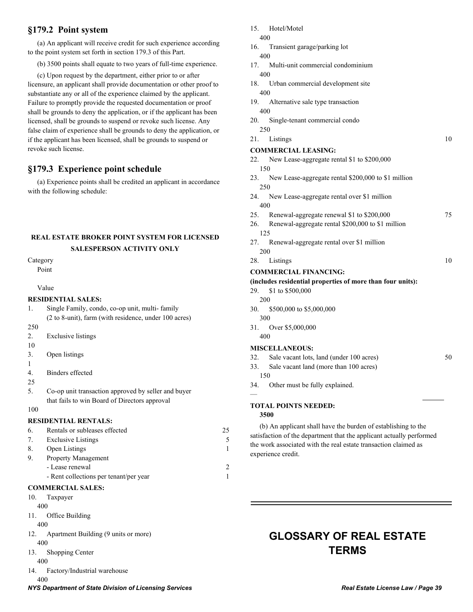#### **§179.2 Point system**

(a) An applicant will receive credit for such experience according to the point system set forth in section 179.3 of this Part.

(b) 3500 points shall equate to two years of full-time experience.

(c) Upon request by the department, either prior to or after licensure, an applicant shall provide documentation or other proof to substantiate any or all of the experience claimed by the applicant. Failure to promptly provide the requested documentation or proof shall be grounds to deny the application, or if the applicant has been licensed, shall be grounds to suspend or revoke such license. Any false claim of experience shall be grounds to deny the application, or if the applicant has been licensed, shall be grounds to suspend or revoke such license.

#### **§179.3 Experience point schedule**

(a) Experience points shall be credited an applicant in accordance with the following schedule:

#### **REAL ESTATE BROKER POINT SYSTEM FOR LICENSED SALESPERSON ACTIVITY ONLY**

Category Point

#### Value

#### **RESIDENTIAL SALES:**

| 1.      | Single Family, condo, co-op unit, multi-family<br>(2 to 8-unit), farm (with residence, under 100 acres) |
|---------|---------------------------------------------------------------------------------------------------------|
| 250     |                                                                                                         |
| $2_{-}$ | Exclusive listings                                                                                      |
| 10      |                                                                                                         |
| 3.      | Open listings                                                                                           |
| 1       |                                                                                                         |
| 4.      | Binders effected                                                                                        |
| 25      |                                                                                                         |
| 5.      | Co-op unit transaction approved by seller and buyer                                                     |
|         | that fails to win Board of Directors approval                                                           |
| 100     |                                                                                                         |
|         | <b>RESIDENTIAL RENTALS:</b>                                                                             |

|    | <b>RESIDENTIAL RENTALS:</b>            |    |
|----|----------------------------------------|----|
| 6. | Rentals or subleases effected          | 25 |
| 7. | <b>Exclusive Listings</b>              | 5  |
| 8. | Open Listings                          |    |
| 9. | <b>Property Management</b>             |    |
|    | - Lease renewal                        |    |
|    | - Rent collections per tenant/per year |    |
|    |                                        |    |

#### **COMMERCIAL SALES:**

- 10. Taxpayer
- 400
- 11. Office Building
- 400
- 12. Apartment Building (9 units or more) 400
- 13. Shopping Center
- 400
- 14. Factory/Industrial warehouse
- 400
- *NYS Department of State Division of Licensing Services Real Estate License Law / Page 39*

| 15. | Hotel/Motel<br>400                                         |  |
|-----|------------------------------------------------------------|--|
| 16. | Transient garage/parking lot                               |  |
|     | 400                                                        |  |
| 17. | Multi-unit commercial condominium                          |  |
|     | 400                                                        |  |
|     | 18. Urban commercial development site                      |  |
|     | 400                                                        |  |
| 19. | Alternative sale type transaction<br>400                   |  |
| 20. | Single-tenant commercial condo                             |  |
|     | 250                                                        |  |
| 21. | Listings                                                   |  |
|     | <b>COMMERCIAL LEASING:</b>                                 |  |
|     | 22. New Lease-aggregate rental \$1 to \$200,000            |  |
|     | 150                                                        |  |
|     | 23. New Lease-aggregate rental \$200,000 to \$1 million    |  |
|     | 250                                                        |  |
|     | 24. New Lease-aggregate rental over \$1 million<br>400     |  |
|     | 25. Renewal-aggregate renewal \$1 to \$200,000             |  |
| 26. | Renewal-aggregate rental \$200,000 to \$1 million          |  |
|     | 125                                                        |  |
|     | 27. Renewal-aggregate rental over \$1 million              |  |
|     | 200                                                        |  |
|     | 28. Listings                                               |  |
|     | <b>COMMERCIAL FINANCING:</b>                               |  |
|     | (includes residential properties of more than four units): |  |
|     | 29. \$1 to \$500,000                                       |  |
|     | 200                                                        |  |
| 30. | \$500,000 to \$5,000,000<br>300                            |  |
|     | 31. Over \$5,000,000                                       |  |
|     | 400                                                        |  |
|     | <b>MISCELLANEOUS:</b>                                      |  |
| 32. | Sale vacant lots, land (under 100 acres)                   |  |
| 33. | Sale vacant land (more than 100 acres)                     |  |
|     | 150                                                        |  |
| 34. | Other must be fully explained.                             |  |

(b) An applicant shall have the burden of establishing to the satisfaction of the department that the applicant actually performed the work associated with the real estate transaction claimed as experience credit.

### **GLOSSARY OF REAL ESTATE TERMS**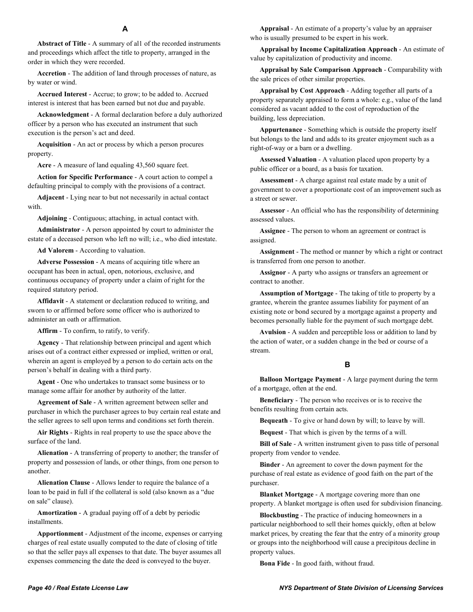**Abstract of Title** - A summary of al1 of the recorded instruments and proceedings which affect the title to property, arranged in the order in which they were recorded.

**Accretion** - The addition of land through processes of nature, as by water or wind.

**Accrued Interest** - Accrue; to grow; to be added to. Accrued interest is interest that has been earned but not due and payable.

**Acknowledgment** - A formal declaration before a duly authorized officer by a person who has executed an instrument that such execution is the person's act and deed.

**Acquisition** - An act or process by which a person procures property.

**Acre** - A measure of land equaling 43,560 square feet.

**Action for Specific Performance** - A court action to compel a defaulting principal to comply with the provisions of a contract.

**Adjacent** - Lying near to but not necessarily in actual contact with.

**Adjoining** - Contiguous; attaching, in actual contact with.

**Administrator** - A person appointed by court to administer the estate of a deceased person who left no will; i.e., who died intestate.

**Ad Valorem** - According to valuation.

**Adverse Possession** - A means of acquiring title where an occupant has been in actual, open, notorious, exclusive, and continuous occupancy of property under a claim of right for the required statutory period.

**Affidavit** - A statement or declaration reduced to writing, and sworn to or affirmed before some officer who is authorized to administer an oath or affirmation.

**Affirm** - To confirm, to ratify, to verify.

**Agency** - That relationship between principal and agent which arises out of a contract either expressed or implied, written or oral, wherein an agent is employed by a person to do certain acts on the person's behalf in dealing with a third party.

**Agent** - One who undertakes to transact some business or to manage some affair for another by authority of the latter.

**Agreement of Sale** - A written agreement between seller and purchaser in which the purchaser agrees to buy certain real estate and the seller agrees to sell upon terms and conditions set forth therein.

**Air Rights** - Rights in real property to use the space above the surface of the land.

**Alienation** - A transferring of property to another; the transfer of property and possession of lands, or other things, from one person to another.

**Alienation Clause** - Allows lender to require the balance of a loan to be paid in full if the collateral is sold (also known as a "due on sale" clause).

**Amortization** - A gradual paying off of a debt by periodic installments.

**Apportionment** - Adjustment of the income, expenses or carrying charges of real estate usually computed to the date of closing of title so that the seller pays all expenses to that date. The buyer assumes all expenses commencing the date the deed is conveyed to the buyer.

**Appraisal** - An estimate of a property's value by an appraiser who is usually presumed to be expert in his work.

**Appraisal by Income Capitalization Approach** - An estimate of value by capitalization of productivity and income.

**Appraisal by Sale Comparison Approach** - Comparability with the sale prices of other similar properties.

**Appraisal by Cost Approach** - Adding together all parts of a property separately appraised to form a whole: e.g., value of the land considered as vacant added to the cost of reproduction of the building, less depreciation.

**Appurtenance** - Something which is outside the property itself but belongs to the land and adds to its greater enjoyment such as a right-of-way or a barn or a dwelling.

**Assessed Valuation** - A valuation placed upon property by a public officer or a board, as a basis for taxation.

**Assessment** - A charge against real estate made by a unit of government to cover a proportionate cost of an improvement such as a street or sewer.

**Assessor** - An official who has the responsibility of determining assessed values.

**Assignee** - The person to whom an agreement or contract is assigned.

**Assignment** - The method or manner by which a right or contract is transferred from one person to another.

**Assignor** - A party who assigns or transfers an agreement or contract to another.

**Assumption of Mortgage** - The taking of title to property by a grantee, wherein the grantee assumes liability for payment of an existing note or bond secured by a mortgage against a property and becomes personally liable for the payment of such mortgage debt.

**Avulsion** - A sudden and perceptible loss or addition to land by the action of water, or a sudden change in the bed or course of a stream.

#### **B**

**Balloon Mortgage Payment** - A large payment during the term of a mortgage, often at the end.

**Beneficiary** - The person who receives or is to receive the benefits resulting from certain acts.

**Bequeath** - To give or hand down by will; to leave by will.

**Bequest** - That which is given by the terms of a will.

**Bill of Sale** - A written instrument given to pass title of personal property from vendor to vendee.

**Binder** - An agreement to cover the down payment for the purchase of real estate as evidence of good faith on the part of the purchaser.

**Blanket Mortgage** - A mortgage covering more than one property. A blanket mortgage is often used for subdivision financing.

**Blockbusting** - The practice of inducing homeowners in a particular neighborhood to sell their homes quickly, often at below market prices, by creating the fear that the entry of a minority group or groups into the neighborhood will cause a precipitous decline in property values.

**Bona Fide** - In good faith, without fraud.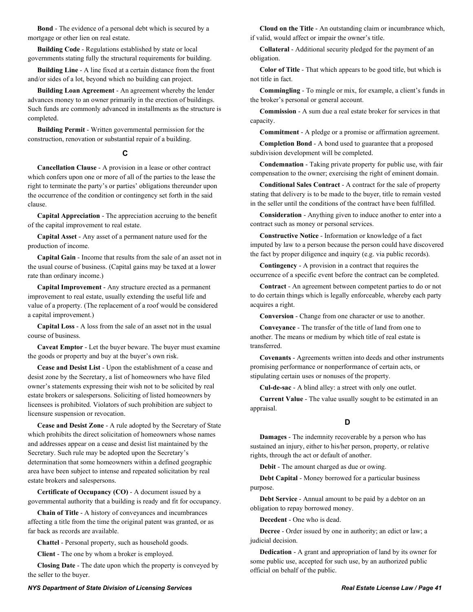**Bond** - The evidence of a personal debt which is secured by a mortgage or other lien on real estate.

**Building Code** - Regulations established by state or local governments stating fully the structural requirements for building.

**Building Line** - A line fixed at a certain distance from the front and/or sides of a lot, beyond which no building can project.

**Building Loan Agreement** - An agreement whereby the lender advances money to an owner primarily in the erection of buildings. Such funds are commonly advanced in installments as the structure is completed.

**Building Permit** - Written governmental permission for the construction, renovation or substantial repair of a building.

**C**

**Cancellation Clause** - A provision in a lease or other contract which confers upon one or more of all of the parties to the lease the right to terminate the party's or parties' obligations thereunder upon the occurrence of the condition or contingency set forth in the said clause.

**Capital Appreciation** - The appreciation accruing to the benefit of the capital improvement to real estate.

**Capital Asset** - Any asset of a permanent nature used for the production of income.

**Capital Gain** - Income that results from the sale of an asset not in the usual course of business. (Capital gains may be taxed at a lower rate than ordinary income.)

**Capital Improvement** - Any structure erected as a permanent improvement to real estate, usually extending the useful life and value of a property. (The replacement of a roof would be considered a capital improvement.)

**Capital Loss** - A loss from the sale of an asset not in the usual course of business.

**Caveat Emptor** - Let the buyer beware. The buyer must examine the goods or property and buy at the buyer's own risk.

**Cease and Desist List** - Upon the establishment of a cease and desist zone by the Secretary, a list of homeowners who have filed owner's statements expressing their wish not to be solicited by real estate brokers or salespersons. Soliciting of listed homeowners by licensees is prohibited. Violators of such prohibition are subject to licensure suspension or revocation.

**Cease and Desist Zone** - A rule adopted by the Secretary of State which prohibits the direct solicitation of homeowners whose names and addresses appear on a cease and desist list maintained by the Secretary. Such rule may be adopted upon the Secretary's determination that some homeowners within a defined geographic area have been subject to intense and repeated solicitation by real estate brokers and salespersons.

**Certificate of Occupancy (CO)** - A document issued by a governmental authority that a building is ready and fit for occupancy.

**Chain of Title** - A history of conveyances and incumbrances affecting a title from the time the original patent was granted, or as far back as records are available.

**Chattel** - Personal property, such as household goods.

**Client** - The one by whom a broker is employed.

**Closing Date** - The date upon which the property is conveyed by the seller to the buyer.

**Cloud on the Title** - An outstanding claim or incumbrance which, if valid, would affect or impair the owner's title.

**Collateral** - Additional security pledged for the payment of an obligation.

**Color of Title** - That which appears to be good title, but which is not title in fact.

**Commingling** - To mingle or mix, for example, a client's funds in the broker's personal or general account.

**Commission** - A sum due a real estate broker for services in that capacity.

**Commitment** - A pledge or a promise or affirmation agreement.

**Completion Bond** - A bond used to guarantee that a proposed subdivision development will be completed.

**Condemnation** - Taking private property for public use, with fair compensation to the owner; exercising the right of eminent domain.

**Conditional Sales Contract** - A contract for the sale of property stating that delivery is to be made to the buyer, title to remain vested in the seller until the conditions of the contract have been fulfilled.

**Consideration** - Anything given to induce another to enter into a contract such as money or personal services.

**Constructive Notice** - Information or knowledge of a fact imputed by law to a person because the person could have discovered the fact by proper diligence and inquiry (e.g. via public records).

**Contingency** - A provision in a contract that requires the occurrence of a specific event before the contract can be completed.

**Contract** - An agreement between competent parties to do or not to do certain things which is legally enforceable, whereby each party acquires a right.

**Conversion** - Change from one character or use to another.

**Conveyance** - The transfer of the title of land from one to another. The means or medium by which title of real estate is transferred.

**Covenants** - Agreements written into deeds and other instruments promising performance or nonperformance of certain acts, or stipulating certain uses or nonuses of the property.

**Cul-de-sac** - A blind alley: a street with only one outlet.

**Current Value** - The value usually sought to be estimated in an appraisal.

#### **D**

**Damages** - The indemnity recoverable by a person who has sustained an injury, either to his/her person, property, or relative rights, through the act or default of another.

**Debit** - The amount charged as due or owing.

**Debt Capital** - Money borrowed for a particular business purpose.

**Debt Service** - Annual amount to be paid by a debtor on an obligation to repay borrowed money.

**Decedent** - One who is dead.

**Decree** - Order issued by one in authority; an edict or law; a judicial decision.

**Dedication** - A grant and appropriation of land by its owner for some public use, accepted for such use, by an authorized public official on behalf of the public.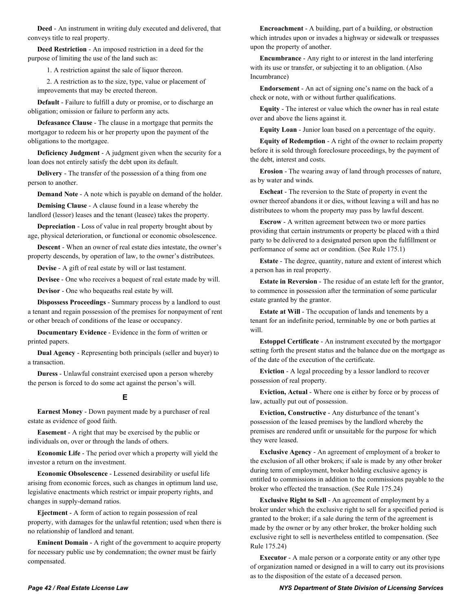**Deed** - An instrument in writing duly executed and delivered, that conveys title to real property.

**Deed Restriction** - An imposed restriction in a deed for the purpose of limiting the use of the land such as:

1. A restriction against the sale of liquor thereon.

2. A restriction as to the size, type, value or placement of improvements that may be erected thereon.

**Default** - Failure to fulfill a duty or promise, or to discharge an obligation; omission or failure to perform any acts.

**Defeasance Clause** - The clause in a mortgage that permits the mortgagor to redeem his or her property upon the payment of the obligations to the mortgagee.

**Deficiency Judgment** - A judgment given when the security for a loan does not entirely satisfy the debt upon its default.

**Delivery** - The transfer of the possession of a thing from one person to another.

**Demand Note** - A note which is payable on demand of the holder.

**Demising Clause** - A clause found in a lease whereby the landlord (lessor) leases and the tenant (leasee) takes the property.

**Depreciation** - Loss of value in real property brought about by age, physical deterioration, or functional or economic obsolescence.

**Descent** - When an owner of real estate dies intestate, the owner's property descends, by operation of law, to the owner's distributees.

**Devise** - A gift of real estate by will or last testament.

**Devisee** - One who receives a bequest of real estate made by will.

**Devisor** - One who bequeaths real estate by will.

**Dispossess Proceedings** - Summary process by a landlord to oust a tenant and regain possession of the premises for nonpayment of rent or other breach of conditions of the lease or occupancy.

**Documentary Evidence** - Evidence in the form of written or printed papers.

**Dual Agency** - Representing both principals (seller and buyer) to a transaction.

**Duress** - Unlawful constraint exercised upon a person whereby the person is forced to do some act against the person's will.

**E**

**Earnest Money** - Down payment made by a purchaser of real estate as evidence of good faith.

**Easement** - A right that may be exercised by the public or individuals on, over or through the lands of others.

**Economic Life** - The period over which a property will yield the investor a return on the investment.

**Economic Obsolescence** - Lessened desirability or useful life arising from economic forces, such as changes in optimum land use, legislative enactments which restrict or impair property rights, and changes in supply-demand ratios.

**Ejectment** - A form of action to regain possession of real property, with damages for the unlawful retention; used when there is no relationship of landlord and tenant.

**Eminent Domain** - A right of the government to acquire property for necessary public use by condemnation; the owner must be fairly compensated.

**Encroachment** - A building, part of a building, or obstruction which intrudes upon or invades a highway or sidewalk or trespasses upon the property of another.

**Encumbrance** - Any right to or interest in the land interfering with its use or transfer, or subjecting it to an obligation. (Also Incumbrance)

**Endorsement** - An act of signing one's name on the back of a check or note, with or without further qualifications.

**Equity** - The interest or value which the owner has in real estate over and above the liens against it.

**Equity Loan** - Junior loan based on a percentage of the equity.

**Equity of Redemption** - A right of the owner to reclaim property before it is sold through foreclosure proceedings, by the payment of the debt, interest and costs.

**Erosion** - The wearing away of land through processes of nature, as by water and winds.

**Escheat** - The reversion to the State of property in event the owner thereof abandons it or dies, without leaving a will and has no distributees to whom the property may pass by lawful descent.

**Escrow** - A written agreement between two or more parties providing that certain instruments or property be placed with a third party to be delivered to a designated person upon the fulfillment or performance of some act or condition. (See Rule 175.1)

**Estate** - The degree, quantity, nature and extent of interest which a person has in real property.

**Estate in Reversion** - The residue of an estate left for the grantor, to commence in possession after the termination of some particular estate granted by the grantor.

**Estate at Will** - The occupation of lands and tenements by a tenant for an indefinite period, terminable by one or both parties at will.

**Estoppel Certificate** - An instrument executed by the mortgagor setting forth the present status and the balance due on the mortgage as of the date of the execution of the certificate.

**Eviction** - A legal proceeding by a lessor landlord to recover possession of real property.

**Eviction, Actual** - Where one is either by force or by process of law, actually put out of possession.

**Eviction, Constructive** - Any disturbance of the tenant's possession of the leased premises by the landlord whereby the premises are rendered unfit or unsuitable for the purpose for which they were leased.

**Exclusive Agency** - An agreement of employment of a broker to the exclusion of all other brokers; if sale is made by any other broker during term of employment, broker holding exclusive agency is entitled to commissions in addition to the commissions payable to the broker who effected the transaction. (See Rule 175.24)

**Exclusive Right to Sell** - An agreement of employment by a broker under which the exclusive right to sell for a specified period is granted to the broker; if a sale during the term of the agreement is made by the owner or by any other broker, the broker holding such exclusive right to sell is nevertheless entitled to compensation. (See Rule 175.24)

**Executor** - A male person or a corporate entity or any other type of organization named or designed in a will to carry out its provisions as to the disposition of the estate of a deceased person.

*Page 42 / Real Estate License Law NYS Department of State Division of Licensing Services*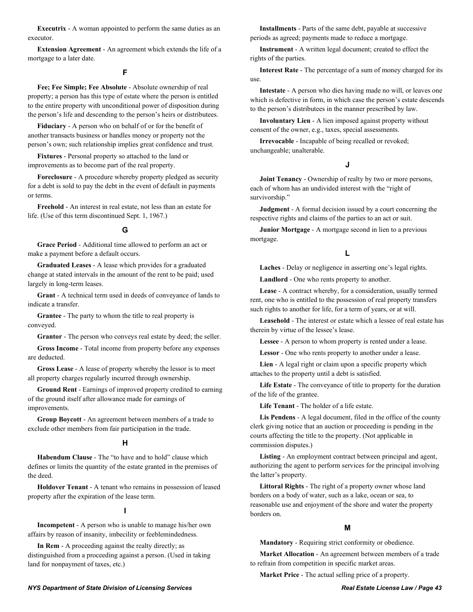**Executrix** - A woman appointed to perform the same duties as an executor.

**Extension Agreement** - An agreement which extends the life of a mortgage to a later date.

#### **F**

**Fee; Fee Simple; Fee Absolute** - Absolute ownership of real property; a person has this type of estate where the person is entitled to the entire property with unconditional power of disposition during the person's life and descending to the person's heirs or distributees.

**Fiduciary** - A person who on behalf of or for the benefit of another transacts business or handles money or property not the person's own; such relationship implies great confidence and trust.

**Fixtures** - Personal property so attached to the land or improvements as to become part of the real property.

**Foreclosure** - A procedure whereby property pledged as security for a debt is sold to pay the debt in the event of default in payments or terms.

**Freehold** - An interest in real estate, not less than an estate for life. (Use of this term discontinued Sept. 1, 1967.)

#### **G**

**Grace Period** - Additional time allowed to perform an act or make a payment before a default occurs.

**Graduated Leases** - A lease which provides for a graduated change at stated intervals in the amount of the rent to be paid; used largely in long-term leases.

**Grant** - A technical term used in deeds of conveyance of lands to indicate a transfer.

**Grantee** - The party to whom the title to real property is conveyed.

**Grantor** - The person who conveys real estate by deed; the seller.

**Gross Income** - Total income from property before any expenses are deducted.

**Gross Lease** - A lease of property whereby the lessor is to meet all property charges regularly incurred through ownership.

**Ground Rent** - Earnings of improved property credited to earning of the ground itself after allowance made for earnings of improvements.

**Group Boycott** - An agreement between members of a trade to exclude other members from fair participation in the trade.

#### **H**

**Habendum Clause** - The "to have and to hold" clause which defines or limits the quantity of the estate granted in the premises of the deed.

**Holdover Tenant** - A tenant who remains in possession of leased property after the expiration of the lease term.

#### **I**

**Incompetent** - A person who is unable to manage his/her own affairs by reason of insanity, imbecility or feeblemindedness.

**In Rem** - A proceeding against the realty directly; as distinguished from a proceeding against a person. (Used in taking land for nonpayment of taxes, etc.)

**Installments** - Parts of the same debt, payable at successive periods as agreed; payments made to reduce a mortgage.

**Instrument** - A written legal document; created to effect the rights of the parties.

**Interest Rate** - The percentage of a sum of money charged for its use.

**Intestate** - A person who dies having made no will, or leaves one which is defective in form, in which case the person's estate descends to the person's distributees in the manner prescribed by law.

**Involuntary Lien** - A lien imposed against property without consent of the owner, e.g., taxes, special assessments.

**Irrevocable** - Incapable of being recalled or revoked; unchangeable; unalterable.

#### **J**

**Joint Tenancy** - Ownership of realty by two or more persons, each of whom has an undivided interest with the "right of survivorship."

**Judgment** - A formal decision issued by a court concerning the respective rights and claims of the parties to an act or suit.

**Junior Mortgage** - A mortgage second in lien to a previous mortgage.

#### **L**

**Laches** - Delay or negligence in asserting one's legal rights.

**Landlord** - One who rents property to another.

**Lease** - A contract whereby, for a consideration, usually termed rent, one who is entitled to the possession of real property transfers such rights to another for life, for a term of years, or at will.

**Leasehold** - The interest or estate which a lessee of real estate has therein by virtue of the lessee's lease.

**Lessee** - A person to whom property is rented under a lease.

**Lessor** - One who rents property to another under a lease.

**Lien** - A legal right or claim upon a specific property which attaches to the property until a debt is satisfied.

**Life Estate** - The conveyance of title to property for the duration of the life of the grantee.

**Life Tenant** - The holder of a life estate.

**Lis Pendens** - A legal document, filed in the office of the county clerk giving notice that an auction or proceeding is pending in the courts affecting the title to the property. (Not applicable in commission disputes.)

**Listing** - An employment contract between principal and agent, authorizing the agent to perform services for the principal involving the latter's property.

**Littoral Rights** - The right of a property owner whose land borders on a body of water, such as a lake, ocean or sea, to reasonable use and enjoyment of the shore and water the property borders on.

#### **M**

**Mandatory** - Requiring strict conformity or obedience.

**Market Allocation** - An agreement between members of a trade to refrain from competition in specific market areas.

**Market Price** - The actual selling price of a property.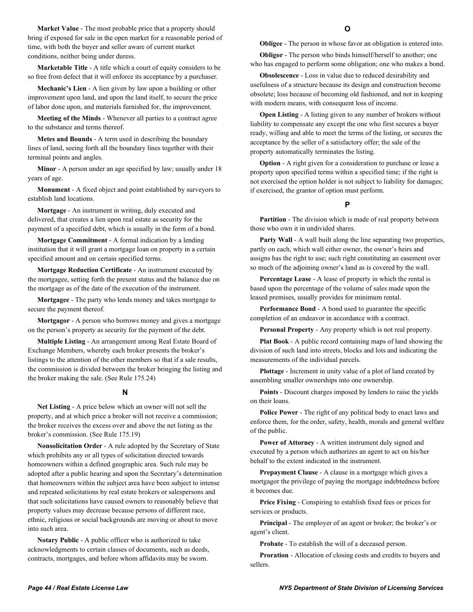**Market Value** - The most probable price that a property should bring if exposed for sale in the open market for a reasonable period of time, with both the buyer and seller aware of current market conditions, neither being under duress.

**Marketable Title** - A title which a court of equity considers to be so free from defect that it will enforce its acceptance by a purchaser.

**Mechanic's Lien** - A lien given by law upon a building or other improvement upon land, and upon the land itself, to secure the price of labor done upon, and materials furnished for, the improvement.

**Meeting of the Minds** - Whenever all parties to a contract agree to the substance and terms thereof.

**Metes and Bounds** - A term used in describing the boundary lines of land, seeing forth all the boundary lines together with their terminal points and angles.

**Minor** - A person under an age specified by law; usually under 18 years of age.

**Monument** - A fixed object and point established by surveyors to establish land locations.

**Mortgage** - An instrument in writing, duly executed and delivered, that creates a lien upon real estate as security for the payment of a specified debt, which is usually in the form of a bond.

**Mortgage Commitment** - A formal indication by a lending institution that it will grant a mortgage loan on property in a certain specified amount and on certain specified terms.

**Mortgage Reduction Certificate** - An instrument executed by the mortgagee, setting forth the present status and the balance due on the mortgage as of the date of the execution of the instrument.

**Mortgagee** - The party who lends money and takes mortgage to secure the payment thereof.

**Mortgagor** - A person who borrows money and gives a mortgage on the person's property as security for the payment of the debt.

**Multiple Listing** - An arrangement among Real Estate Board of Exchange Members, whereby each broker presents the broker's listings to the attention of the other members so that if a sale results, the commission is divided between the broker bringing the listing and the broker making the sale. (See Rule 175.24)

#### **N**

**Net Listing** - A price below which an owner will not sell the property, and at which price a broker will not receive a commission; the broker receives the excess over and above the net listing as the broker's commission. (See Rule 175.19)

**Nonsolicitation Order** - A rule adopted by the Secretary of State which prohibits any or all types of solicitation directed towards homeowners within a defined geographic area. Such rule may be adopted after a public hearing and upon the Secretary's determination that homeowners within the subject area have been subject to intense and repeated solicitations by real estate brokers or salespersons and that such solicitations have caused owners to reasonably believe that property values may decrease because persons of different race, ethnic, religious or social backgrounds are moving or about to move into such area.

**Notary Public** - A public officer who is authorized to take acknowledgments to certain classes of documents, such as deeds, contracts, mortgages, and before whom affidavits may be sworn.

**Obligee** - The person in whose favor an obligation is entered into.

**Obligor** - The person who binds himself/herself to another; one who has engaged to perform some obligation; one who makes a bond.

**Obsolescence** - Loss in value due to reduced desirability and usefulness of a structure because its design and construction become obsolete; loss because of becoming old fashioned, and not in keeping with modern means, with consequent loss of income.

**Open Listing** - A listing given to any number of brokers without liability to compensate any except the one who first secures a buyer ready, willing and able to meet the terms of the listing, or secures the acceptance by the seller of a satisfactory offer; the sale of the property automatically terminates the listing.

**Option** - A right given for a consideration to purchase or lease a property upon specified terms within a specified time; if the right is not exercised the option holder is not subject to liability for damages; if exercised, the grantor of option must perform.

#### **P**

**Partition** - The division which is made of real property between those who own it in undivided shares.

**Party Wall** - A wall built along the line separating two properties, partly on each, which wall either owner, the owner's heirs and assigns has the right to use; such right constituting an easement over so much of the adjoining owner's land as is covered by the wall.

**Percentage Lease** - A lease of property in which the rental is based upon the percentage of the volume of sales made upon the leased premises, usually provides for minimum rental.

**Performance Bond** - A bond used to guarantee the specific completion of an endeavor in accordance with a contract.

**Personal Property** - Any property which is not real property.

**Plat Book** - A public record containing maps of land showing the division of such land into streets, blocks and lots and indicating the measurements of the individual parcels.

**Plottage** - Increment in unity value of a plot of land created by assembling smaller ownerships into one ownership.

**Points** - Discount charges imposed by lenders to raise the yields on their loans.

**Police Power** - The right of any political body to enact laws and enforce them, for the order, safety, health, morals and general welfare of the public.

**Power of Attorney** - A written instrument duly signed and executed by a person which authorizes an agent to act on his/her behalf to the extent indicated in the instrument.

**Prepayment Clause** - A clause in a mortgage which gives a mortgagor the privilege of paying the mortgage indebtedness before it becomes due.

**Price Fixing** - Conspiring to establish fixed fees or prices for services or products.

**Principal** - The employer of an agent or broker; the broker's or agent's client.

**Probate** - To establish the will of a deceased person.

**Proration** - Allocation of closing costs and credits to buyers and sellers.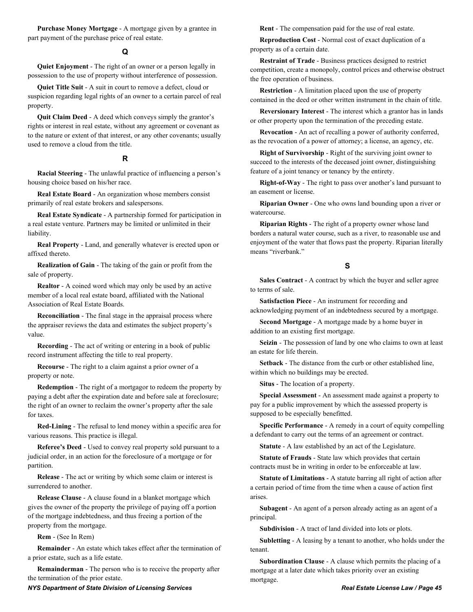**Purchase Money Mortgage** - A mortgage given by a grantee in part payment of the purchase price of real estate.

#### **Q**

**Quiet Enjoyment** - The right of an owner or a person legally in possession to the use of property without interference of possession.

**Quiet Title Suit** - A suit in court to remove a defect, cloud or suspicion regarding legal rights of an owner to a certain parcel of real property.

**Quit Claim Deed** - A deed which conveys simply the grantor's rights or interest in real estate, without any agreement or covenant as to the nature or extent of that interest, or any other covenants; usually used to remove a cloud from the title.

#### **R**

**Racial Steering** - The unlawful practice of influencing a person's housing choice based on his/her race.

**Real Estate Board** - An organization whose members consist primarily of real estate brokers and salespersons.

**Real Estate Syndicate** - A partnership formed for participation in a real estate venture. Partners may be limited or unlimited in their liability.

**Real Property** - Land, and generally whatever is erected upon or affixed thereto.

**Realization of Gain** - The taking of the gain or profit from the sale of property.

**Realtor** - A coined word which may only be used by an active member of a local real estate board, affiliated with the National Association of Real Estate Boards.

**Reconciliation** - The final stage in the appraisal process where the appraiser reviews the data and estimates the subject property's value.

**Recording** - The act of writing or entering in a book of public record instrument affecting the title to real property.

**Recourse** - The right to a claim against a prior owner of a property or note.

**Redemption** - The right of a mortgagor to redeem the property by paying a debt after the expiration date and before sale at foreclosure; the right of an owner to reclaim the owner's property after the sale for taxes.

**Red-Lining** - The refusal to lend money within a specific area for various reasons. This practice is illegal.

**Referee's Deed** - Used to convey real property sold pursuant to a judicial order, in an action for the foreclosure of a mortgage or for partition.

**Release** - The act or writing by which some claim or interest is surrendered to another.

**Release Clause** - A clause found in a blanket mortgage which gives the owner of the property the privilege of paying off a portion of the mortgage indebtedness, and thus freeing a portion of the property from the mortgage.

**Rem** - (See In Rem)

**Remainder** - An estate which takes effect after the termination of a prior estate, such as a life estate.

**Remainderman** - The person who is to receive the property after the termination of the prior estate.

*NYS Department of State Division of Licensing Services Real Estate License Law / Page 45*

**Rent** - The compensation paid for the use of real estate.

**Reproduction Cost** - Normal cost of exact duplication of a property as of a certain date.

**Restraint of Trade** - Business practices designed to restrict competition, create a monopoly, control prices and otherwise obstruct the free operation of business.

**Restriction** - A limitation placed upon the use of property contained in the deed or other written instrument in the chain of title.

**Reversionary Interest** - The interest which a grantor has in lands or other property upon the termination of the preceding estate.

**Revocation** - An act of recalling a power of authority conferred, as the revocation of a power of attorney; a license, an agency, etc.

**Right of Survivorship** - Right of the surviving joint owner to succeed to the interests of the deceased joint owner, distinguishing feature of a joint tenancy or tenancy by the entirety.

**Right-of-Way** - The right to pass over another's land pursuant to an easement or license.

**Riparian Owner** - One who owns land bounding upon a river or watercourse.

**Riparian Rights** - The right of a property owner whose land borders a natural water course, such as a river, to reasonable use and enjoyment of the water that flows past the property. Riparian literally means "riverbank."

#### **S**

**Sales Contract** - A contract by which the buyer and seller agree to terms of sale.

**Satisfaction Piece** - An instrument for recording and acknowledging payment of an indebtedness secured by a mortgage.

**Second Mortgage** - A mortgage made by a home buyer in addition to an existing first mortgage.

**Seizin** - The possession of land by one who claims to own at least an estate for life therein.

**Setback** - The distance from the curb or other established line, within which no buildings may be erected.

**Situs** - The location of a property.

**Special Assessment** - An assessment made against a property to pay for a public improvement by which the assessed property is supposed to be especially benefitted.

**Specific Performance** - A remedy in a court of equity compelling a defendant to carry out the terms of an agreement or contract.

**Statute** - A law established by an act of the Legislature.

**Statute of Frauds** - State law which provides that certain contracts must be in writing in order to be enforceable at law.

**Statute of Limitations** - A statute barring all right of action after a certain period of time from the time when a cause of action first arises.

**Subagent** - An agent of a person already acting as an agent of a principal.

**Subdivision** - A tract of land divided into lots or plots.

**Subletting** - A leasing by a tenant to another, who holds under the tenant.

**Subordination Clause** - A clause which permits the placing of a mortgage at a later date which takes priority over an existing mortgage.